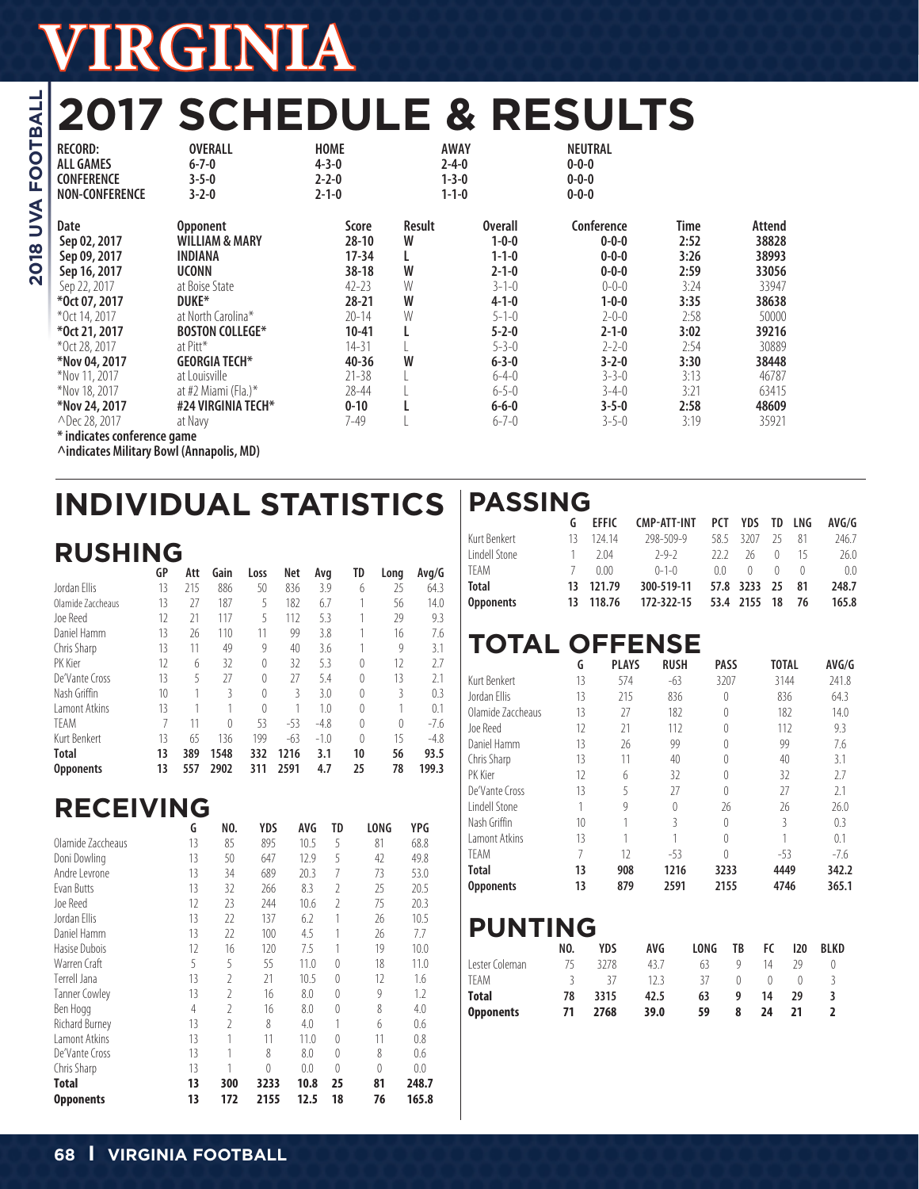# **2017 SCHEDULE & RESULTS**

| <b>RECORD:</b><br><b>ALL GAMES</b><br><b>CONFERENCE</b><br><b>NON-CONFERENCE</b>      | <b>OVERALL</b><br>$6 - 7 - 0$<br>$3 - 5 - 0$<br>$3 - 2 - 0$                                        | <b>HOME</b><br>$4 - 3 - 0$<br>$2 - 2 - 0$<br>$2 - 1 - 0$       | <b>AWAY</b><br>$2 - 4 - 0$<br>$1 - 3 - 0$<br>$1 - 1 - 0$ |                                                                                           | NEUTRAL<br>$0 - 0 - 0$<br>$0 - 0 - 0$<br>$0 - 0 - 0$                                  |                                              |                                                     |
|---------------------------------------------------------------------------------------|----------------------------------------------------------------------------------------------------|----------------------------------------------------------------|----------------------------------------------------------|-------------------------------------------------------------------------------------------|---------------------------------------------------------------------------------------|----------------------------------------------|-----------------------------------------------------|
| Date<br>Sep 02, 2017<br>Sep 09, 2017<br>Sep 16, 2017<br>Sep 22, 2017<br>*0ct 07, 2017 | <b>Opponent</b><br><b>WILLIAM &amp; MARY</b><br>INDIANA<br><b>UCONN</b><br>at Boise State<br>DUKE* | Score<br>$28-10$<br>17-34<br>$38-18$<br>$42 - 23$<br>$28 - 21$ | Result<br>W<br>W<br>W<br>W                               | <b>Overall</b><br>$1 - 0 - 0$<br>$1 - 1 - 0$<br>$2 - 1 - 0$<br>$3 - 1 - 0$<br>$4 - 1 - 0$ | Conference<br>$0 - 0 - 0$<br>$0 - 0 - 0$<br>$0 - 0 - 0$<br>$0 - 0 - 0$<br>$1 - 0 - 0$ | Time<br>2:52<br>3:26<br>2:59<br>3:24<br>3:35 | Attend<br>38828<br>38993<br>33056<br>33947<br>38638 |
| *Oct 14, 2017                                                                         | at North Carolina*                                                                                 | $20 - 14$                                                      | W                                                        | $5 - 1 - 0$                                                                               | $2 - 0 - 0$                                                                           | 2:58                                         | 50000                                               |
| *0ct 21, 2017                                                                         | <b>BOSTON COLLEGE*</b>                                                                             | 10-41                                                          |                                                          | $5 - 2 - 0$                                                                               | $2 - 1 - 0$                                                                           | 3:02                                         | 39216                                               |
| *Oct 28, 2017                                                                         | at Pitt*                                                                                           | $14 - 31$                                                      | W                                                        | $5 - 3 - 0$                                                                               | $2 - 2 - 0$                                                                           | 2:54                                         | 30889                                               |
| *Nov 04, 2017                                                                         | <b>GEORGIA TECH*</b>                                                                               | $40 - 36$                                                      |                                                          | $6 - 3 - 0$                                                                               | $3 - 2 - 0$                                                                           | 3:30                                         | 38448                                               |
| *Nov 11, 2017                                                                         | at Louisville                                                                                      | $21 - 38$                                                      |                                                          | $6 - 4 - 0$                                                                               | $3 - 3 - 0$                                                                           | 3:13                                         | 46787                                               |
| *Nov 18, 2017                                                                         | at #2 Miami (Fla.)*                                                                                | $28 - 44$                                                      |                                                          | $6 - 5 - 0$                                                                               | $3 - 4 - 0$                                                                           | 3:21                                         | 63415                                               |
| *Nov 24, 2017                                                                         | #24 VIRGINIA TECH*                                                                                 | $0 - 10$                                                       |                                                          | $6 - 6 - 0$                                                                               | $3 - 5 - 0$                                                                           | 2:58                                         | 48609                                               |
| △Dec 28, 2017                                                                         | at Navy                                                                                            | 7-49                                                           |                                                          | $6 - 7 - 0$                                                                               | $3 - 5 - 0$                                                                           | 3:19                                         | 35921                                               |
| * indicates conference game                                                           | $\cdots$                                                                                           |                                                                |                                                          |                                                                                           |                                                                                       |                                              |                                                     |

**^indicates Military Bowl (Annapolis, MD)**

# **INDIVIDUAL STATISTICS PASSING**

|                   | <b>RUSHING</b>  |     |      |          |       |        |          |          |        |  |  |  |  |
|-------------------|-----------------|-----|------|----------|-------|--------|----------|----------|--------|--|--|--|--|
|                   | GP              | Att | Gain | Loss     | Net   | Avg    | TD       | Long     | Avg/G  |  |  |  |  |
| Jordan Ellis      | 13              | 215 | 886  | 50       | 836   | 3.9    | 6        | 25       | 64.3   |  |  |  |  |
| Olamide Zaccheaus | 13              | 27  | 187  | 5        | 182   | 6.7    | 1        | 56       | 14.0   |  |  |  |  |
| Joe Reed          | 12              | 21  | 117  | 5        | 112   | 5.3    |          | 29       | 9.3    |  |  |  |  |
| Daniel Hamm       | 13              | 26  | 110  | 11       | 99    | 3.8    |          | 16       | 7.6    |  |  |  |  |
| Chris Sharp       | 13              | 11  | 49   | 9        | 40    | 3.6    |          | 9        | 3.1    |  |  |  |  |
| PK Kier           | 12              | 6   | 32   | 0        | 32    | 5.3    | $\theta$ | 12       | 2.7    |  |  |  |  |
| De'Vante Cross    | 13              | 5   | 27   | $\theta$ | 27    | 5.4    | $\theta$ | 13       | 2.1    |  |  |  |  |
| Nash Griffin      | 10 <sup>1</sup> | 1   | 3    | 0        | 3     | 3.0    | $\theta$ | 3        | 0.3    |  |  |  |  |
| Lamont Atkins     | 13              |     |      | $\theta$ |       | 1.0    | $\theta$ |          | 0.1    |  |  |  |  |
| <b>TFAM</b>       | 7               | 11  | 0    | 53       | $-53$ | $-4.8$ | $\theta$ | $\theta$ | $-7.6$ |  |  |  |  |
| Kurt Benkert      | 13              | 65  | 136  | 199      | $-63$ | $-1.0$ | $\theta$ | 15       | $-4.8$ |  |  |  |  |
| <b>Total</b>      | 13              | 389 | 1548 | 332      | 1216  | 3.1    | 10       | 56       | 93.5   |  |  |  |  |
| <b>Opponents</b>  | 13              | 557 | 2902 | 311      | 2591  | 4.7    | 25       | 78       | 199.3  |  |  |  |  |

## **RECEIVING**

|                      | G  | NO.           | <b>YDS</b> | AVG  | TD             | LONG | YPG   |
|----------------------|----|---------------|------------|------|----------------|------|-------|
| Olamide Zaccheaus    | 13 | 85            | 895        | 10.5 | 5              | 81   | 68.8  |
| Doni Dowling         | 13 | 50            | 647        | 12.9 | 5              | 42   | 49.8  |
| Andre Levrone        | 13 | 34            | 689        | 20.3 | 7              | 73   | 53.0  |
| Evan Butts           | 13 | 32            | 266        | 8.3  | $\mathfrak{I}$ | 25   | 20.5  |
| Joe Reed             | 12 | 23            | 244        | 10.6 | $\mathcal{I}$  | 75   | 20.3  |
| Jordan Ellis         | 13 | 22            | 137        | 6.2  | 1              | 26   | 10.5  |
| Daniel Hamm          | 13 | 22            | 100        | 4.5  | 1              | 26   | 7.7   |
| Hasise Dubois        | 12 | 16            | 120        | 7.5  | 1              | 19   | 10.0  |
| Warren Craft         | 5  | 5             | 55         | 11.0 | $\Omega$       | 18   | 11.0  |
| Terrell Jana         | 13 | $\mathcal{I}$ | 21         | 10.5 | $\Omega$       | 12   | 1.6   |
| <b>Tanner Cowley</b> | 13 | $\mathcal{I}$ | 16         | 8.0  | $\Omega$       | 9    | 1.2   |
| Ben Hogg             | 4  | $\mathcal{I}$ | 16         | 8.0  | $\theta$       | 8    | 4.0   |
| Richard Burney       | 13 | 2             | 8          | 4.0  | 1              | 6    | 0.6   |
| Lamont Atkins        | 13 | 1             | 11         | 11.0 | $\Omega$       | 11   | 0.8   |
| De'Vante Cross       | 13 | 1             | 8          | 8.0  | $\Omega$       | 8    | 0.6   |
| Chris Sharp          | 13 |               | $\theta$   | 0.0  | $\Omega$       | 0    | 0.0   |
| Total                | 13 | 300           | 3233       | 10.8 | 25             | 81   | 248.7 |
| <b>Opponents</b>     | 13 | 172           | 2155       | 12.5 | 18             | 76   | 165.8 |

|                  |     | <b>EFFIC</b> | CMP-ATT-INT PCT YDS TD LNG |        |                 |           |           | AVG/G          |
|------------------|-----|--------------|----------------------------|--------|-----------------|-----------|-----------|----------------|
| Kurt Benkert     | 13. | 124 14       | 298-509-9                  |        | 58.5 3207 25    |           | 81        | 246.7          |
| Lindell Stone    |     | $1 \t204$    | $2-9-2$                    | 222 26 |                 | $\cup$    | - 15      | 26.0           |
| TFAM             |     | 7 0.00       | $0 - 1 - 0$                | $00-$  | $^{\circ}$      | $\bigcap$ | $\bigcap$ | 0 <sub>0</sub> |
| <b>Total</b>     |     | 13 121.79    | 300-519-11                 |        | 57.8 3233 25 81 |           |           | 248.7          |
| <b>Opponents</b> |     | 13 118.76    | 172-322-15                 |        | 53.4 2155 18 76 |           |           | 165.8          |

## **TOTAL OFFENSE**

|                   | G  | <b>PLAYS</b> | <b>RUSH</b> | <b>PASS</b> | <b>TOTAL</b> | AVG/G  |
|-------------------|----|--------------|-------------|-------------|--------------|--------|
| Kurt Benkert      | 13 | 574          | $-63$       | 3207        | 3144         | 241.8  |
| Jordan Filis      | 13 | 215          | 836         | $\theta$    | 836          | 64.3   |
| Olamide Zaccheaus | 13 | 27           | 182         | $\Omega$    | 182          | 14.0   |
| Joe Reed          | 12 | 21           | 112         | $\Omega$    | 112          | 9.3    |
| Daniel Hamm       | 13 | 26           | 99          | $\Omega$    | 99           | 7.6    |
| Chris Sharp       | 13 | 11           | 40          | $\Omega$    | 40           | 3.1    |
| PK Kier           | 12 | 6            | 32          | $\Omega$    | 32           | 2.7    |
| De'Vante Cross    | 13 | 5            | 27          | $\Omega$    | 27           | 2.1    |
| Lindell Stone     | 1  | 9            | $\theta$    | 26          | 26           | 76.0   |
| Nash Griffin      | 10 |              | 3           | $\Omega$    | 3            | 0.3    |
| I amont Atkins    | 13 |              | 1           | $\Omega$    |              | 0.1    |
| <b>TFAM</b>       | 7  | 12           | $-53$       | $\Omega$    | $-53$        | $-7.6$ |
| <b>Total</b>      | 13 | 908          | 1216        | 3233        | 4449         | 342.2  |
| <b>Opponents</b>  | 13 | 879          | 2591        | 2155        | 4746         | 365.1  |

## **PUNTING**

|                  | NO. | YDS       | AVG  | LONG | TB | FC. | 120 | <b>BLKD</b> |
|------------------|-----|-----------|------|------|----|-----|-----|-------------|
| Lester Coleman   |     | 3278      | 43.7 | 63   |    | 14  | 29  |             |
| TFAM             | ₹   | $\lambda$ | 123  | 37   |    |     |     |             |
| <b>Total</b>     | 78  | 3315      | 42.5 | 63   | q  | 14  | 29  |             |
| <b>Opponents</b> | 71  | 2768      | 39.0 | 59   | 8  | 24  | 71  |             |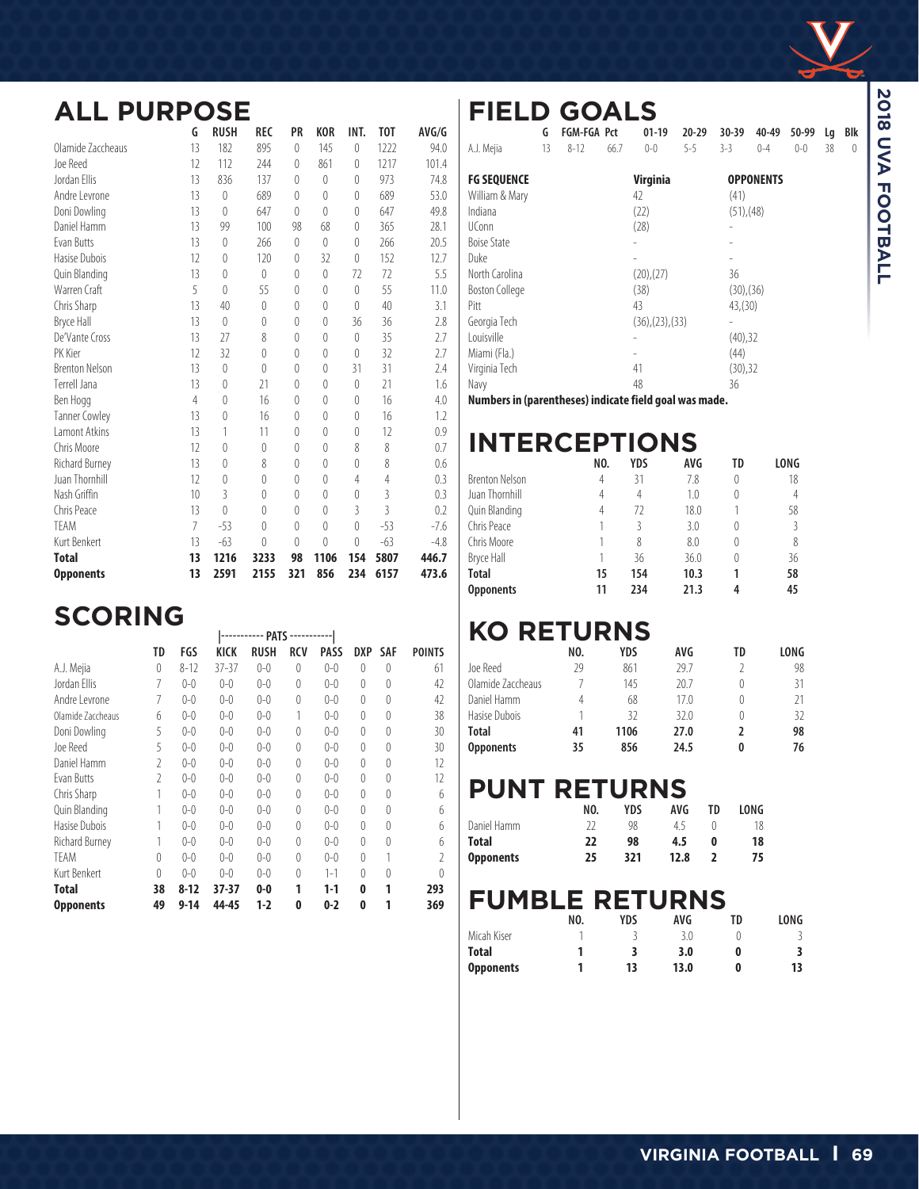

## **ALL PURPOSE**

|                       | G              | <b>RUSH</b> | REC            | PR             | <b>KOR</b>       | INT.             | <b>TOT</b>     | AVG/G  |
|-----------------------|----------------|-------------|----------------|----------------|------------------|------------------|----------------|--------|
| Olamide Zaccheaus     | 13             | 182         | 895            | $\overline{0}$ | 145              | $\left( \right)$ | 1222           | 94.0   |
| Joe Reed              | 12             | 112         | 244            | 0              | 861              | $\left($         | 1217           | 101.4  |
| Jordan Fllis          | 13             | 836         | 137            | $\theta$       | $\left( \right)$ | $\left($         | 973            | 74.8   |
| Andre Levrone         | 13             | 0           | 689            | 0              | $\theta$         | $\theta$         | 689            | 53.0   |
| Doni Dowling          | 13             | $\theta$    | 647            | 0              | $\theta$         | $\theta$         | 647            | 49.8   |
| Daniel Hamm           | 13             | 99          | 100            | 98             | 68               | $\left( \right)$ | 365            | 28.1   |
| <b>Fvan Butts</b>     | 13             | $\theta$    | 266            | 0              | $\Omega$         | $\left( \right)$ | 266            | 20.5   |
| Hasise Dubois         | 12             | $\theta$    | 120            | $\theta$       | 32               | $\left( \right)$ | 152            | 12.7   |
| Quin Blanding         | 13             | $\theta$    | $\theta$       | $\theta$       | $\left( \right)$ | 72               | 72             | 5.5    |
| Warren Craft          | 5              | $\theta$    | 55             | $\theta$       | $\theta$         | $\left( \right)$ | 55             | 11.0   |
| Chris Sharp           | 13             | 40          | $\mathbf 0$    | $\theta$       | $\theta$         | $\left( \right)$ | 40             | 3.1    |
| <b>Bryce Hall</b>     | 13             | $\theta$    | 0              | $\theta$       | $\theta$         | 36               | 36             | 2.8    |
| De'Vante Cross        | 13             | 27          | 8              | $\theta$       | $\theta$         | $\theta$         | 35             | 2.7    |
| PK Kier               | 12             | 32          | $\theta$       | $\theta$       | $\theta$         | $\left($         | 32             | 2.7    |
| <b>Brenton Nelson</b> | 13             | 0           | $\theta$       | 0              | $\theta$         | 31               | 31             | 2.4    |
| Terrell Jana          | 13             | $\theta$    | 21             | $\theta$       | $\theta$         | $\theta$         | 21             | 1.6    |
| Ben Hogg              | 4              | $\theta$    | 16             | $\theta$       | $\theta$         | $\left($         | 16             | 4.0    |
| <b>Tanner Cowley</b>  | 13             | 0           | 16             | 0              | 0                | $\theta$         | 16             | 1.2    |
| <b>Lamont Atkins</b>  | 13             | 1           | 11             | $\theta$       | $\theta$         | $\left( \right)$ | 12             | 0.9    |
| Chris Moore           | 12             | $\theta$    | $\theta$       | $\theta$       | $\Omega$         | 8                | 8              | 0.7    |
| Richard Burney        | 13             | 0           | 8              | 0              | 0                | 0                | 8              | 0.6    |
| Juan Thornhill        | 12             | $\theta$    | $\overline{0}$ | $\theta$       | $\theta$         | 4                | 4              | 0.3    |
| Nash Griffin          | 10             | 3           | 0              | $\theta$       | $\theta$         | $\theta$         | $\overline{3}$ | 0.3    |
| Chris Peace           | 13             | $\theta$    | $\theta$       | $\theta$       | $\theta$         | 3                | $\overline{3}$ | 0.2    |
| TEAM                  | $\overline{7}$ | $-53$       | $\theta$       | $\theta$       | $\theta$         | $\theta$         | $-53$          | $-7.6$ |
| Kurt Benkert          | 13             | $-63$       | $\left($       | $\theta$       | $\theta$         | $\theta$         | $-63$          | $-4.8$ |
| <b>Total</b>          | 13             | 1216        | 3233           | 98             | 1106             | 154              | 5807           | 446.7  |
| <b>Opponents</b>      | 13             | 2591        | 2155           | 321            | 856              | 234              | 6157           | 473.6  |

## $SCORING$

|                   |          |          |             | <b>PAI)</b> |            |             |          |            |        |
|-------------------|----------|----------|-------------|-------------|------------|-------------|----------|------------|--------|
|                   | TD       | FGS      | <b>KICK</b> | <b>RUSH</b> | <b>RCV</b> | <b>PASS</b> | DXP      | <b>SAF</b> | POINTS |
| A.J. Mejia        | $\theta$ | $8 - 12$ | $37 - 37$   | $0 - 0$     | 0          | $0 - 0$     | $\theta$ | $\theta$   | 61     |
| Jordan Filis      | 7        | $0 - 0$  | $0 - 0$     | $0 - 0$     | 0          | $0 - 0$     | $\theta$ | 0          | 42     |
| Andre Levrone     | 7        | $0 - 0$  | $0 - 0$     | $0 - 0$     | 0          | $0 - 0$     | $\theta$ | 0          | 42     |
| Olamide Zaccheaus | 6        | $0 - 0$  | $0 - 0$     | $0 - 0$     |            | $0 - 0$     | $\theta$ | 0          | 38     |
| Doni Dowling      | 5        | $0 - 0$  | $0 - 0$     | $0 - 0$     | 0          | $0 - 0$     | $\theta$ | 0          | 30     |
| Joe Reed          | 5        | $0 - 0$  | $0 - 0$     | $0 - 0$     | 0          | $0 - 0$     | $\theta$ | 0          | 30     |
| Daniel Hamm       | 2        | $0 - 0$  | $0 - 0$     | $0 - 0$     | 0          | $0 - 0$     | $\theta$ | 0          | 12     |
| Evan Butts        | 2        | $0 - 0$  | $0 - 0$     | $0 - 0$     | 0          | $0 - 0$     | $\theta$ | 0          | 12     |
| Chris Sharp       |          | $0 - 0$  | $0 - 0$     | $0 - 0$     | 0          | $0 - 0$     | $\Omega$ | $\Omega$   | 6      |
| Quin Blanding     |          | $0 - 0$  | $0 - 0$     | $0 - 0$     | 0          | $0 - 0$     | $\theta$ | 0          | 6      |
| Hasise Dubois     |          | $0 - 0$  | $0 - 0$     | $0 - 0$     | 0          | $0 - 0$     | $\Omega$ | 0          | 6      |
| Richard Burney    |          | $0 - 0$  | $0 - 0$     | $0 - 0$     | 0          | $0 - 0$     | $\theta$ | 0          | 6      |
| <b>TFAM</b>       | $\theta$ | $0 - 0$  | $0 - 0$     | $0 - 0$     | 0          | $0 - 0$     | $\theta$ |            | 2      |
| Kurt Benkert      | $\theta$ | $0 - 0$  | $0 - 0$     | $0 - 0$     | 0          | $1 - 1$     | $\theta$ | 0          | O      |
| <b>Total</b>      | 38       | $8 - 12$ | 37-37       | $0-0$       |            | $1-1$       | 0        | 1          | 293    |
| <b>Opponents</b>  | 49       | $9 - 14$ | 44-45       | 1-2         | 0          | $0 - 2$     | 0        |            | 369    |

#### **FIELD GOALS<sup>G</sup> FGM-FGA Pct 01-19 20-29 30-39 40-49 50-99 Lg Blk** 13 8-12 66.7 0-0 5-5 3-3 0-4 **FG SEQUENCE Virginia OPPONENTS** William & Mary 42 (41) Indiana (22) (51),(48)<br>UConn (28) -UConn (28) - Boise State - - Duke - - North Carolina (20), (27) 36<br>Boston College (38) (30), (36) Boston College (38) (30),(36) Pitt 43 43,(30)  $(36),(23),(33)$  -<br>(40),32 Louisville - (40), 22 and 22 and 23 and 23 and 240 and 25 and 260 and 260 and 260 and 260 and 260 and 260 and 260 and 260 and 260 and 260 and 260 and 260 and 260 and 260 and 260 and 260 and 260 and 260 and 260 and 260 and Miami (Fla.) - (44) Virginia Tech 41 (30),32 Navy 36

**Numbers in (parentheses) indicate field goal was made.**

## **INTERCEPTIONS**

|                       | NO. | YDS | AVG  | TD               | LONG |
|-----------------------|-----|-----|------|------------------|------|
| <b>Brenton Nelson</b> | 4   | 31  | 7.8  | 0                | 18   |
| Juan Thornhill        | 4   | 4   | 1.0  | 0                | 4    |
| Quin Blanding         | 4   | 72  | 18.0 |                  | 58   |
| Chris Peace           |     | ζ   | 3.0  | $\left( \right)$ | 3    |
| Chris Moore           |     | 8   | 8.0  | 0                | 8    |
| Bryce Hall            |     | 36  | 36.0 | 0                | 36   |
| <b>Total</b>          | 15  | 154 | 10.3 |                  | 58   |
| <b>Opponents</b>      | 11  | 234 | 21.3 | 4                | 45   |

## **KO RETURNS**

|                   | NO. | YDS  | AVG   | TD               | LONG |
|-------------------|-----|------|-------|------------------|------|
| Joe Reed          | 29  | 861  | 29.7  |                  | 98   |
| Olamide Zaccheaus |     | 145  | 20.7  | $\left( \right)$ | 31   |
| Daniel Hamm       | 4   | 68   | 17 () | 0                | 21   |
| Hasise Dubois     |     | 37   | 32.0  | $\left( \right)$ | 32   |
| <b>Total</b>      | 41  | 1106 | 27.0  | 2                | 98   |
| <b>Opponents</b>  | 35  | 856  | 24.5  | 0                | 76   |

## **PUNT RETURNS**

|                  | NO. | <b>YDS</b> | AVG  | TD | LONG |
|------------------|-----|------------|------|----|------|
| Daniel Hamm      |     | 98         | 45   |    | 18   |
| <b>Total</b>     | 22  | 98         | 4.5  | 0  | 18   |
| <b>Opponents</b> | 25  | 321        | 12.8 |    | 75   |

## **FUMBLE RETURNS**

|                  | NO. | <b>YDS</b> | AVG  | TD | LONG |
|------------------|-----|------------|------|----|------|
| Micah Kiser      |     |            |      |    |      |
| <b>Total</b>     |     |            | 3.0  | 0  |      |
| <b>Opponents</b> |     | 13         | 13.0 | 0  | 13   |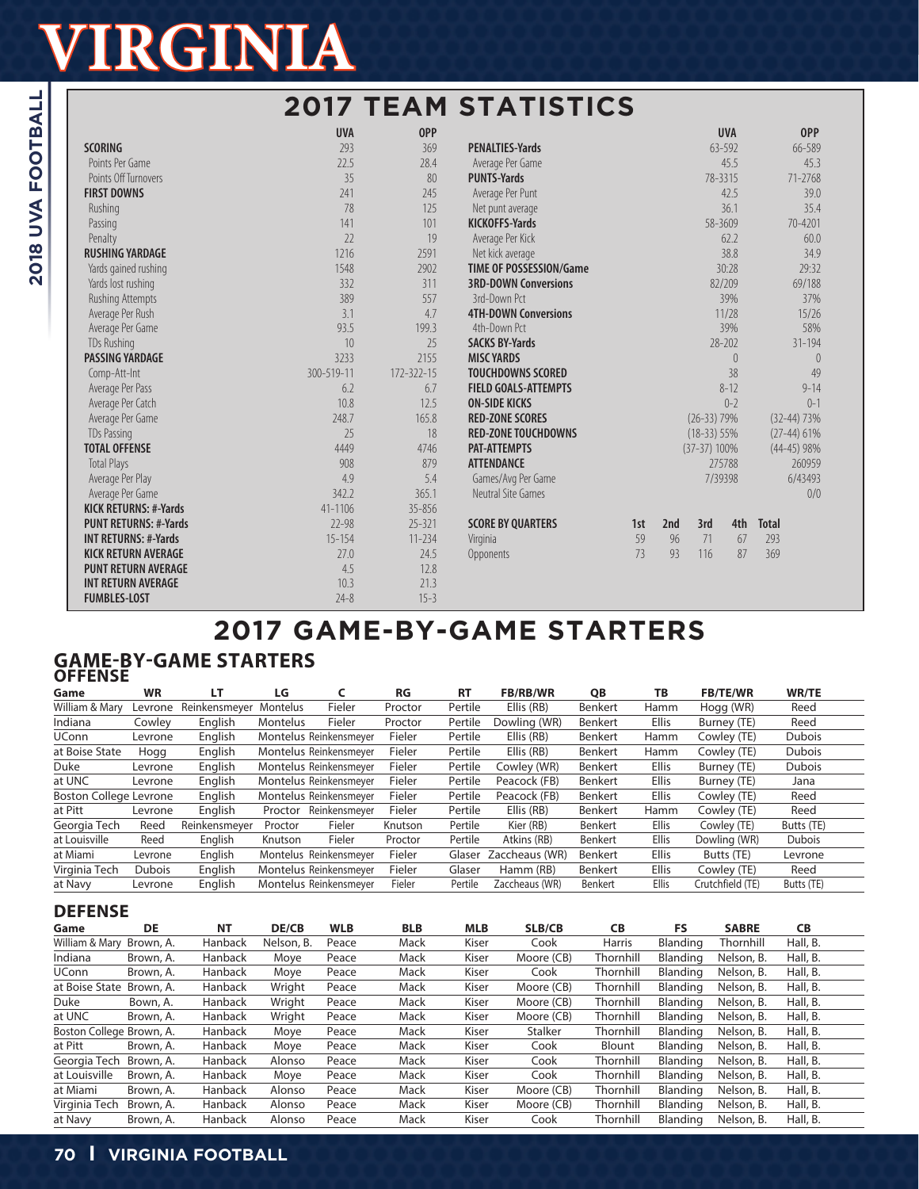|                              |            |                  | <b>2017 TEAM STATISTICS</b>    |     |     |                |            |               |
|------------------------------|------------|------------------|--------------------------------|-----|-----|----------------|------------|---------------|
|                              | <b>UVA</b> | <b>OPP</b>       |                                |     |     |                | <b>UVA</b> | <b>OPP</b>    |
| <b>SCORING</b>               | 293        | 369              | <b>PENALTIES-Yards</b>         |     |     |                | 63-592     | 66-589        |
| Points Per Game              | 22.5       | 28.4             | Average Per Game               |     |     |                | 45.5       | 45.3          |
| Points Off Turnovers         | 35         | 80               | <b>PUNTS-Yards</b>             |     |     | 78-3315        |            | 71-2768       |
| <b>FIRST DOWNS</b>           | 241        | 245              | Average Per Punt               |     |     |                | 42.5       | 39.0          |
| Rushing                      | 78         | 125              | Net punt average               |     |     |                | 36.1       | 35.4          |
| Passing                      | 141        | 101              | <b>KICKOFFS-Yards</b>          |     |     | 58-3609        |            | 70-4201       |
| Penalty                      | 22         | 19               | Average Per Kick               |     |     |                | 62.2       | 60.0          |
| <b>RUSHING YARDAGE</b>       | 1216       | 2591             | Net kick average               |     |     |                | 38.8       | 34.9          |
| Yards gained rushing         | 1548       | 2902             | <b>TIME OF POSSESSION/Game</b> |     |     |                | 30:28      | 29:32         |
| Yards lost rushing           | 332        | 311              | <b>3RD-DOWN Conversions</b>    |     |     |                | 82/209     | 69/188        |
| Rushing Attempts             | 389        | 557              | 3rd-Down Pct                   |     |     |                | 39%        | 37%           |
| Average Per Rush             | 3.1        | 4.7              | <b>4TH-DOWN Conversions</b>    |     |     |                | 11/28      | 15/26         |
| Average Per Game             | 93.5       | 199.3            | 4th-Down Pct                   |     |     |                | 39%        | 58%           |
| <b>TDs Rushing</b>           | 10         | 25               | <b>SACKS BY-Yards</b>          |     |     |                | 28-202     | $31 - 194$    |
| PASSING YARDAGE              | 3233       | 2155             | <b>MISC YARDS</b>              |     |     |                | $\theta$   | $\theta$      |
| Comp-Att-Int                 | 300-519-11 | $172 - 322 - 15$ | <b>TOUCHDOWNS SCORED</b>       |     |     |                | 38         | 49            |
| Average Per Pass             | 6.2        | 6.7              | <b>FIELD GOALS-ATTEMPTS</b>    |     |     |                | $8 - 12$   | $9 - 14$      |
| Average Per Catch            | 10.8       | 12.5             | <b>ON-SIDE KICKS</b>           |     |     |                | $0 - 2$    | $0 - 1$       |
| Average Per Game             | 248.7      | 165.8            | <b>RED-ZONE SCORES</b>         |     |     | $(26-33)$ 79%  |            | $(32-44)$ 73% |
| <b>TDs Passing</b>           | 25         | 18               | <b>RED-ZONE TOUCHDOWNS</b>     |     |     | $(18-33)$ 55%  |            | $(27-44)$ 61% |
| <b>TOTAL OFFENSE</b>         | 4449       | 4746             | <b>PAT-ATTEMPTS</b>            |     |     | $(37-37)$ 100% |            | $(44-45)$ 98% |
| <b>Total Plays</b>           | 908        | 879              | <b>ATTENDANCE</b>              |     |     |                | 275788     | 260959        |
| Average Per Play             | 4.9        | 5.4              | Games/Avg Per Game             |     |     | 7/39398        |            | 6/43493       |
| Average Per Game             | 342.2      | 365.1            | Neutral Site Games             |     |     |                |            | 0/0           |
| <b>KICK RETURNS: #-Yards</b> | 41-1106    | 35-856           |                                |     |     |                |            |               |
| <b>PUNT RETURNS: #-Yards</b> | $72 - 98$  | $25 - 321$       | <b>SCORE BY QUARTERS</b>       | 1st | 2nd | 3rd            | 4th        | <b>Total</b>  |
| <b>INT RETURNS: #-Yards</b>  | $15 - 154$ | $11 - 234$       | Virginia                       | 59  | 96  | 71             | 67         | 293           |
| <b>KICK RETURN AVERAGE</b>   | 27.0       | 24.5             | Opponents                      | 73  | 93  | 116            | 87         | 369           |
| <b>PUNT RETURN AVERAGE</b>   | 4.5        | 12.8             |                                |     |     |                |            |               |
| <b>INT RETURN AVERAGE</b>    | 10.3       | 21.3             |                                |     |     |                |            |               |
| <b>FUMBLES-LOST</b>          | $74 - 8$   | $15 - 3$         |                                |     |     |                |            |               |

# **2017 GAME-BY-GAME STARTERS**

#### **GAME-BY-GAME STARTERS OFFENSE**

| Game                          | <b>WR</b>     | LТ            | LG              |                        | RG      | <b>RT</b> | <b>FB/RB/WR</b> | QB             | TB           | <b>FB/TE/WR</b>  | <b>WR/TE</b>  |  |
|-------------------------------|---------------|---------------|-----------------|------------------------|---------|-----------|-----------------|----------------|--------------|------------------|---------------|--|
| William & Mary                | Levrone       | Reinkensmeyer | Montelus        | Fieler                 | Proctor | Pertile   | Ellis (RB)      | Benkert        | Hamm         | Hogg (WR)        | Reed          |  |
| Indiana                       | Cowley        | English       | <b>Montelus</b> | Fieler                 | Proctor | Pertile   | Dowling (WR)    | Benkert        | <b>Ellis</b> | Burney (TE)      | Reed          |  |
| <b>UConn</b>                  | Levrone       | English       |                 | Montelus Reinkensmeyer | Fieler  | Pertile   | Ellis (RB)      | Benkert        | Hamm         | Cowley (TE)      | Dubois        |  |
| at Boise State                | Hogg          | English       |                 | Montelus Reinkensmever | Fieler  | Pertile   | Ellis (RB)      | Benkert        | Hamm         | Cowley (TE)      | <b>Dubois</b> |  |
| Duke                          | Levrone       | English       |                 | Montelus Reinkensmeyer | Fieler  | Pertile   | Cowley (WR)     | Benkert        | <b>Ellis</b> | Burney (TE)      | <b>Dubois</b> |  |
| at UNC                        | Levrone       | English       |                 | Montelus Reinkensmeyer | Fieler  | Pertile   | Peacock (FB)    | Benkert        | <b>Ellis</b> | Burney (TE)      | Jana          |  |
| <b>Boston College Levrone</b> |               | English       |                 | Montelus Reinkensmeyer | Fieler  | Pertile   | Peacock (FB)    | Benkert        | <b>Ellis</b> | Cowley (TE)      | Reed          |  |
| at Pitt                       | Levrone       | English       | Proctor         | Reinkensmeyer          | Fieler  | Pertile   | Ellis (RB)      | Benkert        | Hamm         | Cowley (TE)      | Reed          |  |
| Georgia Tech                  | Reed          | Reinkensmeyer | Proctor         | Fieler                 | Knutson | Pertile   | Kier (RB)       | <b>Benkert</b> | <b>Ellis</b> | Cowley (TE)      | Butts (TE)    |  |
| at Louisville                 | Reed          | English       | Knutson         | Fieler                 | Proctor | Pertile   | Atkins (RB)     | Benkert        | <b>Ellis</b> | Dowling (WR)     | <b>Dubois</b> |  |
| at Miami                      | Levrone       | English       |                 | Montelus Reinkensmeyer | Fieler  | Glaser    | Zaccheaus (WR)  | Benkert        | <b>Ellis</b> | Butts (TE)       | Levrone       |  |
| Virginia Tech                 | <b>Dubois</b> | English       |                 | Montelus Reinkensmever | Fieler  | Glaser    | Hamm (RB)       | Benkert        | <b>Ellis</b> | Cowley (TE)      | Reed          |  |
| at Navy                       | Levrone       | English       |                 | Montelus Reinkensmeyer | Fieler  | Pertile   | Zaccheaus (WR)  | Benkert        | <b>Ellis</b> | Crutchfield (TE) | Butts (TE)    |  |
|                               |               |               |                 |                        |         |           |                 |                |              |                  |               |  |

### **DEFENSE**

| Game                     | DE        | <b>NT</b>      | DE/CB      | <b>WLB</b> | <b>BLB</b> | <b>MLB</b> | SLB/CB         | <b>CB</b>     | FS.      | <b>SABRE</b> | <b>CB</b> |  |
|--------------------------|-----------|----------------|------------|------------|------------|------------|----------------|---------------|----------|--------------|-----------|--|
| William & Mary           | Brown, A. | Hanback        | Nelson, B. | Peace      | Mack       | Kiser      | Cook           | <b>Harris</b> | Blanding | Thornhill    | Hall, B.  |  |
| Indiana                  | Brown, A. | Hanback        | Moye       | Peace      | Mack       | Kiser      | Moore (CB)     | Thornhill     | Blanding | Nelson, B.   | Hall, B.  |  |
| <b>UConn</b>             | Brown, A. | <b>Hanback</b> | Moye       | Peace      | Mack       | Kiser      | Cook           | Thornhill     | Blanding | Nelson, B.   | Hall, B.  |  |
| at Boise State           | Brown, A. | Hanback        | Wright     | Peace      | Mack       | Kiser      | Moore (CB)     | Thornhill     | Blanding | Nelson, B.   | Hall, B.  |  |
| Duke                     | Bown, A.  | <b>Hanback</b> | Wright     | Peace      | Mack       | Kiser      | Moore (CB)     | Thornhill     | Blanding | Nelson, B.   | Hall, B.  |  |
| at UNC                   | Brown, A. | <b>Hanback</b> | Wright     | Peace      | Mack       | Kiser      | Moore (CB)     | Thornhill     | Blanding | Nelson, B.   | Hall, B.  |  |
| Boston College Brown, A. |           | <b>Hanback</b> | Move       | Peace      | Mack       | Kiser      | <b>Stalker</b> | Thornhill     | Blanding | Nelson, B.   | Hall, B.  |  |
| at Pitt                  | Brown, A. | <b>Hanback</b> | Moye       | Peace      | Mack       | Kiser      | Cook           | Blount        | Blanding | Nelson, B.   | Hall, B.  |  |
| Georgia Tech             | Brown, A. | Hanback        | Alonso     | Peace      | Mack       | Kiser      | Cook           | Thornhill     | Blanding | Nelson, B.   | Hall, B.  |  |
| at Louisville            | Brown, A. | Hanback        | Moye       | Peace      | Mack       | Kiser      | Cook           | Thornhill     | Blanding | Nelson, B.   | Hall, B.  |  |
| at Miami                 | Brown, A. | <b>Hanback</b> | Alonso     | Peace      | Mack       | Kiser      | Moore (CB)     | Thornhill     | Blanding | Nelson, B.   | Hall, B.  |  |
| Virginia Tech            | Brown, A. | Hanback        | Alonso     | Peace      | Mack       | Kiser      | Moore (CB)     | Thornhill     | Blanding | Nelson, B.   | Hall, B.  |  |
| at Navv                  | Brown, A. | Hanback        | Alonso     | Peace      | Mack       | Kiser      | Cook           | Thornhill     | Blanding | Nelson, B.   | Hall, B.  |  |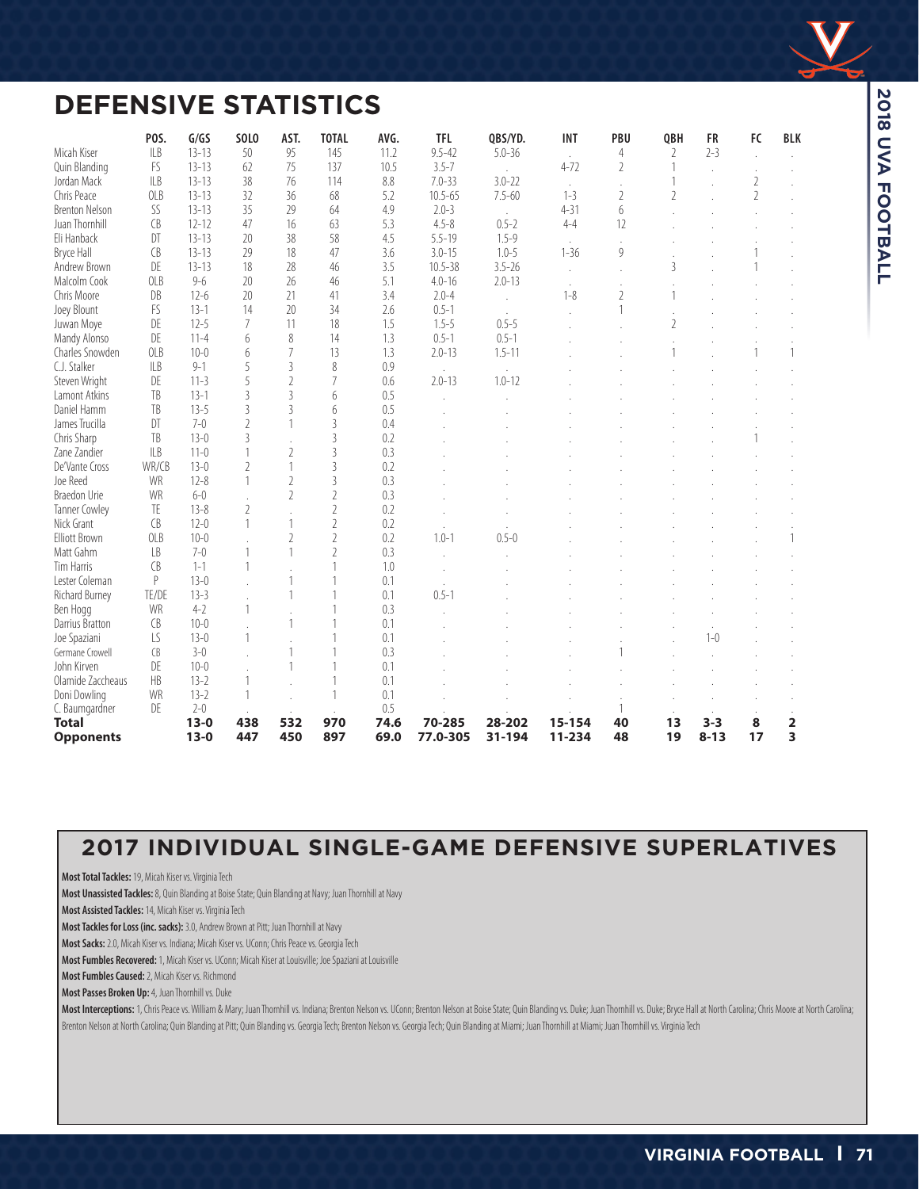

## **DEFENSIVE STATISTICS**

|                            | POS.         | G/GS                   | <b>SOLO</b>              | AST.                     | <b>TOTAL</b>   | AVG.        | <b>TFL</b>              | QBS/YD.    | <b>INT</b>    | PBU            | QBH            | <b>FR</b> | FC             | <b>BLK</b> |
|----------------------------|--------------|------------------------|--------------------------|--------------------------|----------------|-------------|-------------------------|------------|---------------|----------------|----------------|-----------|----------------|------------|
| Micah Kiser                | ILB          | $13 - 13$              | 50                       | 95                       | 145            | 11.2        | $9.5 - 42$              | $5.0 - 36$ | $\mathcal{L}$ | 4              | 2              | $2 - 3$   |                |            |
| Quin Blanding              | FS<br>ILB    | $13 - 13$<br>$13 - 13$ | 62<br>38                 | 75<br>76                 | 137<br>114     | 10.5<br>8.8 | $3.5 - 7$<br>$7.0 - 33$ | $3.0 - 22$ | $4 - 72$      | $\overline{2}$ | 1              |           |                |            |
| Jordan Mack<br>Chris Peace | OLB          | $13 - 13$              | 32                       | 36                       |                |             |                         | $7.5 - 60$ | $1 - 3$       | $\mathbf{r}$   |                |           | $\overline{2}$ |            |
|                            |              |                        |                          |                          | 68             | 5.2         | $10.5 - 65$             |            |               | $\overline{2}$ | $\mathfrak{I}$ |           | $\overline{2}$ |            |
| <b>Brenton Nelson</b>      | SS           | $13 - 13$              | 35                       | 29                       | 64             | 4.9         | $2.0 - 3$               |            | $4 - 31$      | 6              |                |           |                |            |
| Juan Thornhill             | <b>CB</b>    | $12 - 12$              | 47                       | 16                       | 63             | 5.3         | $4.5 - 8$               | $0.5 - 2$  | $4 - 4$       | 12             |                |           |                |            |
| Eli Hanback                | DT           | $13 - 13$              | 20                       | 38                       | 58             | 4.5         | $5.5 - 19$              | $1.5 - 9$  |               |                |                |           |                |            |
| Bryce Hall                 | CB           | $13 - 13$              | 29                       | 18                       | 47             | 3.6         | $3.0 - 15$              | $1.0 - 5$  | $1 - 36$      | 9              |                |           |                |            |
| Andrew Brown               | DE           | $13 - 13$              | 18                       | 28                       | 46             | 3.5         | $10.5 - 38$             | $3.5 - 26$ | $\mathbf{r}$  |                | $\overline{3}$ |           |                |            |
| Malcolm Cook               | OLB          | $9 - 6$                | 20                       | 26                       | 46             | 5.1         | $4.0 - 16$              | $2.0 - 13$ | $\mathbf{r}$  |                |                |           |                |            |
| Chris Moore                | DB           | $12-6$                 | 20                       | 21                       | 41             | 3.4         | $2.0 - 4$               |            | $1 - 8$       | $\overline{2}$ | 1              |           |                |            |
| Joey Blount                | FS           | $13 - 1$               | 14                       | 20                       | 34             | 2.6         | $0.5 - 1$               |            |               | 1              |                |           |                |            |
| Juwan Moye                 | DE           | $12 - 5$               | 7                        | 11                       | 18             | 1.5         | $1.5 - 5$               | $0.5 - 5$  |               |                | $\overline{2}$ |           |                |            |
| Mandy Alonso               | DE           | $11 - 4$               | 6                        | 8                        | 14             | 1.3         | $0.5 - 1$               | $0.5 - 1$  |               |                |                |           |                |            |
| Charles Snowden            | <b>OLB</b>   | $10 - 0$               | 6                        | 7                        | 13             | 1.3         | $2.0 - 13$              | $1.5 - 11$ |               |                |                |           |                |            |
| C.J. Stalker               | ILB          | $9 - 1$                | 5                        | $\overline{3}$           | 8              | 0.9         |                         |            |               |                |                |           |                |            |
| Steven Wright              | DE           | $11-3$                 | 5                        | $\overline{2}$           | 7              | 0.6         | $2.0 - 13$              | $1.0 - 12$ |               |                |                |           |                |            |
| Lamont Atkins              | TB           | $13 - 1$               | 3                        | $\overline{\mathcal{E}}$ | 6              | 0.5         |                         |            |               |                |                |           |                |            |
| Daniel Hamm                | TB           | $13 - 5$               | 3                        | $\overline{3}$           | 6              | 0.5         |                         |            |               |                |                |           |                |            |
| James Trucilla             | DT           | $7-0$                  | $\overline{\phantom{a}}$ | 1                        | $\overline{3}$ | 0.4         |                         |            |               |                |                |           |                |            |
| Chris Sharp                | TB           | $13 - 0$               | $\overline{3}$           |                          | $\overline{3}$ | 0.2         |                         |            |               |                |                |           |                |            |
| Zane Zandier               | ILB          | $11-0$                 |                          | $\overline{2}$           | $\overline{3}$ | 0.3         |                         |            |               |                |                |           |                |            |
| De'Vante Cross             | WR/CB        | $13-0$                 | $\overline{\phantom{a}}$ | 1                        | $\overline{3}$ | 0.2         |                         |            |               |                |                |           |                |            |
| Joe Reed                   | WR           | $12 - 8$               |                          | $\overline{2}$           | $\overline{3}$ | 0.3         |                         |            |               |                |                |           |                |            |
| <b>Braedon Urie</b>        | WR           | $6 - 0$                |                          | $\overline{\phantom{a}}$ | $\sqrt{2}$     | 0.3         |                         |            |               |                |                |           |                |            |
| Tanner Cowley              | TE           | $13 - 8$               | 2                        |                          | $\overline{2}$ | 0.2         |                         |            |               |                |                |           |                |            |
| Nick Grant                 | CB           | $12-0$                 |                          | 1                        | $\overline{2}$ | 0.2         |                         |            |               |                |                |           |                |            |
| <b>Elliott Brown</b>       | <b>OLB</b>   | $10 - 0$               |                          | $\overline{2}$           | $\sqrt{2}$     | 0.2         | $1.0 - 1$               | $0.5 - 0$  |               |                |                |           |                |            |
| Matt Gahm                  | LB           | $7-0$                  |                          | $\mathbf{1}$             | $\overline{2}$ | 0.3         |                         |            |               |                |                |           |                |            |
| Tim Harris                 | <b>CB</b>    | $1 - 1$                |                          |                          | 1              | 1.0         |                         |            |               |                |                |           |                |            |
| Lester Coleman             | $\mathsf{P}$ | $13-0$                 |                          | 1                        | 1              | 0.1         |                         |            |               |                |                |           |                |            |
| <b>Richard Burney</b>      | TE/DE        | $13 - 3$               |                          | $\mathbf{1}$             | $\mathbf{1}$   | 0.1         | $0.5 - 1$               |            |               |                |                |           |                |            |
| Ben Hogg                   | WR           | $4 - 2$                |                          |                          |                | 0.3         |                         |            |               |                |                |           |                |            |
| Darrius Bratton            | CB           | $10 - 0$               |                          | 1                        | $\overline{1}$ | 0.1         |                         |            |               |                |                |           |                |            |
| Joe Spaziani               | LS           | $13-0$                 |                          |                          |                | 0.1         |                         |            |               |                |                | $1 - 0$   |                |            |
| Germane Crowell            | CB           | $3-0$                  |                          | 1                        |                | 0.3         |                         |            |               |                |                |           |                |            |
| John Kirven                | DE           | $10 - 0$               |                          | 1                        |                | 0.1         |                         |            |               |                |                |           |                |            |
| Olamide Zaccheaus          | HB           | $13 - 2$               |                          |                          |                | 0.1         |                         |            |               |                |                |           |                |            |
| Doni Dowling               | WR           | $13 - 2$               |                          |                          |                | 0.1         |                         |            |               |                |                |           |                |            |
| C. Baumgardner             | DE           | $2 - 0$                |                          |                          |                | 0.5         |                         |            |               | 1              |                |           |                |            |
| <b>Total</b>               |              | $13 - 0$               | 438                      | 532                      | 970            | 74.6        | 70-285                  | 28-202     | 15-154        | 40             | 13             | $3 - 3$   | 8              | 2          |
| <b>Opponents</b>           |              | $13 - 0$               | 447                      | 450                      | 897            | 69.0        | 77.0-305                | 31-194     | 11-234        | 48             | 19             | $8 - 13$  | 17             | 3          |

### **2017 INDIVIDUAL SINGLE-GAME DEFENSIVE SUPERLATIVES**

**Most Total Tackles:** 19, Micah Kiser vs. Virginia Tech

**Most Unassisted Tackles:** 8, Quin Blanding at Boise State; Quin Blanding at Navy; Juan Thornhill at Navy

**Most Assisted Tackles:** 14, Micah Kiser vs. Virginia Tech

**Most Tackles for Loss (inc. sacks):** 3.0, Andrew Brown at Pitt; Juan Thornhill at Navy

**Most Sacks:** 2.0, Micah Kiser vs. Indiana; Micah Kiser vs. UConn; Chris Peace vs. Georgia Tech

**Most Fumbles Recovered:** 1, Micah Kiser vs. UConn; Micah Kiser at Louisville; Joe Spaziani at Louisville

**Most Fumbles Caused:** 2, Micah Kiser vs. Richmond

**Most Passes Broken Up:** 4, Juan Thornhill vs. Duke

Most Interceptions: 1, Chris Peace vs. William & Mary; Juan Thornhill vs. Indiana; Brenton Nelson vs. UConn; Brenton Nelson at Boise State; Quin Blanding vs. Duke; Duan Thornhill vs. Duke; Bryce Hall at North Carolina; Chr Brenton Nelson at North Carolina; Quin Blanding at Pitt; Quin Blanding vs. Georgia Tech; Brenton Nelson vs. Georgia Tech; Quin Blanding at Miami; Juan Thornhill at Miami; Juan Thornhill vs. Virginia Tech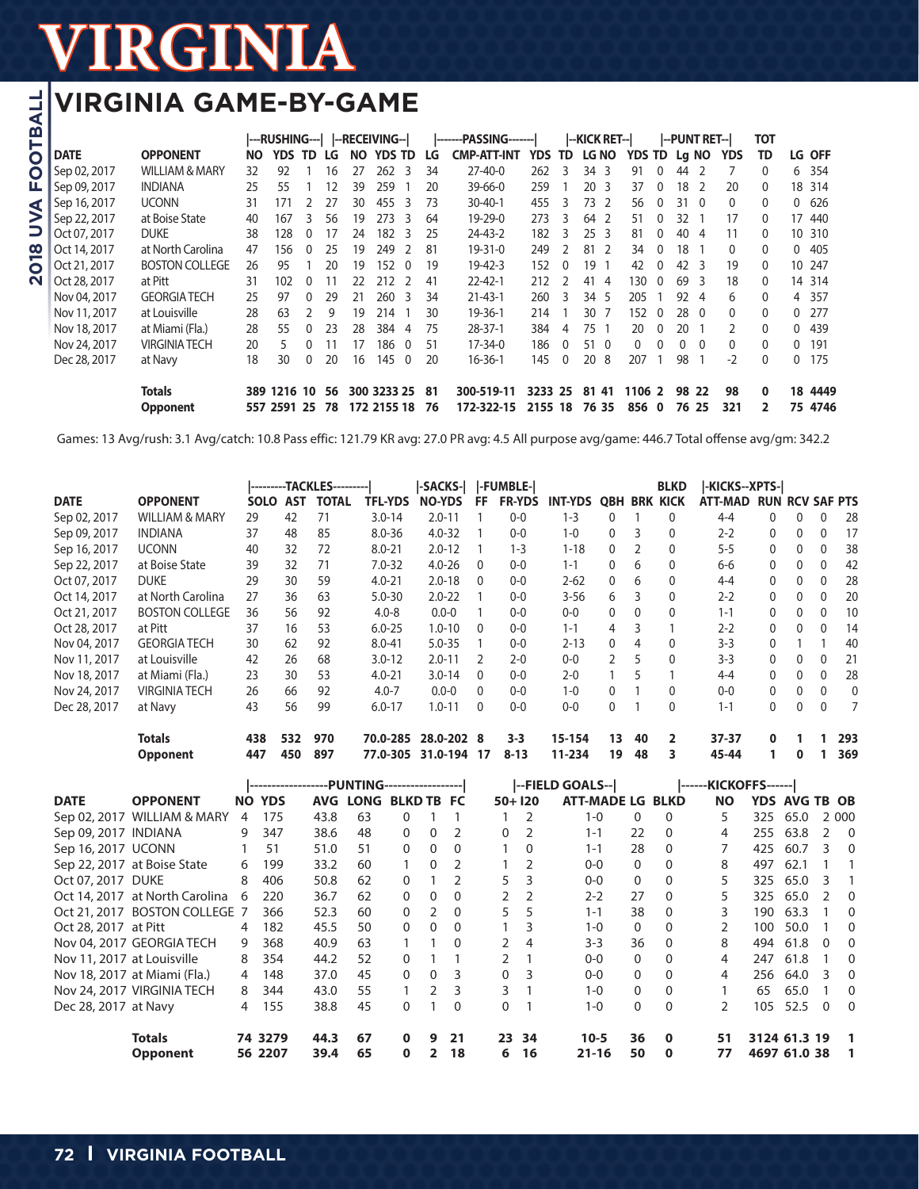## **VIRGINIA GAME-BY-GAME**

|              |                           |           |            |          |    |     | ---RUSHING---   --RECEIVING-- |    | -------PASSING------- |         |          | --KICK RET--                   |               |                          |          | I--PUNT RET--I |               | <b>TOT</b>     |          |               |
|--------------|---------------------------|-----------|------------|----------|----|-----|-------------------------------|----|-----------------------|---------|----------|--------------------------------|---------------|--------------------------|----------|----------------|---------------|----------------|----------|---------------|
| <b>DATE</b>  | <b>OPPONENT</b>           | <b>NO</b> | <b>YDS</b> | TD       | LG | NO. | YDS.<br>TD                    | LG | <b>CMP-ATT-INT</b>    | YDS     | TD       | <b>LG NO</b>                   | <b>YDS TD</b> |                          |          | Lg NO          | <b>YDS</b>    | TD             |          | <b>LG OFF</b> |
| Sep 02, 2017 | <b>WILLIAM &amp; MARY</b> | 32        | 92         |          | 16 | 27  | 262<br>3                      | 34 | $27 - 40 - 0$         | 262     |          | 34<br>-3                       | 91            | 0                        | 44       |                |               | $\Omega$       | 6        | 354           |
| Sep 09, 2017 | <b>INDIANA</b>            | 25        | 55         |          | 12 | 39  | 259                           | 20 | $39 - 66 - 0$         | 259     |          | 20<br>-3                       | 37            | 0                        | 18       |                | 20            | $\mathbf{0}$   |          | 18 314        |
| Sep 16, 2017 | <b>UCONN</b>              | 31        | 171        |          | 27 | 30  | 455<br>२                      | 73 | $30 - 40 - 1$         | 455     | 3        | 73<br>$\overline{\phantom{a}}$ | 56            | 0                        | 31       | - 0            | $\Omega$      | $\mathbf{0}$   | 0        | 626           |
| Sep 22, 2017 | at Boise State            | 40        | 167        | 3        | 56 | 19  | 273<br>3                      | 64 | 19-29-0               | 273     | 3        | 64<br>-2                       | 51            | 0                        | 32       |                | 17            | 0              |          | 17 440        |
| Oct 07, 2017 | <b>DUKE</b>               | 38        | 128        | 0        | 17 | 24  | 182<br>3                      | 25 | 24-43-2               | 182     | 3        | 25 <sub>3</sub>                | 81            | 0                        | 40       | 4              | 11            | 0              |          | 10 310        |
| Oct 14, 2017 | at North Carolina         | 47        | 156        | $\Omega$ | 25 | 19  | 249<br>$\mathcal{L}$          | 81 | $19 - 31 - 0$         | 249     |          | 81<br>-2                       | 34            | 0                        | 18       |                | 0             | 0              | $\Omega$ | 405           |
| Oct 21, 2017 | <b>BOSTON COLLEGE</b>     | 26        | 95         |          | 20 | 19  | 152<br>$\Omega$               | 19 | $19 - 42 - 3$         | 152     | $\Omega$ | 19                             | 42            | 0                        | 42       | 3              | 19            | 0              |          | 10 247        |
| Oct 28, 2017 | at Pitt                   | 31        | 102        | 0        | 11 | 22  | 212<br>$\mathcal{L}$          | 41 | $22 - 42 - 1$         | 212     |          | 41<br>$\overline{4}$           | 130           | $\Omega$                 | 69       | 3              | 18            | $\mathbf{0}$   |          | 14 314        |
| Nov 04, 2017 | <b>GEORGIA TECH</b>       | 25        | 97         | $\Omega$ | 29 | 21  | 260<br>3                      | 34 | $21 - 43 - 1$         | 260     | 3        | 34<br>-5                       | 205           |                          | 92       | 4              | 6             | 0              |          | 4 357         |
| Nov 11, 2017 | at Louisville             | 28        | 63         |          | 9  | 19  | 214                           | 30 | 19-36-1               | 214     |          | 30<br>7                        | 152           | 0                        | 28       | - 0            | $\Omega$      | 0              | 0        | 277           |
| Nov 18, 2017 | at Miami (Fla.)           | 28        | 55         | $\Omega$ | 23 | 28  | 384<br>4                      | 75 | $28 - 37 - 1$         | 384     | 4        | 75                             | 20            | 0                        | 20       |                | $\mathcal{P}$ | $\Omega$       | 0        | 439           |
| Nov 24, 2017 | <b>VIRGINIA TECH</b>      | 20        | 5          |          | 11 | 17  | 186<br>$\Omega$               | 51 | $17 - 34 - 0$         | 186     | $\Omega$ | 51<br>$\Omega$                 | $\Omega$      | 0                        | $\Omega$ | $\Omega$       | $\Omega$      | $\Omega$       | $\Omega$ | 191           |
| Dec 28, 2017 | at Navy                   | 18        | 30         | $\Omega$ | 20 | 16  | 145<br>$\mathbf{0}$           | 20 | $16 - 36 - 1$         | 145     | $\Omega$ | 20<br>8                        | 207           |                          | 98       |                | $-2$          | $\Omega$       | 0        | 175           |
|              | <b>Totals</b>             | 389       | 1216       | 10       | 56 |     | 300 3233 25                   | 81 | 300-519-11            | 3233    | 25       | 81<br>41                       | 1106          | $\overline{\phantom{a}}$ | 98       | 22             | 98            | $\bf{0}$       | 18       | 4449          |
|              | <b>Opponent</b>           |           | 557 2591   | 25       | 78 |     | 172 2155 18                   | 76 | 172-322-15            | 2155 18 |          | 76 35                          | 856           | $\mathbf 0$              | 76       | 25             | 321           | $\overline{2}$ | 75       | 4746          |

Games: 13 Avg/rush: 3.1 Avg/catch: 10.8 Pass effic: 121.79 KR avg: 27.0 PR avg: 4.5 All purpose avg/game: 446.7 Total offense avg/gm: 342.2

|              |                           |             |            | ---------TACKLES--------- |                | -SACKS-       |          | <b>I-FUMBLE-I</b> |                |              |            | <b>BLKD</b>  | l-KICKS--XPTS-l |              |              |              |                        |
|--------------|---------------------------|-------------|------------|---------------------------|----------------|---------------|----------|-------------------|----------------|--------------|------------|--------------|-----------------|--------------|--------------|--------------|------------------------|
| <b>DATE</b>  | <b>OPPONENT</b>           | <b>SOLO</b> | <b>AST</b> | <b>TOTAL</b>              | <b>TFL-YDS</b> | <b>NO-YDS</b> | FF       | <b>FR-YDS</b>     | <b>INT-YDS</b> | <b>QBH</b>   | <b>BRK</b> | <b>KICK</b>  | <b>ATT-MAD</b>  |              |              |              | <b>RUN RCV SAF PTS</b> |
| Sep 02, 2017 | <b>WILLIAM &amp; MARY</b> | 29          | 42         | 71                        | $3.0 - 14$     | $2.0 - 11$    |          | $0 - 0$           | $1 - 3$        | $\Omega$     |            | $\Omega$     | $4 - 4$         | $\mathbf{0}$ | $\Omega$     |              | 28                     |
| Sep 09, 2017 | <b>INDIANA</b>            | 37          | 48         | 85                        | $8.0 - 36$     | $4.0 - 32$    |          | $0 - 0$           | $1 - 0$        | $\Omega$     | 3          | $\mathbf{0}$ | $2 - 2$         | $\mathbf{0}$ | $\Omega$     |              | 17                     |
| Sep 16, 2017 | <b>UCONN</b>              | 40          | 32         | 72                        | $8.0 - 21$     | $2.0 - 12$    |          | $1 - 3$           | $1 - 18$       | $\mathbf{0}$ |            | $\mathbf{0}$ | $5 - 5$         | $\mathbf{0}$ | 0            |              | 38                     |
| Sep 22, 2017 | at Boise State            | 39          | 32         | 71                        | $7.0 - 32$     | $4.0 - 26$    | $\Omega$ | $0 - 0$           | $1 - 1$        | 0            | 6          | $\mathbf{0}$ | 6-6             | $\mathbf{0}$ | $\Omega$     | 0            | 42                     |
| Oct 07, 2017 | <b>DUKE</b>               | 29          | 30         | 59                        | $4.0 - 21$     | $2.0 - 18$    | $\Omega$ | $0 - 0$           | $2 - 62$       | 0            | 6          | $\mathbf{0}$ | $4 - 4$         | $\mathbf{0}$ | $\Omega$     | 0            | 28                     |
| Oct 14, 2017 | at North Carolina         | 27          | 36         | 63                        | $5.0 - 30$     | $2.0 - 22$    |          | $0 - 0$           | $3 - 56$       | 6            | 3          | $\mathbf{0}$ | $2 - 2$         | $\mathbf{0}$ | $\Omega$     | 0            | 20                     |
| Oct 21, 2017 | <b>BOSTON COLLEGE</b>     | 36          | 56         | 92                        | $4.0 - 8$      | $0.0 - 0$     |          | $0-0$             | $0-0$          | 0            | $\Omega$   | $\mathbf{0}$ | $1 - 1$         | $\mathbf{0}$ | 0            | 0            | 10                     |
| Oct 28, 2017 | at Pitt                   | 37          | 16         | 53                        | $6.0 - 25$     | $1.0 - 10$    | $\Omega$ | $0 - 0$           | $1 - 1$        | 4            | 3          |              | $2 - 2$         | $\mathbf{0}$ | $\mathbf{0}$ | 0            | 14                     |
| Nov 04, 2017 | <b>GEORGIA TECH</b>       | 30          | 62         | 92                        | $8.0 - 41$     | $5.0 - 35$    |          | $0 - 0$           | $2 - 13$       | $\mathbf{0}$ | 4          | $\mathbf{0}$ | $3 - 3$         | 0            |              |              | 40                     |
| Nov 11, 2017 | at Louisville             | 42          | 26         | 68                        | $3.0 - 12$     | $2.0 - 11$    |          | $2 - 0$           | $0-0$          | $\mathbf{2}$ | 5          | $\Omega$     | $3 - 3$         | $\mathbf{0}$ | $\mathbf{0}$ | $\Omega$     | 21                     |
| Nov 18, 2017 | at Miami (Fla.)           | 23          | 30         | 53                        | $4.0 - 21$     | $3.0 - 14$    | $\Omega$ | $0 - 0$           | $2 - 0$        |              | 5          |              | $4 - 4$         | $\mathbf{0}$ | $\mathbf{0}$ | $\Omega$     | 28                     |
| Nov 24, 2017 | <b>VIRGINIA TECH</b>      | 26          | 66         | 92                        | $4.0 - 7$      | $0.0 - 0$     | $\Omega$ | $0 - 0$           | $1 - 0$        | $\mathbf{0}$ |            | $\mathbf{0}$ | $0-0$           | $\mathbf{0}$ | $\mathbf{0}$ | $\mathbf{0}$ | $\mathbf{0}$           |
| Dec 28, 2017 | at Navy                   | 43          | 56         | 99                        | $6.0 - 17$     | $1.0 - 11$    | $\Omega$ | $0 - 0$           | $0-0$          | 0            |            | $\mathbf{0}$ | $1 - 1$         | $\mathbf{0}$ | $\mathbf{0}$ | $\Omega$     | 7                      |
|              | <b>Totals</b>             | 438         | 532        | 970                       | 70.0-285       | 28.0-202 8    |          | $3 - 3$           | 15-154         | 13           | 40         | 2            | 37-37           | 0            |              |              | 293                    |
|              | <b>Opponent</b>           | 447         | 450        | 897                       | 77.0-305       | 31.0-194      | 17       | $8 - 13$          | 11-234         | 19           | 48         | 3            | 45-44           |              | 0            |              | 369                    |

|                            |                                |           | ------------------PUNTING------------------ |            |      |                   |          |          |               |            | l--FIELD GOALS--l       |             | ------KICKOFFS------ |     |               |               |                |
|----------------------------|--------------------------------|-----------|---------------------------------------------|------------|------|-------------------|----------|----------|---------------|------------|-------------------------|-------------|----------------------|-----|---------------|---------------|----------------|
| <b>DATE</b>                | <b>OPPONENT</b>                | <b>NO</b> | <b>YDS</b>                                  | <b>AVG</b> | LONG | <b>BLKD TB FC</b> |          |          |               | $50 + 120$ | <b>ATT-MADE LG BLKD</b> |             | <b>NO</b>            |     | YDS AVG TB OB |               |                |
| Sep 02, 2017               | <b>WILLIAM &amp; MARY</b>      | 4         | 175                                         | 43.8       | 63   | $\Omega$          |          |          |               |            | $1 - 0$<br>$\mathbf{0}$ | $\Omega$    | 5                    | 325 | 65.0          |               | 2 000          |
| Sep 09, 2017 INDIANA       |                                | 9         | 347                                         | 38.6       | 48   | $\Omega$          | $\Omega$ |          | 0             |            | $1 - 1$<br>22           | $\Omega$    | 4                    | 255 | 63.8          | $\mathcal{P}$ | $\Omega$       |
| Sep 16, 2017 UCONN         |                                |           | 51                                          | 51.0       | 51   | $\Omega$          | $\Omega$ | $\Omega$ |               | $\Omega$   | 28<br>$1 - 1$           | $\Omega$    | 7                    | 425 | 60.7          | 3             | $\Omega$       |
|                            | Sep 22, 2017 at Boise State    | 6         | 199                                         | 33.2       | 60   |                   | $\Omega$ |          |               | 2          | $0 - 0$<br>$\Omega$     | $\Omega$    | 8                    | 497 | 62.1          |               |                |
| Oct 07, 2017 DUKE          |                                | 8         | 406                                         | 50.8       | 62   | $\Omega$          |          |          | 5             | 3          | $0 - 0$<br>$\mathbf{0}$ | $\Omega$    | 5.                   | 325 | 65.0          | 3             |                |
|                            | Oct 14, 2017 at North Carolina |           | 220                                         | 36.7       | 62   | $\Omega$          | $\Omega$ | $\Omega$ | $\mathcal{P}$ | 2          | 27<br>$2 - 2$           | $\Omega$    |                      | 325 | 65.0          |               | $\Omega$       |
|                            | Oct 21, 2017 BOSTON COLLEGE 7  |           | 366                                         | 52.3       | 60   | $\Omega$          | C.       | $\Omega$ |               | 5          | $1 - 1$<br>38           | $\Omega$    | 3                    | 190 | 63.3          |               | 0              |
| Oct 28, 2017 at Pitt       |                                | 4         | 182                                         | 45.5       | 50   | $\Omega$          | $\Omega$ | $\Omega$ |               | 3          | $\mathbf 0$<br>$1 - 0$  | 0           | 2                    | 100 | 50.0          |               | 0              |
|                            | Nov 04, 2017 GEORGIA TECH      | 9         | 368                                         | 40.9       | 63   |                   |          | $\Omega$ | $\mathcal{P}$ | 4          | $3 - 3$<br>36           | $\Omega$    | 8                    | 494 | 61.8          | $\Omega$      | $\Omega$       |
| Nov 11, 2017 at Louisville |                                | 8         | 354                                         | 44.2       | 52   | $\Omega$          |          |          |               |            | $\mathbf 0$<br>$0-0$    | 0           | 4                    | 247 | 61.8          |               | 0              |
|                            | Nov 18, 2017 at Miami (Fla.)   | 4         | 148                                         | 37.0       | 45   | $\Omega$          | $\Omega$ | 3        | 0             | 3          | $\mathbf{0}$<br>$0 - 0$ | $\Omega$    | 4                    | 256 | 64.0          | -3            | $\Omega$       |
|                            | Nov 24, 2017 VIRGINIA TECH     | 8         | 344                                         | 43.0       | 55   |                   | 2        | 3        | 3             |            | $\mathbf 0$<br>$1 - 0$  | 0           |                      | 65  | 65.0          |               | $\Omega$       |
| Dec 28, 2017 at Navy       |                                | 4         | 155                                         | 38.8       | 45   | 0                 |          | $\Omega$ | 0             |            | $\mathbf{0}$<br>$1 - 0$ | $\Omega$    | 2                    | 105 | 52.5          | $\Omega$      | $\Omega$       |
|                            | <b>Totals</b>                  |           | 74 3279                                     | 44.3       | 67   | $\mathbf{0}$      | 9        | 21       | 23            | 34         | $10-5$<br>36            | $\mathbf 0$ | 51                   |     | 3124 61.3 19  |               | $\blacksquare$ |
|                            | <b>Opponent</b>                |           | 56 2207                                     | 39.4       | 65   | $\mathbf{0}$      | 2        | 18       | 6             | 16         | $21 - 16$<br>50         | 0           | 77                   |     | 4697 61.0 38  |               | $\blacksquare$ |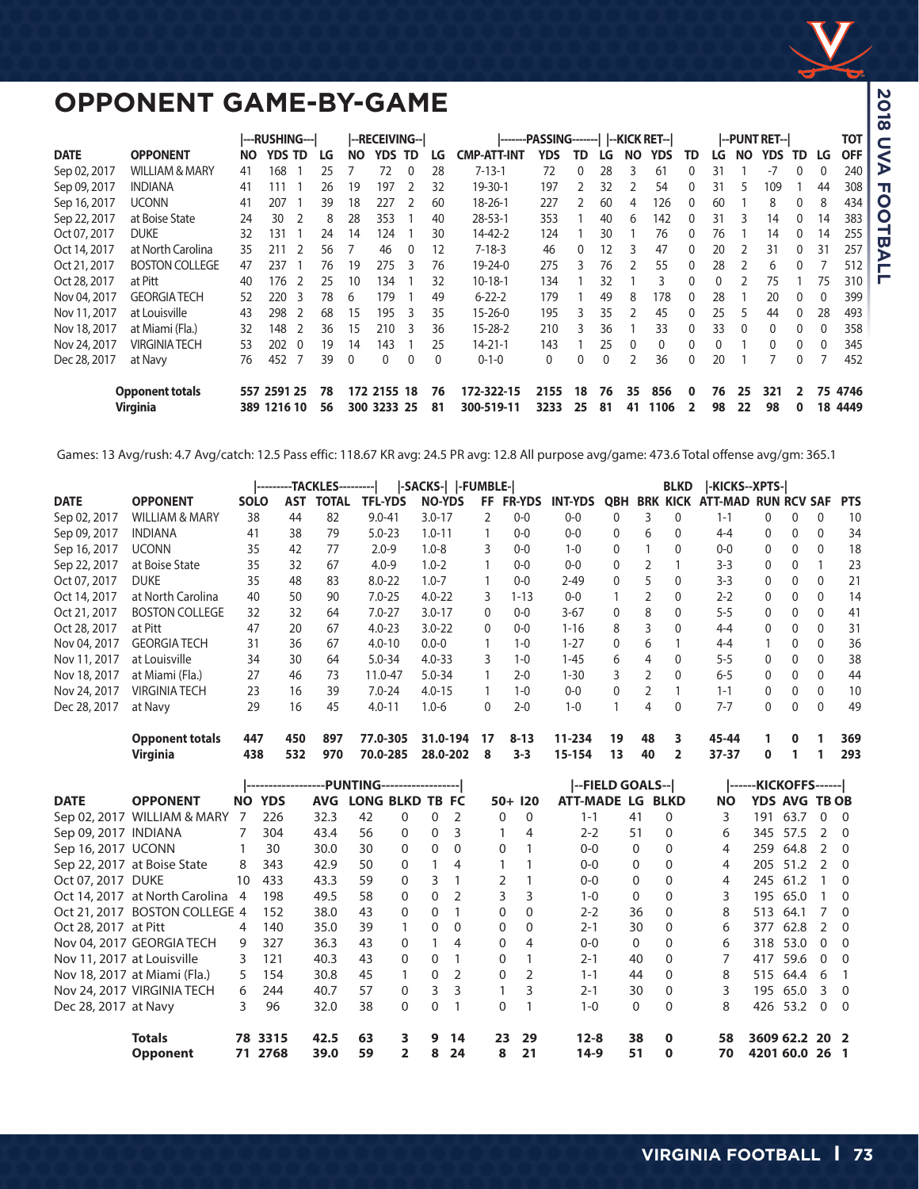

## **OPPONENT GAME-BY-GAME**

|              |                                           |           | ---RUSHING---          |          |          |              | --RECEIVING--1             |              |          |                          | -------PASSING-------    --KICK RET-- |              |          |          |              |              |          |          | --PUNT RET-- |          |    | ТОТ             |
|--------------|-------------------------------------------|-----------|------------------------|----------|----------|--------------|----------------------------|--------------|----------|--------------------------|---------------------------------------|--------------|----------|----------|--------------|--------------|----------|----------|--------------|----------|----|-----------------|
| <b>DATE</b>  | <b>OPPONENT</b>                           | <b>NO</b> | <b>YDS</b>             | TD.      | LG       | NΟ           | YDS                        | TD           | LG       | CMP-ATT-IN1              | YDS                                   | TD           | l G      | NΩ       | YDS          | TD           | LG       | NO.      | <b>YDS</b>   | TD       | LG | <b>OFF</b>      |
| Sep 02, 2017 | <b>WILLIAM &amp; MARY</b>                 | 41        | 168                    |          | 25       |              | 72                         |              | 28       | $7 - 13 - 1$             | 72                                    | $\Omega$     | 28       |          | 61           |              | 31       |          | $-7$         |          | 0  | 240             |
| Sep 09, 2017 | <b>INDIANA</b>                            | 41        | 111                    |          | 26       | 19           | 197                        |              | 32       | 19-30-1                  | 197                                   |              | 32       |          | 54           |              | 31       | 5        | 109          |          | 44 | 308             |
| Sep 16, 2017 | <b>UCONN</b>                              | 41        | 207                    |          | 39       | 18           | 227                        |              | 60       | $18 - 26 - 1$            | 227                                   |              | 60       | 4        | 126          |              | 60       |          | 8            |          | 8  | 434             |
| Sep 22, 2017 | at Boise State                            | 24        | 30                     |          | 8        | 28           | 353                        |              | 40       | $28 - 53 - 1$            | 353                                   |              | 40       | 6        | 142          | $\Omega$     | 31       | 3        | 14           | $\Omega$ | 14 | 383             |
| Oct 07, 2017 | <b>DUKE</b>                               | 32        | 131                    |          | 24       | 14           | 124                        |              | 30       | $14 - 42 - 2$            | 124                                   |              | 30       |          | 76           | $\Omega$     | 76       |          | 14           |          | 14 | 255             |
| Oct 14, 2017 | at North Carolina                         | 35        | 211                    |          | 56       |              | 46                         | 0            | 12       | $7 - 18 - 3$             | 46                                    | 0            | 12       | 3        | 47           | $\mathbf{0}$ | 20       | 2        | 31           |          | 31 | 257             |
| Oct 21, 2017 | <b>BOSTON COLLEGE</b>                     | 47        | 237                    |          | 76       | 19           | 275                        | 3            | 76       | 19-24-0                  | 275                                   | 3            | 76       |          | 55           | 0            | 28       |          | 6            |          |    | 512             |
| Oct 28, 2017 | at Pitt                                   | 40        | 176                    |          | 25       | 10           | 134                        |              | 32       | $10-18-1$                | 134                                   |              | 32       |          | 3            | 0            |          |          | 75           |          | 75 | 310             |
| Nov 04, 2017 | <b>GEORGIA TECH</b>                       | 52        | 220                    | -3       | 78       | 6            | 179                        |              | 49       | $6 - 22 - 2$             | 179                                   |              | 49       | 8        | 178          | 0            | 28       |          | 20           | 0        | 0  | 399             |
| Nov 11, 2017 | at Louisville                             | 43        | 298                    | -2       | 68       | 15           | 195                        | 3            | 35       | $15 - 26 - 0$            | 195                                   | 3            | 35       |          | 45           | 0            | 25       | 5        | 44           | 0        | 28 | 493             |
| Nov 18, 2017 | at Miami (Fla.)                           | 32        | 148                    | - 2      | 36       | 15           | 210                        | -3           | 36       | $15 - 28 - 2$            | 210                                   | 3            | 36       |          | 33           | 0            | 33       | $\Omega$ | $\mathbf{0}$ | 0        | 0  | 358             |
| Nov 24, 2017 | <b>VIRGINIA TECH</b>                      | 53        | 202                    | $\Omega$ | 19       | 14           | 143                        |              | 25       | $14 - 21 - 1$            | 143                                   |              | 25       | $\Omega$ | $\mathbf{0}$ | 0            |          |          | $\Omega$     | 0        | 0  | 345             |
| Dec 28, 2017 | at Navy                                   | 76        | 452                    |          | 39       | $\mathbf{0}$ | 0                          | $\mathbf{0}$ | 0        | $0 - 1 - 0$              | 0                                     | $\mathbf{0}$ | 0        |          | 36           | $\mathbf{0}$ | 20       |          |              |          |    | 452             |
|              | <b>Opponent totals</b><br><b>Virginia</b> | 557       | 2591 25<br>389 1216 10 |          | 78<br>56 |              | 172 2155 18<br>300 3233 25 |              | 76<br>81 | 172-322-15<br>300-519-11 | 2155<br>3233                          | 18<br>25     | 76<br>81 | 35<br>41 | 856<br>1106  | 0            | 76<br>98 | 25<br>22 | 321<br>98    | 2<br>0   | 18 | 75 4746<br>4449 |

Games: 13 Avg/rush: 4.7 Avg/catch: 12.5 Pass effic: 118.67 KR avg: 24.5 PR avg: 12.8 All purpose avg/game: 473.6 Total offense avg/gm: 365.1

|              |                           |             |     | ---------TACKLES--------- |                | -SACKS-   -FUMBLE- |               |               |                |            |               | <b>BLKD</b>  | -KICKS--XPTS- |              |              |                |            |
|--------------|---------------------------|-------------|-----|---------------------------|----------------|--------------------|---------------|---------------|----------------|------------|---------------|--------------|---------------|--------------|--------------|----------------|------------|
| <b>DATE</b>  | <b>OPPONENT</b>           | <b>SOLO</b> | AST | TOTAL                     | <b>TFL-YDS</b> | <b>NO-YDS</b>      | FF.           | <b>FR-YDS</b> | <b>INT-YDS</b> | <b>QBH</b> | <b>BRK</b>    | <b>KICK</b>  | ATT-MAD       | <b>RUN</b>   |              | <b>RCV SAF</b> | <b>PTS</b> |
| Sep 02, 2017 | <b>WILLIAM &amp; MARY</b> | 38          | 44  | 82                        | $9.0 - 41$     | $3.0 - 17$         | $\mathcal{P}$ | $0 - 0$       | $0-0$          | $\Omega$   | 3.            | $\Omega$     | $1 - 1$       | 0            | 0            |                | 10         |
| Sep 09, 2017 | <b>INDIANA</b>            | 41          | 38  | 79                        | $5.0 - 23$     | $1.0 - 11$         |               | $0 - 0$       | $0-0$          | 0          | 6             | $\Omega$     | $4 - 4$       | 0            | $\mathbf{0}$ | $\Omega$       | 34         |
| Sep 16, 2017 | <b>UCONN</b>              | 35          | 42  | 77                        | $2.0 - 9$      | $1.0 - 8$          | 3             | $0 - 0$       | $1 - 0$        | 0          |               | 0            | $0-0$         | 0            | 0            | $\Omega$       | 18         |
| Sep 22, 2017 | at Boise State            | 35          | 32  | 67                        | $4.0 - 9$      | $1.0 - 2$          |               | $0-0$         | $0-0$          | 0          |               |              | $3 - 3$       | 0            | 0            |                | 23         |
| Oct 07, 2017 | <b>DUKE</b>               | 35          | 48  | 83                        | $8.0 - 22$     | $1.0 - 7$          |               | $0-0$         | $2 - 49$       | 0          | 5             | $\mathbf{0}$ | $3 - 3$       | 0            | $\mathbf{0}$ | $\mathbf{0}$   | 21         |
| Oct 14, 2017 | at North Carolina         | 40          | 50  | 90                        | $7.0 - 25$     | $4.0 - 22$         | 3             | $1 - 13$      | $0-0$          |            |               | $\mathbf{0}$ | $2 - 2$       | 0            | $\mathbf{0}$ | $\Omega$       | 14         |
| Oct 21, 2017 | <b>BOSTON COLLEGE</b>     | 32          | 32  | 64                        | $7.0 - 27$     | $3.0 - 17$         | 0             | $0 - 0$       | $3-67$         | 0          | 8             | $\mathbf{0}$ | $5 - 5$       | 0            | 0            | $\mathbf{0}$   | 41         |
| Oct 28, 2017 | at Pitt                   | 47          | 20  | 67                        | $4.0 - 23$     | $3.0 - 22$         | 0             | $0 - 0$       | $1 - 16$       | 8          | 3             | $\mathbf{0}$ | $4 - 4$       | 0            | 0            | $\Omega$       | 31         |
| Nov 04, 2017 | <b>GEORGIA TECH</b>       | 31          | 36  | 67                        | $4.0 - 10$     | $0.0 - 0$          |               | $1 - 0$       | $1 - 27$       | $\Omega$   | 6             |              | $4 - 4$       |              | $\mathbf{0}$ | $\Omega$       | 36         |
| Nov 11, 2017 | at Louisville             | 34          | 30  | 64                        | $5.0 - 34$     | $4.0 - 33$         | 3             | $1 - 0$       | $1 - 45$       | 6          | 4             | $\mathbf{0}$ | $5 - 5$       | 0            | $\Omega$     | $\Omega$       | 38         |
| Nov 18, 2017 | at Miami (Fla.)           | 27          | 46  | 73                        | 11.0-47        | $5.0 - 34$         |               | $2 - 0$       | $1 - 30$       | 3          | $\mathcal{P}$ | $\Omega$     | $6 - 5$       | $\mathbf{0}$ | 0            | $\Omega$       | 44         |
| Nov 24, 2017 | <b>VIRGINIA TECH</b>      | 23          | 16  | 39                        | $7.0 - 24$     | $4.0 - 15$         |               | $1 - 0$       | $0-0$          | 0          | $\mathcal{P}$ |              | $1 - 1$       | $\mathbf{0}$ | $\mathbf{0}$ | $\Omega$       | 10         |
| Dec 28, 2017 | at Navy                   | 29          | 16  | 45                        | $4.0 - 11$     | $1.0 - 6$          | 0             | $2 - 0$       | $1 - 0$        |            | 4             | $\mathbf{0}$ | $7 - 7$       | 0            | $\mathbf{0}$ | $\mathbf{0}$   | 49         |
|              | <b>Opponent totals</b>    | 447         | 450 | 897                       | 77.0-305       | 31.0-194           | 17            | $8 - 13$      | 11-234         | 19         | 48            | 3            | 45-44         |              | 0            |                | 369        |
|              | <b>Virginia</b>           | 438         | 532 | 970                       | 70.0-285       | 28.0-202           | 8             | $3 - 3$       | 15-154         | 13         | 40            | 2            | 37-37         | 0            |              |                | 293        |

|                            |                                |     | -------------------PUNTING------------------ |            |                 |          |              |          |          |          | --FIELD GOALS--    |              |             |           | ------KICKOFFS------ |                      |                         |          |
|----------------------------|--------------------------------|-----|----------------------------------------------|------------|-----------------|----------|--------------|----------|----------|----------|--------------------|--------------|-------------|-----------|----------------------|----------------------|-------------------------|----------|
| <b>DATE</b>                | <b>OPPONENT</b>                | NO. | <b>YDS</b>                                   | <b>AVG</b> | LONG BLKD TB FC |          |              |          | $50+120$ |          | <b>ATT-MADE LG</b> |              | <b>BLKD</b> | <b>NO</b> |                      | <b>YDS AVG TB OB</b> |                         |          |
| Sep 02, 2017               | <b>WILLIAM &amp; MARY</b>      |     | 226                                          | 32.3       | 42              | $\Omega$ | $\Omega$     | 2        | 0        | 0        | $1 - 1$            | 41           | 0           | 3         | 191                  | 63.7                 | $\Omega$                | - 0      |
| Sep 09, 2017 INDIANA       |                                |     | 304                                          | 43.4       | 56              | $\Omega$ | 0            | 3        |          | 4        | $2 - 2$            | 51           | $\Omega$    | 6         | 345                  | 57.5                 | $\mathcal{L}$           | - 0      |
| Sep 16, 2017 UCONN         |                                |     | 30                                           | 30.0       | 30              | $\Omega$ | 0            | 0        | 0        |          | $0 - 0$            | $\mathbf{0}$ | 0           | 4         | 259                  | 64.8                 | $\mathcal{L}$           | - 0      |
|                            | Sep 22, 2017 at Boise State    | 8   | 343                                          | 42.9       | 50              | $\Omega$ |              | 4        |          |          | $0 - 0$            | $\mathbf{0}$ | 0           | 4         | 205                  | 51.2                 | $\mathcal{L}$           | _ ი      |
| Oct 07, 2017 DUKE          |                                | 10  | 433                                          | 43.3       | 59              | $\Omega$ | 3            |          |          |          | $0 - 0$            | $\mathbf{0}$ | 0           | 4         | 245                  | 61.2                 |                         | - 0      |
|                            | Oct 14, 2017 at North Carolina | 4   | 198                                          | 49.5       | 58              | $\Omega$ | $\mathbf{0}$ |          | 3        | 3        | $1 - 0$            | $\mathbf{0}$ | 0           | 3         | 195                  | 65.0                 |                         | - 0      |
| Oct 21, 2017               | <b>BOSTON COLLEGE 4</b>        |     | 152                                          | 38.0       | 43              | $\Omega$ | $\Omega$     |          | 0        | 0        | $2 - 2$            | 36           |             | 8         | 513                  | 64.1                 |                         | - റ      |
| Oct 28, 2017 at Pitt       |                                | 4   | 140                                          | 35.0       | 39              |          | $\Omega$     | $\Omega$ | 0        | $\Omega$ | $2 - 1$            | 30           | 0           | 6         | 377                  | 62.8                 | 2 0                     |          |
|                            | Nov 04, 2017 GEORGIA TECH      | 9   | 327                                          | 36.3       | 43              | $\Omega$ |              | 4        | 0        | 4        | $0 - 0$            | $\mathbf{0}$ | 0           | 6         | 318                  | 53.0                 | $\Omega$                | - റ      |
| Nov 11, 2017 at Louisville |                                | 3   | 121                                          | 40.3       | 43              | $\Omega$ | 0            |          | 0        |          | $2 - 1$            | 40           | 0           |           | 417                  | 59.6                 | $\Omega$                | $\Omega$ |
|                            | Nov 18, 2017 at Miami (Fla.)   | 5.  | 154                                          | 30.8       | 45              |          | 0            | 2        | 0        | 2        | $1 - 1$            | 44           | $\Omega$    | 8         | 515                  | 64.4                 | -6                      |          |
|                            | Nov 24, 2017 VIRGINIA TECH     | 6   | 244                                          | 40.7       | 57              | $\Omega$ | 3            | 3        |          | 3        | $2 - 1$            | 30           | 0           | 3         | 195                  | 65.0                 | $\overline{\mathbf{3}}$ | _ი       |
| Dec 28, 2017 at Navy       |                                | 3   | 96                                           | 32.0       | 38              | $\Omega$ | $\Omega$     |          | $\Omega$ |          | $1 - 0$            | $\mathbf{0}$ | $\Omega$    | 8         | 426                  | 53.2                 | $\Omega$                | $\Omega$ |
|                            | <b>Totals</b>                  | 78  | 3315                                         | 42.5       | 63              | 3.       | 9            | 14       | 23       | 29       | $12 - 8$           | 38           | $\bf{0}$    | 58        |                      | 3609 62.2 20 2       |                         |          |
|                            | <b>Opponent</b>                | 71  | 2768                                         | 39.0       | 59              | 2        | 8            | 24       | 8        | 21       | $14-9$             | 51           | 0           | 70        |                      | 4201 60.0 26 1       |                         |          |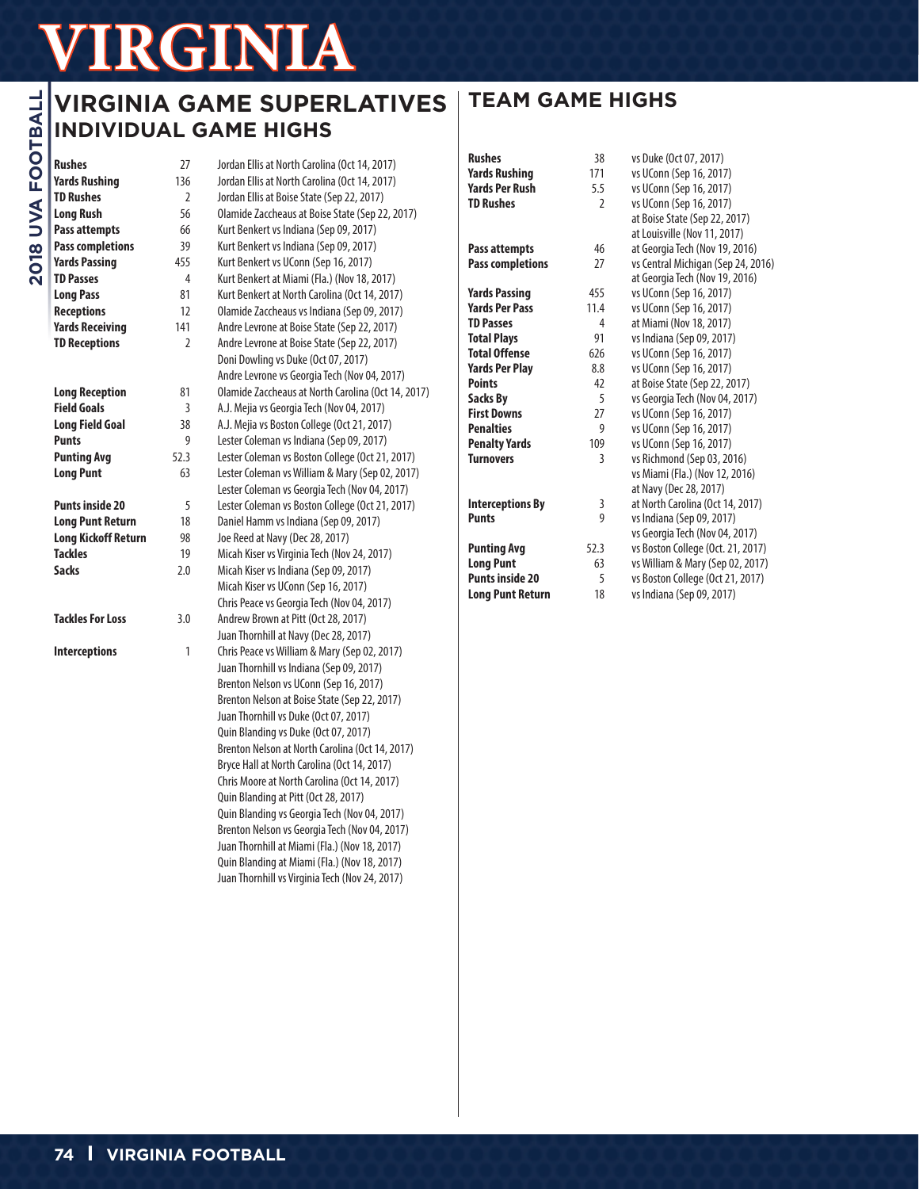## **VIRGINIA GAME SUPERLATIVES INDIVIDUAL GAME HIGHS**

**Rushes** 27 Jordan Ellis at North Carolina (Oct 14, 2017)

| <b>TD Rushes</b>           | 2              | Jo             |
|----------------------------|----------------|----------------|
| <b>Long Rush</b>           | 56             | $\overline{0}$ |
| <b>Pass attempts</b>       | 66             | Κu             |
| <b>Pass completions</b>    | 39             | Κu             |
| <b>Yards Passing</b>       | 455            | Κu             |
| <b>TD Passes</b>           | $\overline{4}$ | Κu             |
| <b>Long Pass</b>           | 81             | Κu             |
| <b>Receptions</b>          | 12             | 0 <sub>l</sub> |
| <b>Yards Receiving</b>     | 141            | Ar             |
| <b>TD Receptions</b>       | $\overline{2}$ | Ar             |
|                            |                | Do             |
|                            |                | Ar             |
| <b>Long Reception</b>      | 81             | $\overline{0}$ |
| <b>Field Goals</b>         | 3              | A.,            |
| <b>Long Field Goal</b>     | 38             | A.             |
| <b>Punts</b>               | 9              | Le             |
| <b>Punting Avg</b>         | 52.3           | Le             |
| <b>Long Punt</b>           | 63             | Le             |
|                            |                | Le             |
| <b>Punts inside 20</b>     | 5              | Le             |
| <b>Long Punt Return</b>    | 18             | Da             |
| <b>Long Kickoff Return</b> | 98             | Jo             |
| <b>Tackles</b>             | 19             | Mi             |
| <b>Sacks</b>               | 2.0            | Mi             |
|                            |                | Mi             |
|                            |                | Ch             |
| <b>Tackles For Loss</b>    | 3.0            | Ar             |
|                            |                | Ju             |
| <b>Interceptions</b>       | 1              | Ch             |
|                            |                | Ju             |
|                            |                | Br             |
|                            |                | Br             |
|                            |                | ٠.             |

**Yards Rushing** 136 Jordan Ellis at North Carolina (Oct 14, 2017) rdan Ellis at Boise State (Sep 22, 2017) lamide Zaccheaus at Boise State (Sep 22, 2017) **Pass attempts** 66 Kurt Benkert vs Indiana (Sep 09, 2017) **Pass completions** 39 Kurt Benkert vs Indiana (Sep 09, 2017) **Yards Passing** 455 Kurt Benkert vs UConn (Sep 16, 2017) **TD Passes** 4 Kurt Benkert at Miami (Fla.) (Nov 18, 2017) **Long Pass** 81 Kurt Benkert at North Carolina (Oct 14, 2017) lamide Zaccheaus vs Indiana (Sep 09, 2017) dre Levrone at Boise State (Sep 22, 2017) dre Levrone at Boise State (Sep 22, 2017) Doni Dowling vs Duke (Oct 07, 2017) dre Levrone vs Georgia Tech (Nov 04, 2017) lamide Zaccheaus at North Carolina (Oct 14, 2017) J. Mejia vs Georgia Tech (Nov 04, 2017) **J. Mejia vs Boston College (Oct 21, 2017) Puller Coleman vs Indiana (Sep 09, 2017) Puller Coleman vs Boston College (Oct 21, 2017) Long Coleman vs William & Mary (Sep 02, 2017)** ester Coleman vs Georgia Tech (Nov 04, 2017) **Puller Coleman vs Boston College (Oct 21, 2017)** aniel Hamm vs Indiana (Sep 09, 2017) **Long Reed at Navy (Dec 28, 2017)** icah Kiser vs Virginia Tech (Nov 24, 2017) icah Kiser vs Indiana (Sep 09, 2017) icah Kiser vs UConn (Sep 16, 2017) Chris Peace vs Georgia Tech (Nov 04, 2017) **Tackler Brown at Pitt (Oct 28, 2017)** an Thornhill at Navy (Dec 28, 2017) 1ris Peace vs William & Mary (Sep 02, 2017) an Thornhill vs Indiana (Sep 09, 2017) Brenton Nelson vs UConn (Sep 16, 2017) enton Nelson at Boise State (Sep 22, 2017) Juan Thornhill vs Duke (Oct 07, 2017) Quin Blanding vs Duke (Oct 07, 2017) Brenton Nelson at North Carolina (Oct 14, 2017) Bryce Hall at North Carolina (Oct 14, 2017) Chris Moore at North Carolina (Oct 14, 2017) Quin Blanding at Pitt (Oct 28, 2017) Quin Blanding vs Georgia Tech (Nov 04, 2017) Brenton Nelson vs Georgia Tech (Nov 04, 2017) Juan Thornhill at Miami (Fla.) (Nov 18, 2017) Quin Blanding at Miami (Fla.) (Nov 18, 2017)

Juan Thornhill vs Virginia Tech (Nov 24, 2017)

## **TEAM GAME HIGHS**

| <b>Rushes</b>           | 38             | vs Duke (Oct 07, 2017)             |
|-------------------------|----------------|------------------------------------|
| <b>Yards Rushing</b>    | 171            | vs UConn (Sep 16, 2017)            |
| Yards Per Rush          | 5.5            | vs UConn (Sep 16, 2017)            |
| <b>TD Rushes</b>        | $\overline{2}$ | vs UConn (Sep 16, 2017)            |
|                         |                | at Boise State (Sep 22, 2017)      |
|                         |                | at Louisville (Nov 11, 2017)       |
| Pass attempts           | 46             | at Georgia Tech (Nov 19, 2016)     |
| <b>Pass completions</b> | 27             | vs Central Michigan (Sep 24, 2016) |
|                         |                | at Georgia Tech (Nov 19, 2016)     |
| Yards Passing           | 455            | vs UConn (Sep 16, 2017)            |
| <b>Yards Per Pass</b>   | 11.4           | vs UConn (Sep 16, 2017)            |
| <b>TD Passes</b>        | 4              | at Miami (Nov 18, 2017)            |
| <b>Total Plays</b>      | 91             | vs Indiana (Sep 09, 2017)          |
| <b>Total Offense</b>    | 626            | vs UConn (Sep 16, 2017)            |
| <b>Yards Per Play</b>   | 8.8            | vs UConn (Sep 16, 2017)            |
| <b>Points</b>           | 42             | at Boise State (Sep 22, 2017)      |
| Sacks Bv                | 5              | vs Georgia Tech (Nov 04, 2017)     |
| <b>First Downs</b>      | 27             | vs UConn (Sep 16, 2017)            |
| <b>Penalties</b>        | 9              | vs UConn (Sep 16, 2017)            |
| <b>Penalty Yards</b>    | 109            | vs UConn (Sep 16, 2017)            |
| <b>Turnovers</b>        | 3              | vs Richmond (Sep 03, 2016)         |
|                         |                | vs Miami (Fla.) (Nov 12, 2016)     |
|                         |                | at Navy (Dec 28, 2017)             |
| <b>Interceptions By</b> | 3              | at North Carolina (Oct 14, 2017)   |
| Punts                   | 9              | vs Indiana (Sep 09, 2017)          |
|                         |                | vs Georgia Tech (Nov 04, 2017)     |
| <b>Punting Avg</b>      | 52.3           | vs Boston College (Oct. 21, 2017)  |
| <b>Long Punt</b>        | 63             | vs William & Mary (Sep 02, 2017)   |
| <b>Punts inside 20</b>  | 5              | vs Boston College (Oct 21, 2017)   |
| <b>Long Punt Return</b> | 18             | vs Indiana (Sep 09, 2017)          |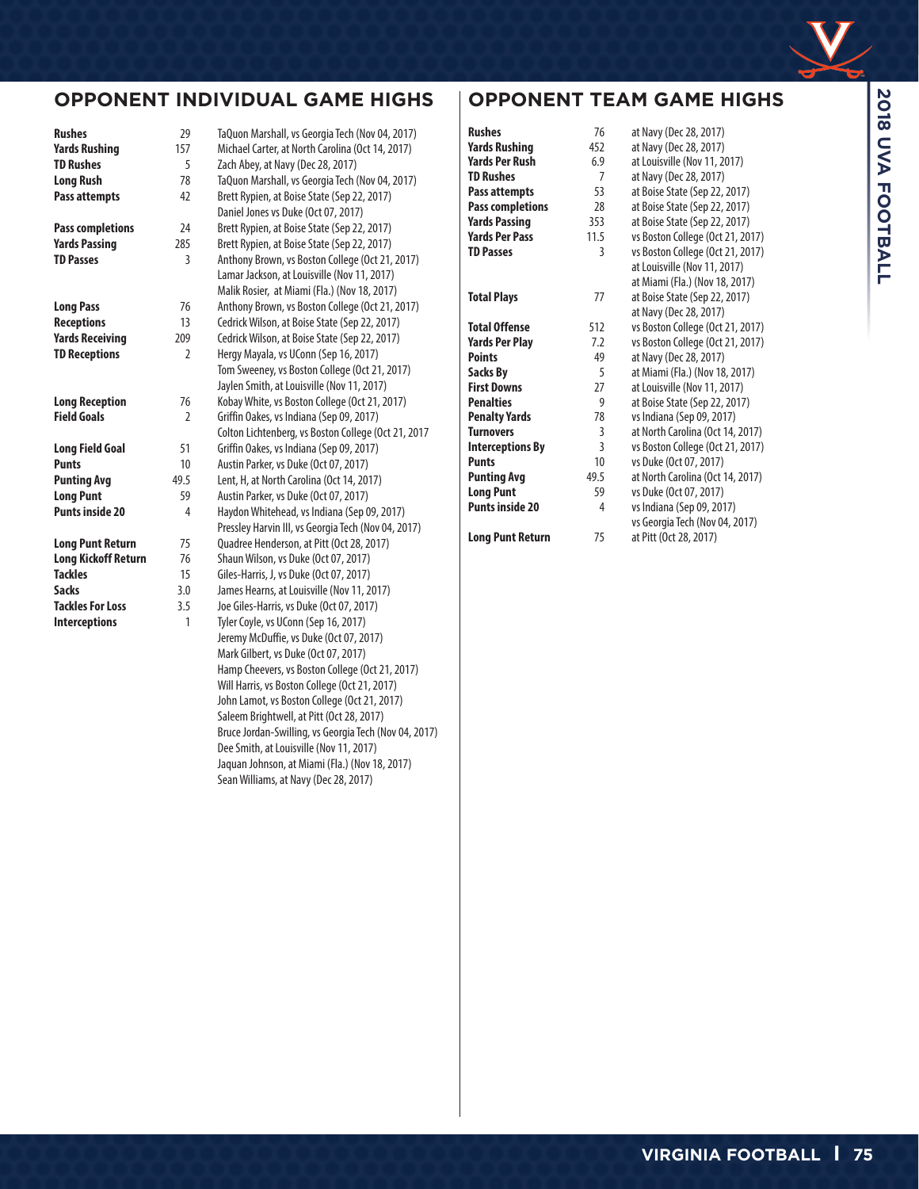

### **OPPONENT INDIVIDUAL GAME HIGHS**

| Rushes                     | 29             | TaQı        |
|----------------------------|----------------|-------------|
| <b>Yards Rushing</b>       | 157            | Mich        |
| <b>TD Rushes</b>           | 5              | Zach        |
| <b>Long Rush</b>           | 78             | TaQı        |
| Pass attempts              | 42             | <b>Bret</b> |
|                            |                | Dani        |
| <b>Pass completions</b>    | 24             | <b>Bret</b> |
| <b>Yards Passing</b>       | 285            | <b>Bret</b> |
| <b>TD Passes</b>           | 3              | Antl        |
|                            |                | Lam         |
|                            |                | Mali        |
| <b>Long Pass</b>           | 76             | Antl        |
| <b>Receptions</b>          | 13             | Cedr        |
| <b>Yards Receiving</b>     | 209            | Cedr        |
| <b>TD Receptions</b>       | $\overline{2}$ | Herd        |
|                            |                | Tom         |
|                            |                | Jayl        |
| <b>Long Reception</b>      | 76             | Kob         |
| <b>Field Goals</b>         | $\overline{2}$ | Griff       |
|                            |                | Colt        |
| <b>Long Field Goal</b>     | 51             | Griff       |
| <b>Punts</b>               | 10             | Aust        |
| <b>Punting Avg</b>         | 49.5           | Lent        |
| <b>Long Punt</b>           | 59             | Aust        |
| <b>Punts inside 20</b>     | 4              | Hay         |
|                            |                | Pres        |
| <b>Long Punt Return</b>    | 75             | Oua         |
| <b>Long Kickoff Return</b> | 76             | Shai        |
| <b>Tackles</b>             | 15             | Gile:       |
| <b>Sacks</b>               | 3.0            | Jam         |
| <b>Tackles For Loss</b>    | 3.5            | Joe (       |
| <b>Interceptions</b>       | 1              | Tyle        |

**Rushes** 29 TaQuon Marshall, vs Georgia Tech (Nov 04, 2017) **hael Carter, at North Carolina (Oct 14, 2017) h Abey, at Navy (Dec 28, 2017)** uon Marshall, vs Georgia Tech (Nov 04, 2017) tt Rypien, at Boise State (Sep 22, 2017) iel Jones vs Duke (Oct 07, 2017) tt Rypien, at Boise State (Sep 22, 2017) It Rypien, at Boise State (Sep 22, 2017) **Thony Brown, vs Boston College (Oct 21, 2017)** ar Jackson, at Louisville (Nov 11, 2017) ik Rosier, at Miami (Fla.) (Nov 18, 2017) **Long Pass** 76 Anthony Brown, vs Boston College (Oct 21, 2017) rick Wilson, at Boise State (Sep 22, 2017) **Yards Receiving** 209 Cedrick Wilson, at Boise State (Sep 22, 2017) gy Mayala, vs UConn (Sep 16, 2017) Sweeney, vs Boston College (Oct 21, 2017) len Smith, at Louisville (Nov 11, 2017) ay White, vs Boston College (Oct 21, 2017) fin Oakes, vs Indiana (Sep 09, 2017) ton Lichtenberg, vs Boston College (Oct 21, 2017 fin Oakes, vs Indiana (Sep 09, 2017) **Punts** 10 Austin Parker, vs Duke (Oct 07, 2017) **t, H, at North Carolina (Oct 14, 2017)** tin Parker, vs Duke (Oct 07, 2017) don Whitehead, vs Indiana (Sep 09, 2017) sley Harvin III, vs Georgia Tech (Nov 04, 2017) dree Henderson, at Pitt (Oct 28, 2017) un Wilson, vs Duke (Oct 07, 2017) **Example 15 Giles-Harris, J, vs Duke (Oct 07, 2017) Rearns, at Louisville (Nov 11, 2017)** Giles-Harris, vs Duke (Oct 07, 2017) **Intercept Coyle, vs UConn (Sep 16, 2017)** Jeremy McDuffie, vs Duke (Oct 07, 2017) Mark Gilbert, vs Duke (Oct 07, 2017) Hamp Cheevers, vs Boston College (Oct 21, 2017) Will Harris, vs Boston College (Oct 21, 2017) John Lamot, vs Boston College (Oct 21, 2017)

Saleem Brightwell, at Pitt (Oct 28, 2017)

Dee Smith, at Louisville (Nov 11, 2017) Jaquan Johnson, at Miami (Fla.) (Nov 18, 2017) Sean Williams, at Navy (Dec 28, 2017)

Bruce Jordan-Swilling, vs Georgia Tech (Nov 04, 2017)

### **OPPONENT TEAM GAME HIGHS**

| <b>Rushes</b>           | 76             | at Navy (Dec 28, 2017)           |
|-------------------------|----------------|----------------------------------|
| <b>Yards Rushing</b>    | 452            | at Navy (Dec 28, 2017)           |
| <b>Yards Per Rush</b>   | 6.9            | at Louisville (Nov 11, 2017)     |
| <b>TD Rushes</b>        | 7              | at Navy (Dec 28, 2017)           |
| <b>Pass attempts</b>    | 53             | at Boise State (Sep 22, 2017)    |
| <b>Pass completions</b> | 28             | at Boise State (Sep 22, 2017)    |
| <b>Yards Passing</b>    | 353            | at Boise State (Sep 22, 2017)    |
| <b>Yards Per Pass</b>   | 11.5           | vs Boston College (Oct 21, 2017) |
| <b>TD Passes</b>        | 3              | vs Boston College (Oct 21, 2017) |
|                         |                | at Louisville (Nov 11, 2017)     |
|                         |                | at Miami (Fla.) (Nov 18, 2017)   |
| <b>Total Plays</b>      | 77             | at Boise State (Sep 22, 2017)    |
|                         |                | at Navy (Dec 28, 2017)           |
| <b>Total Offense</b>    | 512            | vs Boston College (Oct 21, 2017) |
| <b>Yards Per Play</b>   | 7.2            | vs Boston College (Oct 21, 2017) |
| <b>Points</b>           | 49             | at Navy (Dec 28, 2017)           |
| <b>Sacks By</b>         | 5              | at Miami (Fla.) (Nov 18, 2017)   |
| <b>First Downs</b>      | 27             | at Louisville (Nov 11, 2017)     |
| <b>Penalties</b>        | 9              | at Boise State (Sep 22, 2017)    |
| <b>Penalty Yards</b>    | 78             | vs Indiana (Sep 09, 2017)        |
| <b>Turnovers</b>        | 3              | at North Carolina (Oct 14, 2017) |
| <b>Interceptions By</b> | $\overline{3}$ | vs Boston College (Oct 21, 2017) |
| <b>Punts</b>            | 10             | vs Duke (Oct 07, 2017)           |
| <b>Punting Avg</b>      | 49.5           | at North Carolina (Oct 14, 2017) |
| <b>Long Punt</b>        | 59             | vs Duke (Oct 07, 2017)           |
| <b>Punts inside 20</b>  | 4              | vs Indiana (Sep 09, 2017)        |
|                         |                | vs Georgia Tech (Nov 04, 2017)   |

**Long Punt Return** 75 at Pitt (Oct 28, 2017)

**VIRGINIA FOOTBALL I 75**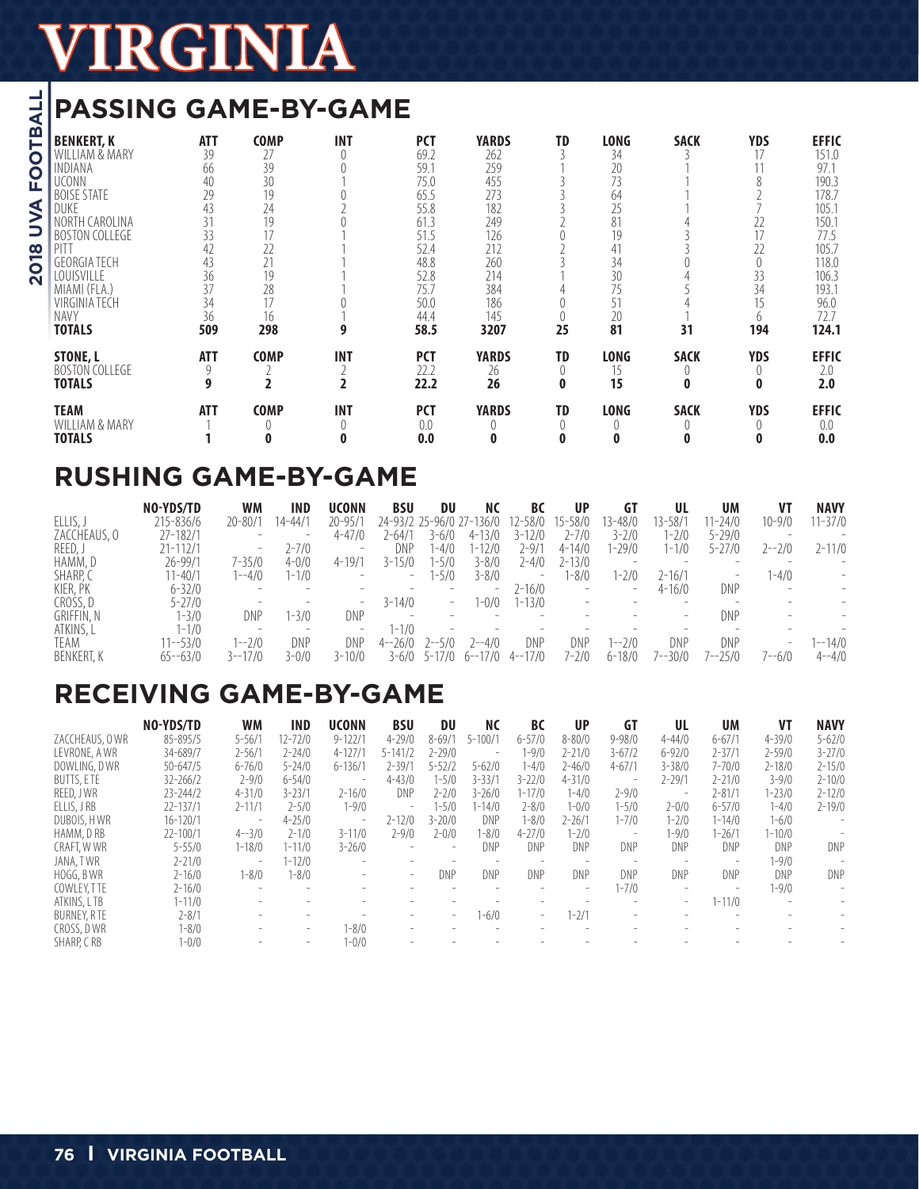## **PASSING GAME-BY-GAME**

|                                                                                                             |                                                                                                                                                                                                                                                              | KGI                                                                                             |                                                                                                  |                                   |                                                                                                                            |                                                                                                                 |                                    |                                                                                                 |                                             |                                                                                         |                                                                                                                                        |
|-------------------------------------------------------------------------------------------------------------|--------------------------------------------------------------------------------------------------------------------------------------------------------------------------------------------------------------------------------------------------------------|-------------------------------------------------------------------------------------------------|--------------------------------------------------------------------------------------------------|-----------------------------------|----------------------------------------------------------------------------------------------------------------------------|-----------------------------------------------------------------------------------------------------------------|------------------------------------|-------------------------------------------------------------------------------------------------|---------------------------------------------|-----------------------------------------------------------------------------------------|----------------------------------------------------------------------------------------------------------------------------------------|
| $\frac{1}{4}$                                                                                               | <b>PASSING GAME-BY-GAME</b>                                                                                                                                                                                                                                  |                                                                                                 |                                                                                                  |                                   |                                                                                                                            |                                                                                                                 |                                    |                                                                                                 |                                             |                                                                                         |                                                                                                                                        |
| m<br>O<br>O<br>ш<br>⋖<br>$\geq$<br>$\boldsymbol{\infty}$<br>$\overline{\mathbf{o}}$<br>$\mathbf{\tilde{N}}$ | <b>BENKERT, K</b><br>WILLIAM & MARY<br>INDIANA<br><b>UCONN</b><br><b>BOISE STATE</b><br>DUKE<br>NORTH CAROLINA<br><b>BOSTON COLLEGE</b><br>PITT<br><b>GFORGIA TECH</b><br>LOUISVILLE<br>MIAMI (FLA.)<br><b>VIRGINIA TECH</b><br><b>NAVY</b><br><b>TOTALS</b> | <b>ATT</b><br>39<br>66<br>40<br>29<br>43<br>31<br>33<br>42<br>43<br>36<br>37<br>34<br>36<br>509 | <b>COMP</b><br>27<br>39<br>30<br>19<br>24<br>19<br>17<br>22<br>21<br>19<br>28<br>17<br>16<br>298 | <b>INT</b><br>$\theta$<br>9       | <b>PCT</b><br>69.2<br>59.1<br>75.0<br>65.5<br>55.8<br>61.3<br>51.5<br>52.4<br>48.8<br>52.8<br>75.7<br>50.0<br>44.4<br>58.5 | <b>YARDS</b><br>262<br>259<br>455<br>273<br>182<br>249<br>126<br>212<br>260<br>214<br>384<br>186<br>145<br>3207 | TD<br>3<br>25                      | <b>LONG</b><br>34<br>20<br>73<br>64<br>25<br>81<br>19<br>41<br>34<br>30<br>75<br>51<br>20<br>81 | <b>SACK</b><br>31                           | <b>YDS</b><br>17<br>8<br>22<br>17<br>22<br>$\overline{0}$<br>33<br>34<br>15<br>6<br>194 | <b>EFFIC</b><br>151.0<br>97.1<br>190.3<br>178.7<br>105.1<br>150.1<br>77.5<br>105.7<br>118.0<br>106.3<br>193.1<br>96.0<br>72.7<br>124.1 |
|                                                                                                             | <b>STONE, L</b><br><b>BOSTON COLLEGE</b><br><b>TOTALS</b>                                                                                                                                                                                                    | <b>ATT</b><br>9<br>9                                                                            | <b>COMP</b><br>2<br>$\overline{\mathbf{c}}$                                                      | <b>INT</b><br>2<br>$\overline{2}$ | <b>PCT</b><br>22.2<br>22.2                                                                                                 | <b>YARDS</b><br>26<br>26                                                                                        | TD<br>$\theta$<br>$\mathbf{0}$     | <b>LONG</b><br>15<br>15                                                                         | <b>SACK</b><br>$\left( \right)$<br>$\bf{0}$ | <b>YDS</b><br>0<br>$\bf{0}$                                                             | <b>EFFIC</b><br>2.0<br>2.0                                                                                                             |
|                                                                                                             | <b>TEAM</b><br>WILLIAM & MARY<br><b>TOTALS</b>                                                                                                                                                                                                               | <b>ATT</b>                                                                                      | <b>COMP</b><br>0                                                                                 | <b>INT</b><br>0<br>0              | <b>PCT</b><br>0.0<br>0.0                                                                                                   | <b>YARDS</b><br>0                                                                                               | <b>TD</b><br>$\left( \right)$<br>0 | <b>LONG</b><br>$\left( \right)$<br>0                                                            | <b>SACK</b><br>$\bf{0}$                     | <b>YDS</b><br>$\left( \right)$<br>0                                                     | <b>EFFIC</b><br>0.0<br>0.0                                                                                                             |

## **RUSHING GAME-BY-GAME**

|                   | NO-YDS/TD    | <b>WM</b>                | IND        | <b>UCONN</b>             | <b>BSU</b>                      | DU                       | ΝC                       | BC                | <b>UP</b>                | GI                       | UL                       | UM                       | V1         | <b>NAVY</b> |
|-------------------|--------------|--------------------------|------------|--------------------------|---------------------------------|--------------------------|--------------------------|-------------------|--------------------------|--------------------------|--------------------------|--------------------------|------------|-------------|
| ELLIS,            | 215-836/6    | $20 - 80/1$              | $14 - 44/$ | $20 - 95/1$              |                                 |                          | 24-93/2 25-96/0 27-136/0 | $12 - 58/0$       | 15-58/0                  | 13-48/0                  | $3 - 58/1$               | $1 - 24/0$               | $10 - 9/0$ | $1 - 37/0$  |
| ZACCHEAUS, O      | $27 - 182/1$ | $\qquad \qquad$          |            | $4 - 47/0$               | 2-64/1                          | $3 - 6/0$                | $4 - 13/0$               | $3 - 12/0$        | 2-7/0                    | $3 - 2/0$                | 1-2/0                    | $5 - 29/0$               |            |             |
| REED, J           | 21-112/1     | $\overline{\phantom{a}}$ | 2-7/0      |                          | DNP                             | -4/0                     | $1 - 12/0$               | 2-9/1             | $4 - 14/0$               | 1-29/0                   | 1-1/0                    | $5 - 27/0$               | $2 - -2/0$ | $2 - 11/0$  |
| HAMM, D           | 26-99/1      | $7 - 35/0$               | $4 - 0/0$  | $4 - 19/1$               | $3 - 15/0$                      | 1-5/0                    | $3 - 8/0$                | $2 - 4/0$         | $2 - 13/0$               | $\overline{\phantom{a}}$ | $\overline{\phantom{0}}$ |                          |            |             |
| SHARP. C          | $1 - 40/1$   | 1--4/0                   | 1-1/0      | $\overline{\phantom{a}}$ | $\overline{\phantom{a}}$        | 1-5/0                    | $3 - 8/0$                | $\qquad \qquad =$ | 1-8/0                    | $1 - 2/0$                | $2 - 16/1$               | $\overline{\phantom{0}}$ | $1 - 4/0$  |             |
| KIER, PK          | $6 - 32/0$   | $\overline{\phantom{0}}$ |            |                          |                                 | $\overline{\phantom{a}}$ | -                        | 2-16/0            | $\overline{\phantom{a}}$ | $\overline{\phantom{a}}$ | $4 - 16/0$               | DNP                      |            |             |
| CROSS, D          | $5 - 27/0$   | $\overline{\phantom{a}}$ |            | -                        | $3 - 14/0$                      | $\overline{\phantom{m}}$ | 1-0/0                    | $1 - 13/0$        |                          |                          | $\overline{\phantom{a}}$ |                          |            |             |
| <b>GRIFFIN, N</b> | 1-3/0        | DNP                      | 1-3/0      | DNP                      | $\hspace{0.1mm}-\hspace{0.1mm}$ | $\overline{\phantom{a}}$ |                          |                   |                          |                          | $\overline{\phantom{a}}$ | DNP                      |            |             |
| ATKINS, L         | 1-1/0        | $\overline{\phantom{a}}$ |            | -                        | $1 - 1/0$                       | $\overline{\phantom{a}}$ |                          |                   |                          |                          |                          |                          |            |             |
| TEAM              | $11 - -53/0$ | $1 - -2/0$               | DNP        | DNP                      | $4 - 26/0$                      | $2 - -5/0$               | $2 - -4/0$               | DNP               | DNP                      | $1 - -2/0$               | DNP                      | DNP                      | -          | $1 - 14/0$  |
| <b>BENKERT, K</b> | $65 - 63/0$  | $3 - -17/0$              | 3-0/C      | $3 - 10/0$               |                                 | $3 - 6/0$ $5 - 17/0$     | 6--17/0                  | $4 - -17/0$       | 7-2/0                    | $6 - 18/0$               | 7--30/0                  | 7--25/0                  | 7--6/0     | $4 - -4/0$  |

## **RECEIVING GAME-BY-GAME**

|                   | NO-YDS/TD    | WМ         | <b>IND</b>               | <b>UCONN</b>             | <b>BSU</b>  | DU                       | <b>NC</b>   | <b>BC</b>                | <b>UP</b>                | GT                       | UL                       | UM                       | VT         | <b>NAVY</b>              |
|-------------------|--------------|------------|--------------------------|--------------------------|-------------|--------------------------|-------------|--------------------------|--------------------------|--------------------------|--------------------------|--------------------------|------------|--------------------------|
| ZACCHEAUS, OWR    | 85-895/5     | $5 - 56/1$ | 12-72/0                  | $9 - 122/1$              | $4 - 29/0$  | $8 - 69/1$               | $5 - 100/1$ | $6 - 57/0$               | $8 - 80/0$               | $9 - 98/0$               | $4 - 44/0$               | $6 - 67/1$               | $4 - 39/0$ | $5 - 62/0$               |
| LEVRONE, A WR     | 34-689/7     | $2 - 56/1$ | $2 - 24/0$               | $4 - 127/1$              | $5 - 141/2$ | $2 - 29/0$               | ۰.          | 1-9/0                    | $2 - 21/0$               | $3 - 67/2$               | $6 - 92/0$               | $2 - 37/1$               | $2 - 59/0$ | $3 - 27/0$               |
| DOWLING, DWR      | 50-647/5     | $6 - 76/0$ | $5 - 24/0$               | $6 - 136/1$              | 2-39/       | $5 - 52/2$               | $5 - 62/0$  | $-4/0$                   | $2 - 46/0$               | $4 - 67/1$               | $3 - 38/0$               | $7 - 70/0$               | $2 - 18/0$ | $2 - 15/0$               |
| <b>BUTTS, ETE</b> | $32 - 266/2$ | $2 - 9/0$  | $6 - 54/0$               | $\overline{\phantom{a}}$ | $4 - 43/0$  | $1 - 5/0$                | $3 - 33/1$  | $3 - 22/0$               | $4 - 31/0$               | $\qquad \qquad =\qquad$  | $2 - 29/1$               | $2 - 21/0$               | $3 - 9/0$  | $2 - 10/0$               |
| REED, JWR         | $23 - 244/2$ | $4 - 31/0$ | $3 - 23/1$               | $2 - 16/0$               | <b>DNP</b>  | $2 - 2/0$                | $3 - 26/0$  | $1 - 17/0$               | $1 - 4/0$                | $2 - 9/0$                | $\overline{\phantom{a}}$ | $2 - 81/1$               | $1 - 23/0$ | $2 - 12/0$               |
| ELLIS, J RB       | 22-137/1     | $2 - 11/1$ | $2 - 5/0$                | $1 - 9/0$                |             | 1-5/0                    | 1-14/0      | $2 - 8/0$                | $1 - 0/0$                | 1-5/0                    | $2 - 0/0$                | $6 - 57/0$               | $1 - 4/0$  | $2 - 19/0$               |
| DUBOIS, HWR       | $16 - 120/1$ |            | $4 - 25/0$               | $\overline{\phantom{a}}$ | $2 - 12/0$  | $3 - 20/0$               | DNP         | -8/0                     | $2 - 26/1$               | $1 - 7/0$                | $1 - 2/0$                | $1 - 14/0$               | $1 - 6/0$  |                          |
| HAMM, DRB         | $22 - 100/1$ | $4 - -3/0$ | $2 - 1/0$                | $3 - 11/0$               | $7 - 9/0$   | 2-0/0                    | 1-8/0       | $4 - 27/0$               | $1 - 2/0$                | $\overline{\phantom{a}}$ | $-9/0$                   | 1-26/1                   | 1-10/0     |                          |
| CRAFT, WWR        | $5 - 55/0$   | $1 - 18/0$ | $1 - 11/0$               | $3 - 26/0$               |             |                          | DNP         | DNP                      | DNP                      | DNP                      | DNP                      | DNP                      | DNP        | DNP                      |
| JANA, TWR         | $2 - 21/0$   |            | $1 - 12/0$               |                          |             |                          |             |                          |                          |                          |                          |                          | $-9/0$     |                          |
| HOGG, BWR         | $2 - 16/0$   | 1-8/0      | 1-8/0                    | $\overline{\phantom{a}}$ | $\sim$      | DNP                      | DNP         | DNP                      | DNP                      | DNP                      | DNP                      | DNP                      | DNP        | DNP                      |
| COWLEY, TTE       | $2 - 16/0$   | $\sim$     |                          |                          |             |                          |             | $\overline{\phantom{a}}$ | $\overline{\phantom{a}}$ | $1 - 7/0$                | $\overline{\phantom{a}}$ | $\overline{\phantom{a}}$ | 1-9/0      | $\overline{\phantom{0}}$ |
| ATKINS, LTB       | $1 - 11/0$   |            |                          |                          |             |                          |             |                          |                          |                          | $\overline{\phantom{a}}$ | $1 - 11/0$               |            |                          |
| BURNEY, RTE       | $2 - 8/1$    |            |                          |                          |             | $\overline{\phantom{0}}$ | $-6/0$      | ۰.                       | $1 - 2/1$                |                          |                          |                          |            |                          |
| CROSS, DWR        | 1-8/0        |            | $\overline{\phantom{a}}$ | $1 - 8/0$                |             |                          |             |                          |                          |                          |                          |                          |            |                          |
| SHARP, CRB        | $1 - 0/0$    |            | $\overline{\phantom{a}}$ | $1 - 0/0$                |             |                          |             |                          |                          |                          |                          |                          |            |                          |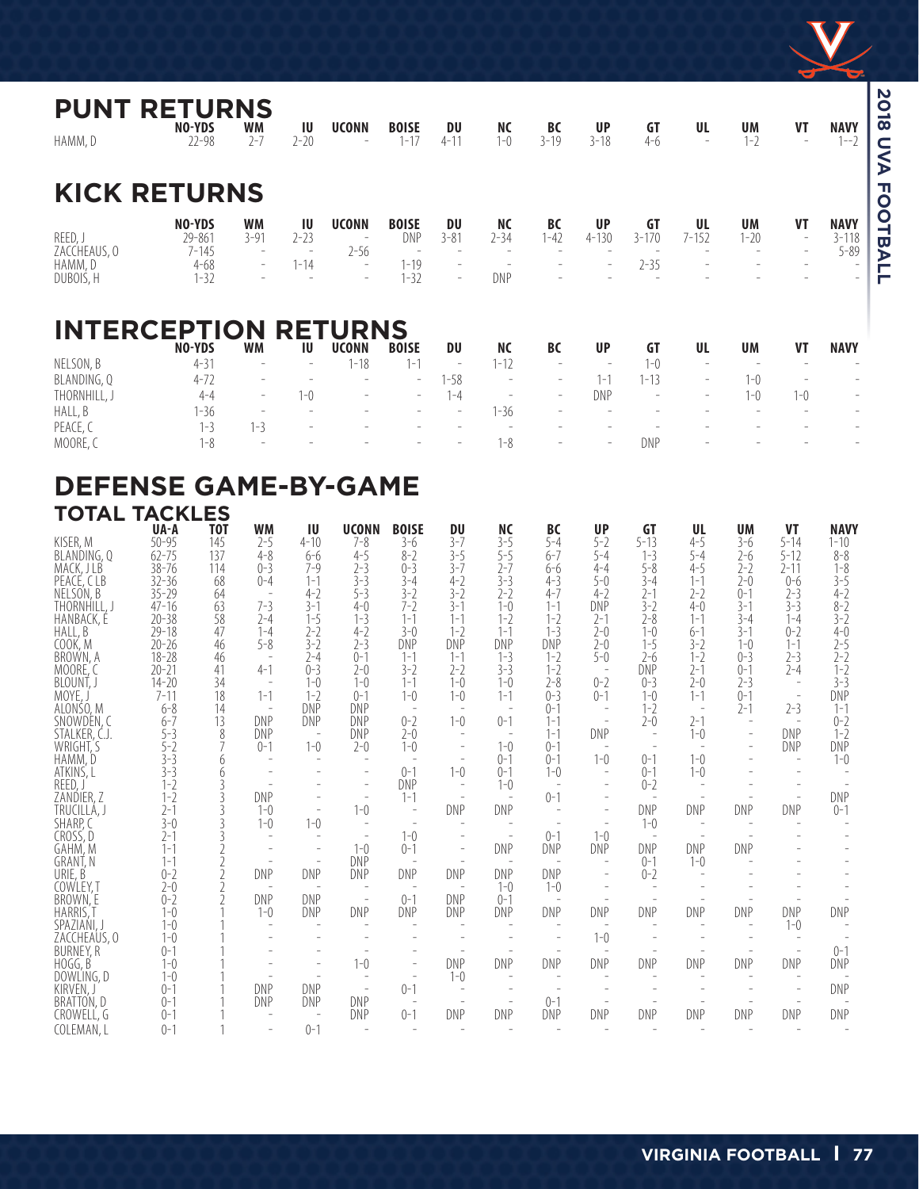

**2018 UVA FOOTBALL**

| <b>PUNT</b><br>HAMM, D  | <b>RETURNS</b><br>NO-YDS<br>$22 - 98$ | <b>WM</b><br>$2 - 7$     | IU<br>$2 - 20$ | <b>UCONN</b>                                         | <b>BOISE</b><br>$1 - 17$ | DU<br>$4 - 11$                                       | <b>NC</b><br>$1 - 0$     | <b>BC</b><br>$3 - 19$    | <b>UP</b><br>$3 - 18$    | GT<br>$4 - 6$   | UL<br>$\overline{\phantom{a}}$ | UM<br>$1 - 2$         | VT<br>$\overline{\phantom{a}}$                             | <b>NAVY</b><br>$1 - 2$               |
|-------------------------|---------------------------------------|--------------------------|----------------|------------------------------------------------------|--------------------------|------------------------------------------------------|--------------------------|--------------------------|--------------------------|-----------------|--------------------------------|-----------------------|------------------------------------------------------------|--------------------------------------|
|                         | <b>KICK RETURNS</b>                   |                          |                |                                                      |                          |                                                      |                          |                          |                          |                 |                                |                       |                                                            |                                      |
| REED, J<br>ZACCHEAUS, 0 | NO-YDS<br>29-861<br>$7 - 145$         | <b>WM</b><br>$3 - 91$    | ΙU<br>$2 - 23$ | <b>UCONN</b><br>$\overline{\phantom{a}}$<br>$2 - 56$ | <b>BOISE</b><br>DNP      | DU<br>$3 - 81$                                       | <b>NC</b><br>$2 - 34$    | <b>BC</b><br>$1 - 42$    | <b>UP</b><br>$4 - 130$   | GT<br>$3 - 170$ | UL<br>$7 - 152$                | <b>UM</b><br>$1 - 20$ | VT<br>$\overline{\phantom{a}}$<br>$\overline{\phantom{0}}$ | <b>NAVY</b><br>$3 - 118$<br>$5 - 89$ |
| HAMM, D<br>DUBOIS, H    | $4 - 68$<br>$1 - 32$                  | $\overline{\phantom{a}}$ | $1 - 14$       | $\overline{\phantom{a}}$                             | $1 - 19$<br>$1 - 32$     | $\overline{\phantom{a}}$<br>$\overline{\phantom{a}}$ | DNP                      |                          | $\overline{\phantom{a}}$ | $2 - 35$        |                                |                       |                                                            |                                      |
|                         | <b>INTERCEPTION</b><br>NO-YDS         | <b>WM</b>                | IU             | <b>RETURNS</b><br><b>UCONN</b>                       | <b>BOISE</b>             | DU                                                   | <b>NC</b>                | BC                       | <b>UP</b>                | <b>GT</b>       | UL                             | <b>UM</b>             | VT                                                         | <b>NAVY</b>                          |
| NELSON, B               | $4 - 31$                              | $\overline{a}$           |                | $1 - 18$                                             | $1 - 1$                  | $\overline{\phantom{a}}$                             | $1 - 12$                 |                          | $\overline{\phantom{a}}$ | $1 - 0$         | $\overline{\phantom{a}}$       |                       |                                                            | $\overline{\phantom{0}}$             |
| BLANDING, Q             | $4 - 72$                              | $\qquad \qquad -$        |                |                                                      | $\overline{\phantom{a}}$ | $1 - 58$                                             | $\overline{\phantom{a}}$ | $\overline{\phantom{a}}$ | $1 - 1$                  | $1 - 13$        | $\overline{\phantom{a}}$       | $1 - 0$               | $\overline{\phantom{0}}$                                   | $\overline{\phantom{a}}$             |
| THORNHILL, J            | $4 - 4$                               | $\overline{\phantom{a}}$ | $1 - 0$        | $\overline{\phantom{0}}$                             | $\overline{\phantom{a}}$ | $1 - 4$                                              |                          | $\overline{\phantom{a}}$ | <b>DNP</b>               |                 | $\overline{\phantom{a}}$       | $1 - 0$               | $1 - 0$                                                    | $\overline{\phantom{a}}$             |
| HALL, B                 | $1 - 36$                              | $\overline{\phantom{a}}$ |                |                                                      |                          | $\overline{\phantom{0}}$                             | $1 - 36$                 |                          |                          |                 |                                |                       |                                                            | $\sim$                               |
| PEACE, C                | $1 - 3$                               | $1 - 3$                  |                |                                                      |                          |                                                      |                          |                          |                          |                 |                                |                       |                                                            | $\overline{\phantom{a}}$             |
| MOORE, C                | $1 - 8$                               |                          |                |                                                      |                          | $\overline{\phantom{0}}$                             | $1 - 8$                  |                          | $\overline{\phantom{a}}$ | DNP             |                                |                       |                                                            | $\overline{\phantom{a}}$             |

### **DEFENSE GAME-BY-GAME TOTAL TACKLES**

|                            | <b>UA-A</b>            | <b>TOT</b> | <b>WM</b>             | ΙU                    | <b>UCONN</b>             | <b>BOISE</b>                        | DU                    | <b>NC</b>          | BC                       | <b>UP</b>                       | GT                 | UL                       | <b>UM</b>          | <b>VT</b>                | <b>NAVY</b>        |
|----------------------------|------------------------|------------|-----------------------|-----------------------|--------------------------|-------------------------------------|-----------------------|--------------------|--------------------------|---------------------------------|--------------------|--------------------------|--------------------|--------------------------|--------------------|
| KISER, M                   | $50 - 95$              | 145        | $2 - 5$               | $4 - 10$              | $7 - 8$                  | $3 - 6$                             | $3 - 7$               | $3 - 5$            | $5 - 4$                  | $5 - 2$                         | $5 - 13$           | $4 - 5$                  | $3 - 6$            | $5 - 14$                 | $1 - 10$           |
| BLANDING, Q<br>MACK, J LB  | $62 - 75$<br>$38 - 76$ | 137<br>114 | $4 - 8$<br>$0 - 3$    | $6 - 6$<br>$7 - 9$    | $4 - 5$<br>$2 - 3$       | $8 - 2$<br>$0 - 3$                  | $3 - 5$<br>$3 - 7$    | $5 - 5$<br>$2 - 7$ | $6 - 7$<br>$6 - 6$       | $5 - 4$<br>$4 - 4$              | $1 - 3$<br>$5 - 8$ | $5 - 4$<br>$4 - 5$       | $2 - 6$<br>$2 - 2$ | $5 - 12$<br>$2 - 11$     | $8 - 8$<br>$1 - 8$ |
| PEACE, CLB                 | $32 - 36$              | 68         | $0 - 4$               | $1 - 1$               | $3 - 3$                  | $3 - 4$                             | $4 - 2$               | $3 - 3$            | $4 - 3$                  | $5-0$                           | $3 - 4$            | $1 - 1$                  | $2-0$              | $0 - 6$                  | $3 - 5$            |
| NELSON, B                  | $35 - 29$              | 64         |                       | $4 - 2$               | $5 - 3$                  | $3 - 2$                             | $3 - 2$               | $2 - 2$            | $4 - 7$                  | $4 - 2$                         | $2 - 1$            | $2 - 2$                  | $0 - 1$            | $2 - 3$                  | $4 - 2$            |
| THORNHILL, J               | $47 - 16$              | 63         | $7 - 3$               | $3 - 1$               | $4 - 0$                  | $7 - 2$                             | $3 - 1$               | $1 - 0$            | $1 - 1$                  | <b>DNP</b>                      | $3 - 2$            | $4 - 0$                  | $3 - 1$            | $3 - 3$                  | $8 - 2$            |
| HANBACK, É                 | $20 - 38$              | 58         | $2 - 4$               | $1 - 5$               | $1 - 3$                  | $1 - 1$                             | $1 - 1$               | $1 - 2$            | $1 - 2$                  | $2 - 1$                         | $2 - 8$            | $1 - 1$                  | $3 - 4$            | $1 - 4$                  | $3 - 2$            |
| HALL, B                    | $29 - 18$              | 47         | $1 - 4$               | $2 - 2$               | $4 - 2$                  | $3-0$                               | $1 - 2$               | $1 - 1$            | $1 - 3$                  | $2 - 0$                         | $1 - 0$            | $6 - 1$                  | $3 - 1$            | $0 - 2$                  | $4 - 0$            |
| COOK, M<br>BROWN, A        | $20 - 26$<br>$18 - 28$ | 46<br>46   | $5 - 8$               | $3 - 2$<br>$2 - 4$    | $2 - 3$<br>$0 - 1$       | DNP<br>$1 - 1$                      | <b>DNP</b><br>$1 - 1$ | DNP<br>$1 - 3$     | <b>DNP</b><br>$1 - 2$    | $2-0$<br>$5-0$                  | $1 - 5$<br>$2-6$   | $3-2$<br>$1 - 2$         | $1 - 0$<br>$0 - 3$ | $1 - 1$<br>$2 - 3$       | $2 - 5$<br>$2 - 2$ |
| MOORE. C                   | $20 - 21$              | 41         | $4 - 1$               | $0 - 3$               | $2 - 0$                  | $3 - 2$                             | $2 - 2$               | $3 - 3$            | $1 - 2$                  |                                 | <b>DNP</b>         | $2 - 1$                  | $0 - 1$            | $2 - 4$                  | $1 - 2$            |
| BLOUNT,                    | $14 - 20$              | 34         |                       | $1 - 0$               | $1 - 0$                  | $1 - 1$                             | $1 - 0$               | $1 - 0$            | $2 - 8$                  | $0 - 2$                         | $0 - 3$            | $2 - 0$                  | $2 - 3$            | $\sim$                   | $3 - 3$            |
| MOYE.                      | $7 - 11$               | 18         | $1 - 1$               | $1 - 2$               | $0 - 1$                  | $1 - 0$                             | $1 - 0$               | $1 - 1$            | $0 - 3$                  | $() - 1$                        | $1 - 0$            | $1 - 1$                  | $0 - 1$            | $\overline{\phantom{a}}$ | <b>DNP</b>         |
| ALONSO, M                  | $6 - 8$                | 14         |                       | DNP                   | DNP                      |                                     |                       |                    | $0 - 1$                  | $\overline{a}$                  | $1 - 2$            | $\overline{\phantom{a}}$ | $2 - 1$            | $2 - 3$                  | $1 - 1$            |
| SNOWDEN, C                 | $6 - 7$                | 13         | DNP                   | DNP                   | DNP                      | $0 - 2$                             | $1 - 0$               | $0 - 1$            | $1 - 1$                  |                                 | $2 - 0$            | $2 - 1$                  | $\overline{a}$     | $\overline{\phantom{a}}$ | $0 - 2$            |
| STALKER, C.J.<br>WRIGHT, S | $5 - 3$<br>$5-2$       | 8          | DNP<br>$0 - 1$        | $1 - 0$               | DNP<br>$2 - 0$           | $2-0$<br>$1 - 0$                    |                       | $1 - 0$            | $1 - 1$<br>$0 - 1$       | DNP<br>$\overline{\phantom{a}}$ |                    | $1 - 0$                  |                    | DNP<br>DNP               | $1 - 2$<br>DNP     |
| HAMM, D                    | $3 - 3$                | 6          |                       |                       | $\overline{a}$           |                                     |                       | $0 - 1$            | $0 - 1$                  | $1 - 0$                         | $0 - 1$            | $1 - 0$                  |                    | $\overline{\phantom{a}}$ | $1 - 0$            |
| ATKINS, L                  | $3 - 3$                | 6          |                       |                       | $\overline{\phantom{a}}$ | $() - 1$                            | $1 - 0$               | $0 - 1$            | $1 - 0$                  | $\overline{\phantom{a}}$        | $0 - 1$            | $1 - 0$                  |                    |                          |                    |
| REED,                      | $1 - 2$                | 3          |                       |                       | $\overline{a}$           | DNP                                 |                       | $1 - 0$            |                          | $\overline{a}$                  | $0 - 2$            |                          |                    |                          |                    |
| ZANDIER, Z                 | $1 - 2$                | 3          | <b>DNP</b>            |                       |                          | $1 - 1$                             |                       |                    | $0 - 1$                  |                                 |                    |                          |                    |                          | DNP                |
| TRUCILLÁ, J                | $2 - 1$                |            | $1 - 0$               |                       | $1 - 0$                  |                                     | <b>DNP</b>            | DNP                |                          | $\overline{\phantom{a}}$        | DNP                | <b>DNP</b>               | DNP                | DNP                      | $0 - 1$            |
| SHARP, C<br>CROSS, D       | $3-0$<br>$2 - 1$       |            | $1 - 0$               | $1 - 0$               |                          | $1 - 0$                             |                       |                    | $0 - 1$                  | $1 - 0$                         | $1 - 0$            |                          |                    |                          |                    |
| GAHM, M                    | $1 - 1$                |            |                       |                       | $1 - 0$                  | $0 - 1$                             |                       | DNP                | DNP                      | DNP                             | <b>DNP</b>         | <b>DNP</b>               | DNP                |                          |                    |
| GRANT, N                   | $1 - 1$                |            |                       |                       | DNP                      |                                     |                       |                    | $\overline{\phantom{a}}$ | $\overline{\phantom{a}}$        | $() - 1$           | $1 - 0$                  |                    |                          |                    |
| URIE, B                    | $0 - 2$                |            | <b>DNP</b>            | DNP                   | DNP                      | DNP                                 | DNP                   | DNP                | <b>DNP</b>               |                                 | $0 - 2$            |                          |                    |                          |                    |
| COWLEY, T                  | $2-0$                  |            |                       |                       |                          |                                     |                       | $1 - 0$            | $1 - 0$                  |                                 |                    |                          |                    |                          |                    |
| BROWN, E                   | $0 - 2$<br>$1 - 0$     |            | <b>DNP</b><br>$1 - 0$ | <b>DNP</b><br>DNP     | $\sim$<br>DNP            | $() - 1$<br>DNP                     | <b>DNP</b><br>DNP     | $() - 1$<br>DNP    | DNP                      | DNP                             | DNP                | <b>DNP</b>               | DNP                | DNP                      | DNP                |
| HARRIS,<br>SPAZIAŃI, J     | $1 - 0$                |            |                       |                       |                          |                                     |                       |                    |                          | $\overline{\phantom{a}}$        |                    |                          | $\overline{a}$     | $1 - 0$                  |                    |
| ZACCHEAUS, O               | $1 - 0$                |            |                       |                       |                          |                                     |                       |                    |                          | $1 - 0$                         |                    |                          |                    |                          |                    |
| <b>BURNEY, R</b>           | $() - 1$               |            |                       |                       |                          |                                     |                       |                    |                          |                                 |                    |                          |                    |                          | $0 - 1$            |
| HOGG, B                    | $1 - 0$                |            |                       |                       | $1 - 0$                  |                                     | <b>DNP</b>            | DNP                | DNP                      | DNP                             | DNP                | <b>DNP</b>               | DNP                | DNP                      | DNP                |
| DOWLING, D                 | $1 - 0$                |            |                       |                       |                          |                                     | $1 - 0$               |                    |                          |                                 |                    |                          |                    |                          |                    |
| KIRVEN, J                  | $() - 1$               |            | DNP                   | DNP                   | $\overline{\phantom{a}}$ | $0 - 1$                             |                       |                    | $() - 1$                 |                                 |                    |                          |                    |                          | <b>DNP</b>         |
| BRATTON, D<br>CROWELL, G   | $() - 1$<br>$0 - 1$    |            | <b>DNP</b>            | DNP<br>$\overline{a}$ | DNP<br>DNP               | $\overline{\phantom{a}}$<br>$0 - 1$ | DNP                   | DNP                | DNP                      | <b>DNP</b>                      | DNP                | <b>DNP</b>               | DNP                | DNP                      | DNP                |
| COLEMAN, L                 | $0 - 1$                |            |                       | $0 - 1$               |                          |                                     |                       |                    |                          |                                 |                    |                          |                    |                          |                    |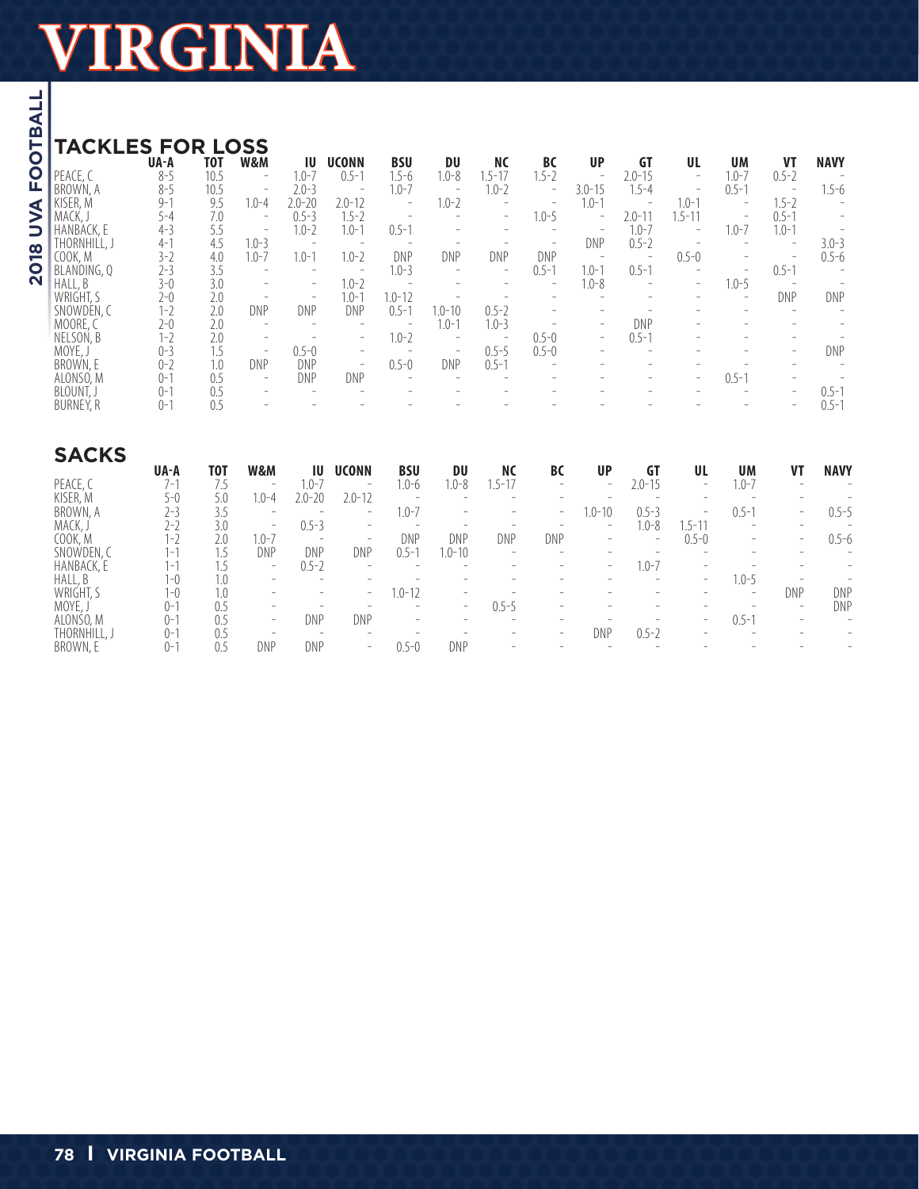| <b>TACKLES FOR</b> |          |            | <b>LOSS</b>              |                          |                          |            |                          |                          |                          |                          |                          |                          |                          |                          |             |
|--------------------|----------|------------|--------------------------|--------------------------|--------------------------|------------|--------------------------|--------------------------|--------------------------|--------------------------|--------------------------|--------------------------|--------------------------|--------------------------|-------------|
|                    | UA-A     | <b>TOT</b> | W&M                      | ΙU                       | <b>UCONN</b>             | <b>BSU</b> | <b>DU</b>                | ΝC                       | BC                       | <b>UP</b>                | <b>GT</b>                | UL                       | <b>UM</b>                | VT                       | <b>NAVY</b> |
| PEACE, C           | $8 - 5$  | 10.5       | $\overline{\phantom{a}}$ | $1.0 - 7$                | $0.5 - 1$                | $.5 - 6$   | $1.0 - 8$                | $.5 - 17$                | $1.5 - 2$                | $\overline{\phantom{a}}$ | $2.0 - 15$               | $\overline{\phantom{a}}$ | $1.0 - 7$                | $0.5 - 2$                |             |
| <b>BROWN, A</b>    | $8 - 5$  | 10.5       | $\overline{\phantom{a}}$ | $2.0 - 3$                | $\overline{\phantom{0}}$ | $1.0 - 7$  | $\overline{\phantom{a}}$ | $1.0 - 2$                | $\overline{\phantom{a}}$ | $3.0 - 15$               | $.5 - 4$                 | $\overline{\phantom{a}}$ | $0.5 - 1$                |                          | 1.5-6       |
| KISER, M           | $9 - 1$  | 9.5        | $.0 - 4$                 | $2.0 - 20$               | $2.0 - 12$               |            | $1.0 - 2$                |                          | $\overline{\phantom{0}}$ | $1.0 - 1$                |                          | $1.0 - 1$                | $\overline{\phantom{0}}$ | $1.5 - 2$                |             |
| MACK, J            | $5 - 4$  | 7.0        | $\overline{\phantom{a}}$ | $0.5 - 3$                | $1.5 - 2$                |            |                          | $\overline{\phantom{a}}$ | $1.0 - 5$                | $\overline{\phantom{a}}$ | $2.0 - 1$                | $.5 - 11$                | $\overline{\phantom{a}}$ | $0.5 - 1$                |             |
| HANBACK, E         | $4 - 3$  | 5.5        | $\overline{\phantom{m}}$ | $1.0 - 2$                | $1.0 - 1$                | $0.5 - 1$  |                          |                          |                          |                          | $1.0 - 7$                | $\overline{\phantom{m}}$ | $1.0 - 7$                | $1.0 - 1$                |             |
| THORNHILL, J       | $4 - 1$  | 4.5        | $1.0 - 3$                | $\overline{\phantom{a}}$ | $\overline{\phantom{a}}$ |            |                          |                          |                          | DNP                      | $0.5 - 2$                |                          |                          |                          | $3.0 - 3$   |
| COOK. M            | $3-2$    | 4.0        | $1.0 - 7$                | $1.0 - 1$                | $1.0 - 2$                | DNP        | DNP                      | DNP                      | DNP                      | $\qquad \qquad -$        | $\qquad \qquad =$        | $0.5 - 0$                |                          | $\overline{\phantom{0}}$ | $0.5 - 6$   |
| BLANDING, O        | $2 - 3$  | 3.5        | $\overline{\phantom{a}}$ | $\overline{\phantom{a}}$ | $\overline{\phantom{0}}$ | $1.0 - 3$  | $\overline{\phantom{a}}$ | $\overline{\phantom{a}}$ | $0.5 - 1$                | $1.0 - 1$                | $0.5 - 1$                |                          | $\overline{\phantom{a}}$ | $0.5 - 1$                |             |
| HALL, B            | $3-0$    | 3.0        | -                        | $\overline{\phantom{0}}$ | $1.0 - 2$                |            |                          |                          | $\overline{\phantom{0}}$ | $1.0 - 8$                | $\overline{\phantom{0}}$ | $\overline{\phantom{a}}$ | $1.0 - 5$                | $\overline{\phantom{0}}$ |             |
| WRIGHT, S          | $2 - 0$  | 2.0        | $\qquad \qquad -$        | $\overline{\phantom{0}}$ | $1.0 - 1$                | $1.0 - 12$ | $\overline{\phantom{a}}$ |                          |                          |                          |                          |                          | $\overline{\phantom{a}}$ | DNP                      | <b>DNP</b>  |
| SNOWDEN, C         | $1 - 2$  | 2.0        | <b>DNP</b>               | DNP                      | DNP                      | $0.5 - 1$  | $1.0 - 10$               | $0.5 - 2$                |                          | $\overline{\phantom{0}}$ |                          |                          |                          |                          |             |
| MOORE, C           | $2-0$    | 2.0        | $\overline{\phantom{a}}$ | $\overline{\phantom{a}}$ |                          |            | $1.0 - 1$                | $1.0 - 3$                |                          | $-$                      | DNP                      | $\overline{\phantom{0}}$ | $\overline{\phantom{a}}$ | $\overline{\phantom{a}}$ |             |
| NELSON, B          | $1 - 2$  | 2.0        | $\overline{\phantom{a}}$ |                          | $\overline{\phantom{a}}$ | $1.0 - 2$  | $\overline{\phantom{a}}$ | $\overline{\phantom{a}}$ | $0.5 - 0$                | $-$                      | $0.5 - 1$                |                          |                          |                          |             |
| MOYE, J            | $0 - 3$  | 1.5        | $\overline{\phantom{a}}$ | $0.5 - 0$                | $\overline{\phantom{0}}$ |            | $\qquad \qquad -$        | $0.5 - 5$                | $0.5 - 0$                | $\overline{\phantom{a}}$ | $\overline{\phantom{a}}$ |                          |                          | $\overline{\phantom{a}}$ | DNP         |
| BROWN, E           | $0 - 2$  | 1.0        | <b>DNP</b>               | DNP                      | $\overline{\phantom{a}}$ | $0.5 - 0$  | DNP                      | $0.5 - 1$                |                          |                          |                          |                          |                          |                          |             |
| ALONSO, M          | $0 - 1$  | 0.5        | $\overline{\phantom{a}}$ | DNP                      | <b>DNP</b>               |            |                          |                          |                          |                          |                          | $\overline{\phantom{a}}$ | $0.5 - 1$                |                          |             |
| BLOUNT, J          | $0 - 1$  | 0.5        | -                        | $\overline{\phantom{a}}$ |                          |            |                          |                          |                          |                          |                          |                          |                          | $\overline{\phantom{0}}$ | $0.5 - 1$   |
| BURNEY, R          | $() - 1$ | 0.5        |                          |                          |                          |            |                          |                          |                          |                          |                          |                          |                          | $\overline{\phantom{0}}$ | $0.5 - 1$   |

| <b>SACKS</b> |                |     |                          |                          |                          |                          |                          |                          |                          |                          |                          |                          |                          |                          |                          |
|--------------|----------------|-----|--------------------------|--------------------------|--------------------------|--------------------------|--------------------------|--------------------------|--------------------------|--------------------------|--------------------------|--------------------------|--------------------------|--------------------------|--------------------------|
|              | UA-A           | тот | W&M                      | ΙU                       | <b>UCONN</b>             | <b>BSU</b>               | DU                       | <b>NC</b>                | BC                       | <b>UP</b>                | GT                       | UL                       | <b>UM</b>                | VT                       | <b>NAVY</b>              |
| PEACE, C     | 7-1            |     | $\qquad \qquad -$        | $1.0 - 7$                | $\overline{\phantom{a}}$ | 1.0-6                    | 1.0-8                    | $.5 - 17$                | $\overline{\phantom{a}}$ | $\overline{\phantom{a}}$ | $2.0 - 15$               | $\overline{\phantom{0}}$ | $1.0 - 7$                | $\overline{\phantom{0}}$ | $\overline{\phantom{0}}$ |
| KISER, M     | 5-0            | 5.0 | $1.0 - 4$                | $2.0 - 20$               | $2.0 - 12$               | $\overline{\phantom{a}}$ | $\overline{\phantom{a}}$ | $\overline{\phantom{0}}$ | $\overline{\phantom{a}}$ |                          | $\overline{\phantom{a}}$ |                          |                          |                          |                          |
| BROWN, A     | 2-3            | 3.5 | $\overline{\phantom{a}}$ | -                        | $\overline{\phantom{a}}$ | 1.0-7                    | $\overline{\phantom{a}}$ | $\overline{\phantom{0}}$ | $\overline{\phantom{0}}$ | $1.0 - 10$               | $0.5 - 3$                | $\qquad \qquad$          | $0.5 - 1$                | $\overline{\phantom{0}}$ | $0.5 - 5$                |
| MACK, J      | 2-2            | 3.0 | $\qquad \qquad -$        | $0.5 - 3$                | $\overline{\phantom{a}}$ | $\overline{\phantom{a}}$ |                          |                          |                          | $\overline{\phantom{0}}$ | $1.0 - 8$                | $.5 - 11$                | $\overline{\phantom{0}}$ |                          |                          |
| COOK, M      | -1             | 2.0 | $1.0 - 7$                | -                        | $\qquad \qquad -$        | DNP                      | DNP                      | DNP                      | DNP                      | $\overline{\phantom{a}}$ | $\overline{\phantom{0}}$ | $0.5 - 0$                | $\overline{\phantom{0}}$ | $\overline{\phantom{0}}$ | $0.5 - 6$                |
| SNOWDEN, C   | l – 1          |     | DNP                      | DNP                      | DNP                      | $0.5 -$                  | $.0 - 10$                | $\overline{\phantom{a}}$ | $\overline{\phantom{a}}$ |                          | $\overline{\phantom{a}}$ |                          |                          |                          | $\overline{\phantom{0}}$ |
| HANBACK, E   | $\overline{ }$ |     | $-$                      | $0.5 - 2$                | $\overline{\phantom{0}}$ |                          | $\overline{\phantom{0}}$ |                          | $\overline{\phantom{a}}$ | $\overline{\phantom{a}}$ | $1.0 - 7$                |                          |                          |                          | $\overline{\phantom{0}}$ |
| HALL, B      | $ -($          |     | $\overline{\phantom{a}}$ |                          |                          |                          |                          |                          |                          |                          |                          | $\overline{\phantom{0}}$ | $1.0 - 5$                |                          |                          |
| WRIGHT, S    | 1-0            | 1.0 | $\overline{\phantom{a}}$ | $\overline{\phantom{0}}$ | $\overline{\phantom{a}}$ | $1.0 - 12$               | $\overline{\phantom{a}}$ |                          |                          |                          |                          |                          | $\overline{\phantom{0}}$ | <b>DNP</b>               | DNP                      |
| MOYE, J      | $() - 1$       | 0.5 | $\overline{\phantom{a}}$ | $\overline{\phantom{a}}$ |                          | $\overline{\phantom{a}}$ | $\overline{\phantom{0}}$ | $0.5 - 5$                | $\overline{\phantom{a}}$ |                          | $\overline{\phantom{a}}$ |                          |                          | $\overline{\phantom{0}}$ | DNP                      |
| ALONSO, M    | $()$ -         |     | $-$                      | DNP                      | DNP                      | $\overline{\phantom{a}}$ | $\overline{\phantom{a}}$ | $\overline{\phantom{a}}$ | $\overline{\phantom{a}}$ |                          |                          | $\overline{\phantom{0}}$ | $0.5 - 1$                |                          | $\overline{\phantom{0}}$ |
| THORNHILL, J | ()-            | 0.5 | $\overline{\phantom{a}}$ | -                        | $\overline{\phantom{a}}$ |                          |                          |                          | $\overline{\phantom{0}}$ | DNP                      | $0.5 - 2$                |                          |                          |                          |                          |
| BROWN, E     | ()-            | 0.5 | DNP                      | DNP                      | $\qquad \qquad =$        | $0.5 - 0$                | DNP                      |                          |                          |                          |                          |                          |                          |                          |                          |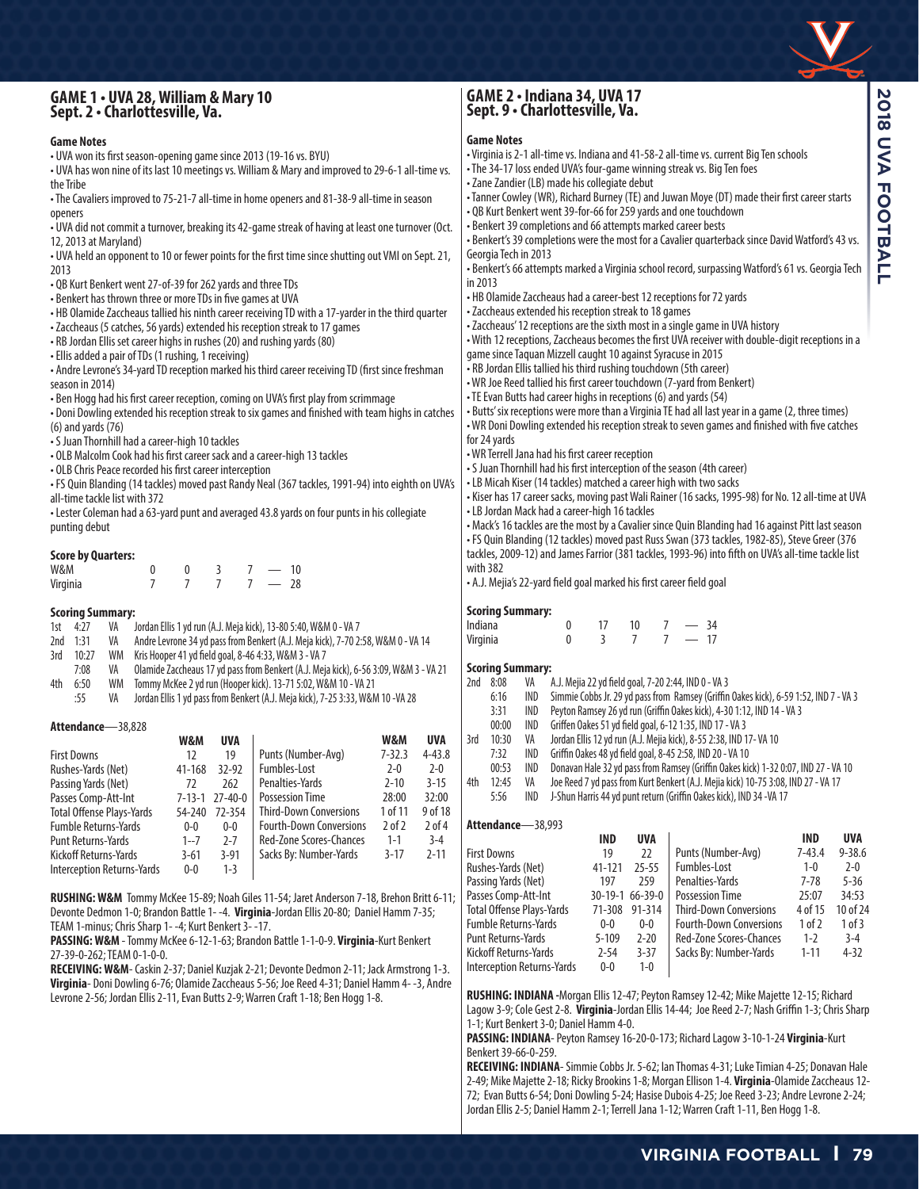# **GAME 1 • UVA 28, William & Mary 10 Sept. 2 • Charlottesville, Va.**

## **GAME 2 • Indiana 34, UVA 17 Sept. 9 • Charlottesville, Va.**

#### **Game Notes**

| <b>Game Notes</b>                                                                                                                                                     | Game Notes                                                                                                                |  |  |  |  |  |  |  |  |
|-----------------------------------------------------------------------------------------------------------------------------------------------------------------------|---------------------------------------------------------------------------------------------------------------------------|--|--|--|--|--|--|--|--|
| • UVA won its first season-opening game since 2013 (19-16 vs. BYU)                                                                                                    | • Virginia is 2-1 all-time vs. Indiana and 41-58-2 all-time vs. current Big Ten schools                                   |  |  |  |  |  |  |  |  |
| . UVA has won nine of its last 10 meetings vs. William & Mary and improved to 29-6-1 all-time vs.                                                                     | • The 34-17 loss ended UVA's four-game winning streak vs. Big Ten foes                                                    |  |  |  |  |  |  |  |  |
| the Tribe                                                                                                                                                             | • Zane Zandier (LB) made his collegiate debut                                                                             |  |  |  |  |  |  |  |  |
| • The Cavaliers improved to 75-21-7 all-time in home openers and 81-38-9 all-time in season                                                                           | • Tanner Cowley (WR), Richard Burney (TE) and Juwan Moye (DT) made their first career starts                              |  |  |  |  |  |  |  |  |
| openers                                                                                                                                                               | • QB Kurt Benkert went 39-for-66 for 259 yards and one touchdown                                                          |  |  |  |  |  |  |  |  |
| . UVA did not commit a turnover, breaking its 42-game streak of having at least one turnover (Oct.                                                                    | • Benkert 39 completions and 66 attempts marked career bests                                                              |  |  |  |  |  |  |  |  |
| 12, 2013 at Maryland)                                                                                                                                                 | . Benkert's 39 completions were the most for a Cavalier quarterback since David Watford's 43 vs.                          |  |  |  |  |  |  |  |  |
| . UVA held an opponent to 10 or fewer points for the first time since shutting out VMI on Sept. 21,                                                                   | Georgia Tech in 2013<br>· Benkert's 66 attempts marked a Virginia school record, surpassing Watford's 61 vs. Georgia Tech |  |  |  |  |  |  |  |  |
| 2013                                                                                                                                                                  |                                                                                                                           |  |  |  |  |  |  |  |  |
| • QB Kurt Benkert went 27-of-39 for 262 yards and three TDs                                                                                                           | in 2013<br>. HB Olamide Zaccheaus had a career-best 12 receptions for 72 yards                                            |  |  |  |  |  |  |  |  |
| • Benkert has thrown three or more TDs in five games at UVA                                                                                                           | • Zaccheaus extended his reception streak to 18 games                                                                     |  |  |  |  |  |  |  |  |
| • HB Olamide Zaccheaus tallied his ninth career receiving TD with a 17-yarder in the third quarter                                                                    | • Zaccheaus' 12 receptions are the sixth most in a single game in UVA history                                             |  |  |  |  |  |  |  |  |
| - Zaccheaus (5 catches, 56 yards) extended his reception streak to 17 games                                                                                           | • With 12 receptions, Zaccheaus becomes the first UVA receiver with double-digit receptions in a                          |  |  |  |  |  |  |  |  |
| . RB Jordan Ellis set career highs in rushes (20) and rushing yards (80)                                                                                              | game since Taquan Mizzell caught 10 against Syracuse in 2015                                                              |  |  |  |  |  |  |  |  |
| • Ellis added a pair of TDs (1 rushing, 1 receiving)<br>• Andre Levrone's 34-yard TD reception marked his third career receiving TD (first since freshman             | • RB Jordan Ellis tallied his third rushing touchdown (5th career)                                                        |  |  |  |  |  |  |  |  |
| season in 2014)                                                                                                                                                       | • WR Joe Reed tallied his first career touchdown (7-yard from Benkert)                                                    |  |  |  |  |  |  |  |  |
| • Ben Hogg had his first career reception, coming on UVA's first play from scrimmage                                                                                  | • TE Evan Butts had career highs in receptions (6) and yards (54)                                                         |  |  |  |  |  |  |  |  |
| . Doni Dowling extended his reception streak to six games and finished with team highs in catches                                                                     | • Butts' six receptions were more than a Virginia TE had all last year in a game (2, three times)                         |  |  |  |  |  |  |  |  |
| $(6)$ and yards $(76)$                                                                                                                                                | . WR Doni Dowling extended his reception streak to seven games and finished with five catches                             |  |  |  |  |  |  |  |  |
| • S Juan Thornhill had a career-high 10 tackles                                                                                                                       | for 24 yards                                                                                                              |  |  |  |  |  |  |  |  |
| . OLB Malcolm Cook had his first career sack and a career-high 13 tackles                                                                                             | • WR Terrell Jana had his first career reception                                                                          |  |  |  |  |  |  |  |  |
| • OLB Chris Peace recorded his first career interception                                                                                                              | • S Juan Thornhill had his first interception of the season (4th career)                                                  |  |  |  |  |  |  |  |  |
| • FS Quin Blanding (14 tackles) moved past Randy Neal (367 tackles, 1991-94) into eighth on UVA's                                                                     | • LB Micah Kiser (14 tackles) matched a career high with two sacks                                                        |  |  |  |  |  |  |  |  |
| all-time tackle list with 372                                                                                                                                         | • Kiser has 17 career sacks, moving past Wali Rainer (16 sacks, 1995-98) for No. 12 all-time at UVA                       |  |  |  |  |  |  |  |  |
| • Lester Coleman had a 63-yard punt and averaged 43.8 yards on four punts in his collegiate                                                                           | • LB Jordan Mack had a career-high 16 tackles                                                                             |  |  |  |  |  |  |  |  |
| punting debut                                                                                                                                                         | • Mack's 16 tackles are the most by a Cavalier since Quin Blanding had 16 against Pitt last season                        |  |  |  |  |  |  |  |  |
|                                                                                                                                                                       | • FS Quin Blanding (12 tackles) moved past Russ Swan (373 tackles, 1982-85), Steve Greer (376                             |  |  |  |  |  |  |  |  |
| <b>Score by Quarters:</b>                                                                                                                                             | tackles, 2009-12) and James Farrior (381 tackles, 1993-96) into fifth on UVA's all-time tackle list                       |  |  |  |  |  |  |  |  |
| W&M<br>0<br>$7 - 10$<br>0<br>3                                                                                                                                        | with 382                                                                                                                  |  |  |  |  |  |  |  |  |
| $7 - 28$<br>$\overline{7}$<br>$\overline{7}$<br>$\overline{7}$<br>Virginia                                                                                            | • A.J. Mejia's 22-yard field goal marked his first career field goal                                                      |  |  |  |  |  |  |  |  |
|                                                                                                                                                                       |                                                                                                                           |  |  |  |  |  |  |  |  |
| <b>Scoring Summary:</b>                                                                                                                                               | <b>Scoring Summary:</b><br>Indiana<br>0<br>17<br>$-34$<br>10<br>7                                                         |  |  |  |  |  |  |  |  |
| 1st $4:27$<br>Jordan Ellis 1 yd run (A.J. Meja kick), 13-80 5:40, W&M 0 - VA 7<br>VA<br>2nd 1:31                                                                      | $-17$<br>$\overline{3}$<br>$\overline{7}$<br>7 <sup>7</sup><br>$\mathbf{0}$<br>Virginia                                   |  |  |  |  |  |  |  |  |
| Andre Levrone 34 yd pass from Benkert (A.J. Meja kick), 7-70 2:58, W&M 0 - VA 14<br>VA<br>WM<br>10:27<br>Kris Hooper 41 yd field goal, 8-46 4:33, W&M 3 - VA 7<br>3rd |                                                                                                                           |  |  |  |  |  |  |  |  |
| 7:08<br>Olamide Zaccheaus 17 yd pass from Benkert (A.J. Meja kick), 6-56 3:09, W&M 3 - VA 21<br>VA                                                                    | <b>Scoring Summary:</b>                                                                                                   |  |  |  |  |  |  |  |  |
| Tommy McKee 2 yd run (Hooper kick). 13-71 5:02, W&M 10 - VA 21<br>6:50<br>WM<br>4th                                                                                   | 2nd 8:08<br>A.J. Mejia 22 yd field goal, 7-20 2:44, IND 0 - VA 3<br>VA                                                    |  |  |  |  |  |  |  |  |
| :55<br>Jordan Ellis 1 yd pass from Benkert (A.J. Meja kick), 7-25 3:33, W&M 10 -VA 28<br>VA                                                                           | Simmie Cobbs Jr. 29 yd pass from Ramsey (Griffin Oakes kick), 6-59 1:52, IND 7 - VA 3<br>6:16<br>IND                      |  |  |  |  |  |  |  |  |
|                                                                                                                                                                       | IND<br>Peyton Ramsey 26 yd run (Griffin Oakes kick), 4-30 1:12, IND 14 - VA 3<br>3:31                                     |  |  |  |  |  |  |  |  |
| Attendance-38,828                                                                                                                                                     | 00:00<br>IND<br>Griffen Oakes 51 yd field goal, 6-12 1:35, IND 17 - VA 3                                                  |  |  |  |  |  |  |  |  |
| W&M<br>UVA<br>W&M<br>UVA                                                                                                                                              | VA<br>3rd<br>10:30<br>Jordan Ellis 12 yd run (A.J. Mejia kick), 8-55 2:38, IND 17-VA 10                                   |  |  |  |  |  |  |  |  |
| Punts (Number-Avg)<br>$7 - 32.3$<br>$4 - 43.8$<br>19<br><b>First Downs</b><br>12                                                                                      | 7:32<br>Griffin Oakes 48 yd field goal, 8-45 2:58, IND 20 - VA 10<br>IND                                                  |  |  |  |  |  |  |  |  |
| Fumbles-Lost<br>$2 - 0$<br>$2 - 0$<br>Rushes-Yards (Net)<br>41-168 32-92                                                                                              | 00:53<br>IND<br>Donavan Hale 32 yd pass from Ramsey (Griffin Oakes kick) 1-32 0:07, IND 27 - VA 10                        |  |  |  |  |  |  |  |  |
| Penalties-Yards<br>$2 - 10$<br>$3 - 15$<br>262<br>Passing Yards (Net)<br>72                                                                                           | 4th 12:45<br>VA<br>Joe Reed 7 yd pass from Kurt Benkert (A.J. Mejia kick) 10-75 3:08, IND 27 - VA 17                      |  |  |  |  |  |  |  |  |
| 28:00<br>32:00<br><b>Possession Time</b><br>Passes Comp-Att-Int<br>7-13-1 27-40-0                                                                                     | 5:56<br>J-Shun Harris 44 yd punt return (Griffin Oakes kick), IND 34 -VA 17<br>IND                                        |  |  |  |  |  |  |  |  |
| <b>Third-Down Conversions</b><br>1 of 11<br>9 of 18<br><b>Total Offense Plays-Yards</b><br>54-240<br>72-354                                                           |                                                                                                                           |  |  |  |  |  |  |  |  |
| <b>Fourth-Down Conversions</b><br>$2$ of $2$<br>Fumble Returns-Yards<br>$0-0$<br>$0-0$<br>$2$ of 4                                                                    | Attendance-38,993                                                                                                         |  |  |  |  |  |  |  |  |
| Red-Zone Scores-Chances<br>$1 - 1$<br>$3 - 4$<br>Punt Returns-Yards<br>$1 - 7$<br>$2 - 7$                                                                             | <b>IND</b><br><b>UVA</b><br>UVA<br><b>IND</b>                                                                             |  |  |  |  |  |  |  |  |
| Sacks By: Number-Yards<br>$3 - 17$<br>$2 - 11$<br>Kickoff Returns-Yards<br>$3 - 61$<br>$3 - 91$                                                                       | 22<br>Punts (Number-Avg)<br>$7 - 43.4$<br>$9 - 38.6$<br><b>First Downs</b><br>19                                          |  |  |  |  |  |  |  |  |
| Interception Returns-Yards<br>$0-0$<br>$1 - 3$                                                                                                                        | Fumbles-Lost<br>$1 - 0$<br>Rushes-Yards (Net)<br>41-121<br>$25 - 55$<br>$2 - 0$                                           |  |  |  |  |  |  |  |  |
|                                                                                                                                                                       | $5 - 36$<br>Penalties-Yards<br>$7 - 78$<br>Passing Yards (Net)<br>197<br>259                                              |  |  |  |  |  |  |  |  |
| RUSHING: W&M Tommy McKee 15-89; Noah Giles 11-54; Jaret Anderson 7-18, Brehon Britt 6-11;                                                                             | <b>Possession Time</b><br>25:07<br>34:53<br>Passes Comp-Att-Int<br>30-19-1 66-39-0                                        |  |  |  |  |  |  |  |  |
| Devonte Dedmon 1-0; Brandon Battle 1--4. Virginia-Jordan Ellis 20-80; Daniel Hamm 7-35;                                                                               | <b>Third-Down Conversions</b><br>4 of 15<br>10 of 24<br><b>Total Offense Plays-Yards</b><br>71-308 91-314                 |  |  |  |  |  |  |  |  |
| TEAM 1-minus; Chris Sharp 1--4; Kurt Benkert 3--17.                                                                                                                   | <b>Fourth-Down Conversions</b><br><b>Fumble Returns-Yards</b><br>1 of 2<br>1 of 3<br>$0-0$<br>$0-0$                       |  |  |  |  |  |  |  |  |
| PASSING: W&M - Tommy McKee 6-12-1-63: Brandon Battle 1-1-0-9. Virginia-Kurt Benkert                                                                                   | Red-Zone Scores-Chances<br>Punt Returns-Yards<br>$5 - 109$<br>$2 - 20$<br>$1 - 2$<br>$3 - 4$                              |  |  |  |  |  |  |  |  |

Punt Returns-Yards<br>
Kickoff Returns-Yards
2-54
3-37 Kickoff Returns-Yards 2-54<br>Interception Returns-Yards 0-0 Interception Returns-Yards 0-0 1-0

1-1; Kurt Benkert 3-0; Daniel Hamm 4-0.

Benkert 39-66-0-259.

**RUSHING: INDIANA -**Morgan Ellis 12-47; Peyton Ramsey 12-42; Mike Majette 12-15; Richard Lagow 3-9; Cole Gest 2-8. **Virginia**-Jordan Ellis 14-44; Joe Reed 2-7; Nash Griffin 1-3; Chris Sharp

**PASSING: INDIANA**- Peyton Ramsey 16-20-0-173; Richard Lagow 3-10-1-24 **Virginia**-Kurt

**RECEIVING: INDIANA**- Simmie Cobbs Jr. 5-62; Ian Thomas 4-31; Luke Timian 4-25; Donavan Hale 2-49; Mike Majette 2-18; Ricky Brookins 1-8; Morgan Ellison 1-4. **Virginia**-Olamide Zaccheaus 12- 72; Evan Butts 6-54; Doni Dowling 5-24; Hasise Dubois 4-25; Joe Reed 3-23; Andre Levrone 2-24; Jordan Ellis 2-5; Daniel Hamm 2-1; Terrell Jana 1-12; Warren Craft 1-11, Ben Hogg 1-8.

**PASSING:W&M** - Tommy McKee 6-12-1-63; Brandon Battle 1-1-0-9. **Virginia**-Kurt Benkert 27-39-0-262; TEAM 0-1-0-0.

**RECEIVING:W&M**- Caskin 2-37; Daniel Kuzjak 2-21; Devonte Dedmon 2-11; Jack Armstrong 1-3. **Virginia**- Doni Dowling 6-76; Olamide Zaccheaus 5-56; Joe Reed 4-31; Daniel Hamm 4- -3, Andre Levrone 2-56; Jordan Ellis 2-11, Evan Butts 2-9; Warren Craft 1-18; Ben Hogg 1-8.

Red-Zone Scores-Chances 1-2 3-4<br>Sacks Bv: Number-Yards 1-11 4-32

Sacks By: Number-Yards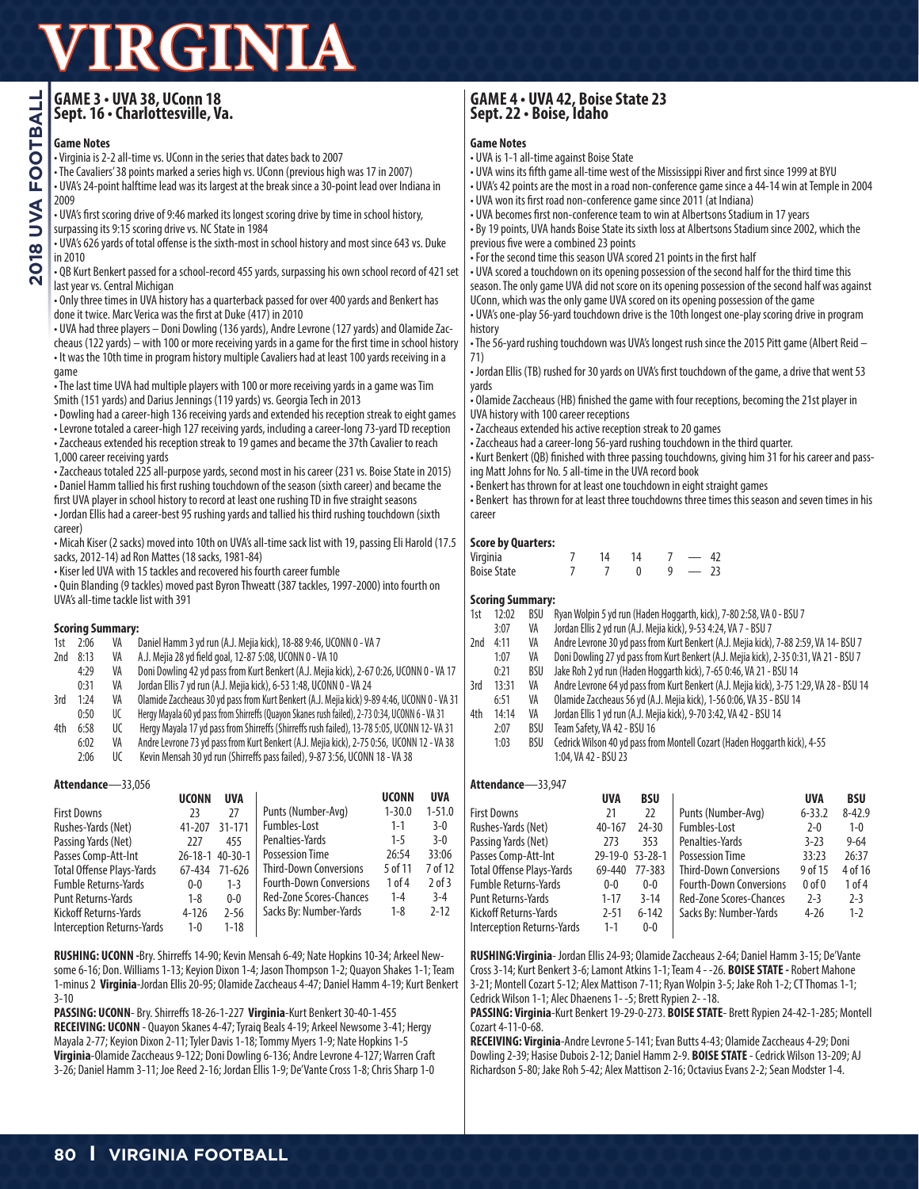## **GAME 3 • UVA 38, UConn 18 Sept. 16 • Charlottesville, Va.**

### **Game Notes**

• Virginia is 2-2 all-time vs. UConn in the series that dates back to 2007

• The Cavaliers' 38 points marked a series high vs. UConn (previous high was 17 in 2007)

• UVA's 24-point halftime lead was its largest at the break since a 30-point lead over Indiana in 2009

• UVA's first scoring drive of 9:46 marked its longest scoring drive by time in school history, surpassing its 9:15 scoring drive vs. NC State in 1984

• UVA's 626 yards of total offense is the sixth-most in school history and most since 643 vs. Duke in 2010

#### • QB Kurt Benkert passed for a school-record 455 yards, surpassing his own school record of 421 set last year vs. Central Michigan

• Only three times in UVA history has a quarterback passed for over 400 yards and Benkert has done it twice. Marc Verica was the first at Duke (417) in 2010

• UVA had three players – Doni Dowling (136 yards), Andre Levrone (127 yards) and Olamide Zaccheaus (122 yards) – with 100 or more receiving yards in a game for the first time in school history • It was the 10th time in program history multiple Cavaliers had at least 100 yards receiving in a game

• The last time UVA had multiple players with 100 or more receiving yards in a game was Tim Smith (151 yards) and Darius Jennings (119 yards) vs. Georgia Tech in 2013

• Dowling had a career-high 136 receiving yards and extended his reception streak to eight games

• Levrone totaled a career-high 127 receiving yards, including a career-long 73-yard TD reception • Zaccheaus extended his reception streak to 19 games and became the 37th Cavalier to reach 1,000 career receiving yards

• Zaccheaus totaled 225 all-purpose yards, second most in his career (231 vs. Boise State in 2015) • Daniel Hamm tallied his first rushing touchdown of the season (sixth career) and became the first UVA player in school history to record at least one rushing TD in five straight seasons

• Jordan Ellis had a career-best 95 rushing yards and tallied his third rushing touchdown (sixth career)

• Micah Kiser (2 sacks) moved into 10th on UVA's all-time sack list with 19, passing Eli Harold (17.5 sacks, 2012-14) ad Ron Mattes (18 sacks, 1981-84)

• Kiser led UVA with 15 tackles and recovered his fourth career fumble

• Quin Blanding (9 tackles) moved past Byron Thweatt (387 tackles, 1997-2000) into fourth on UVA's all-time tackle list with 391

## **Scoring Summary:**<br>1st 2:06 VA [

1st 2:06 VA Daniel Hamm 3 yd run (A.J. Mejia kick), 18-88 9:46, UCONN 0 - VA 7

- 2nd 8:13 VA A.J. Mejia 28 yd field goal, 12-87 5:08, UCONN 0 VA 10
- 4:29 VA Doni Dowling 42 yd pass from Kurt Benkert (A.J. Mejia kick), 2-67 0:26, UCONN 0 VA 17
- 0:31 VA Jordan Ellis 7 yd run (A.J. Mejia kick), 6-53 1:48, UCONN 0 VA 24
- 3rd 1:24 VA Olamide Zaccheaus 30 yd pass from Kurt Benkert (A.J. Mejia kick) 9-89 4:46, UCONN 0 VA 31
- 0:50 UC Hergy Mayala 60 yd pass from Shirreffs (Quayon Skanes rush failed), 2-73 0:34, UCONN 6 VA 31
- 4th 6:58 UC Hergy Mayala 17 yd pass from Shirreffs (Shirreffs rush failed), 13-78 5:05, UCONN 12- VA 31 6:02 VA Andre Levrone 73 yd pass from Kurt Benkert (A.J. Mejia kick), 2-75 0:56, UCONN 12 - VA 38
	- 2:06 UC Kevin Mensah 30 yd run (Shirreffs pass failed), 9-87 3:56, UCONN 18 VA 38

#### **Attendance**—33,056

|                                   | <b>UCONN</b>  | <b>UVA</b>    |                                | <b>UCONN</b> | <b>UVA</b> |
|-----------------------------------|---------------|---------------|--------------------------------|--------------|------------|
| <b>First Downs</b>                | 23            | 27            | Punts (Number-Avg)             | $1 - 30.0$   | $1 - 51.0$ |
| Rushes-Yards (Net)                | 41-207        | $31 - 171$    | Fumbles-Lost                   | $1 - 1$      | $3-0$      |
| Passing Yards (Net)               | 777           | 455           | Penalties-Yards                | $1 - 5$      | $3-0$      |
| Passes Comp-Att-Int               | $26 - 18 - 1$ | $40 - 30 - 1$ | <b>Possession Time</b>         | 26:54        | 33:06      |
| <b>Total Offense Plays-Yards</b>  | 67-434        | $71 - 626$    | <b>Third-Down Conversions</b>  | 5 of 11      | 7 of 12    |
| <b>Fumble Returns-Yards</b>       | $0 - 0$       | $1 - 3$       | <b>Fourth-Down Conversions</b> | 1 of 4       | $2$ of $3$ |
| <b>Punt Returns-Yards</b>         | $1 - 8$       | $0 - 0$       | <b>Red-Zone Scores-Chances</b> | $1 - 4$      | $3 - 4$    |
| Kickoff Returns-Yards             | $4 - 126$     | $2 - 56$      | Sacks By: Number-Yards         | $1 - 8$      | $2 - 12$   |
| <b>Interception Returns-Yards</b> | $1 - 0$       | $1 - 18$      |                                |              |            |

**RUSHING: UCONN -**Bry. Shirreffs 14-90; Kevin Mensah 6-49; Nate Hopkins 10-34; Arkeel Newsome 6-16; Don. Williams 1-13; Keyion Dixon 1-4; Jason Thompson 1-2; Quayon Shakes 1-1; Team 1-minus 2 **Virginia**-Jordan Ellis 20-95; Olamide Zaccheaus 4-47; Daniel Hamm 4-19; Kurt Benkert 3-10

**PASSING: UCONN**- Bry. Shirreffs 18-26-1-227 **Virginia**-Kurt Benkert 30-40-1-455 **RECEIVING: UCONN** - Quayon Skanes 4-47; Tyraiq Beals 4-19; Arkeel Newsome 3-41; Hergy Mayala 2-77; Keyion Dixon 2-11; Tyler Davis 1-18; Tommy Myers 1-9; Nate Hopkins 1-5 **Virginia**-Olamide Zaccheaus 9-122; Doni Dowling 6-136; Andre Levrone 4-127; Warren Craft 3-26; Daniel Hamm 3-11; Joe Reed 2-16; Jordan Ellis 1-9; De'Vante Cross 1-8; Chris Sharp 1-0

# **GAME 4 • UVA 42, Boise State 23 Sept. 22 • Boise, Idaho**

#### **Game Notes**

- UVA is 1-1 all-time against Boise State
- UVA wins its fifth game all-time west of the Mississippi River and first since 1999 at BYU
- UVA's 42 points are the most in a road non-conference game since a 44-14 win at Temple in 2004 • UVA won its first road non-conference game since 2011 (at Indiana)
- UVA becomes first non-conference team to win at Albertsons Stadium in 17 years
- By 19 points, UVA hands Boise State its sixth loss at Albertsons Stadium since 2002, which the previous five were a combined 23 points
- For the second time this season UVA scored 21 points in the first half

• UVA scored a touchdown on its opening possession of the second half for the third time this season. The only game UVA did not score on its opening possession of the second half was against UConn, which was the only game UVA scored on its opening possession of the game

• UVA's one-play 56-yard touchdown drive is the 10th longest one-play scoring drive in program history

• The 56-yard rushing touchdown was UVA's longest rush since the 2015 Pitt game (Albert Reid – 71)

• Jordan Ellis (TB) rushed for 30 yards on UVA's first touchdown of the game, a drive that went 53 yards

• Olamide Zaccheaus (HB) finished the game with four receptions, becoming the 21st player in UVA history with 100 career receptions

• Zaccheaus extended his active reception streak to 20 games

• Zaccheaus had a career-long 56-yard rushing touchdown in the third quarter.

• Kurt Benkert (QB) finished with three passing touchdowns, giving him 31 for his career and passing Matt Johns for No. 5 all-time in the UVA record book

• Benkert has thrown for at least one touchdown in eight straight games

• Benkert has thrown for at least three touchdowns three times this season and seven times in his career

#### **Score by Quarters:**

| -------<br>---------- |  |   |  |
|-----------------------|--|---|--|
| Virginia              |  |   |  |
| <b>Boise State</b>    |  | a |  |

#### **Scoring Summary:**

| 1st - | 12:02 | BSU Ryan Wolpin 5 yd run (Haden Hoggarth, kick), 7-80 2:58, VA 0 - BSU 7        |  |
|-------|-------|---------------------------------------------------------------------------------|--|
|       |       | $\lambda$ lordan Ellis 2 vd run (A J Maiia kick) $\lambda$ 53 A.34 VA 7 - RSU 7 |  |

- 3:07 VA Jordan Ellis 2 yd run (A.J. Mejia kick), 9-53 4:24, VA 7 BSU 7 2nd 4:11 VA Andre Levrone 30 yd pass from Kurt Benkert (A.J. Mejia kick), 7-88 2:59, VA 14- BSU 7
	-
	- 1:07 VA Doni Dowling 27 yd pass from Kurt Benkert (A.J. Mejia kick), 2-35 0:31, VA 21 BSU 7
	- 0:21 BSU Jake Roh 2 yd run (Haden Hoggarth kick), 7-65 0:46, VA 21 BSU 14
- 3rd 13:31 VA Andre Levrone 64 yd pass from Kurt Benkert (A.J. Mejia kick), 3-75 1:29, VA 28 BSU 14
	- 6:51 VA Olamide Zaccheaus 56 yd (A.J. Mejia kick), 1-56 0:06, VA 35 BSU 14
- 4th 14:14 VA Jordan Ellis 1 yd run (A.J. Mejia kick), 9-70 3:42, VA 42 BSU 14
	- 2:07 BSU Team Safety, VA 42 BSU 16<br>1:03 BSU Cedrick Wilson 40 vd pass fro
	- BSU Cedrick Wilson 40 yd pass from Montell Cozart (Haden Hoggarth kick), 4-55 1:04, VA 42 - BSU 23

#### **Attendance**—33,947

|                                   | <b>UVA</b>      | <b>BSU</b> |                                | <b>UVA</b>     | <b>BSU</b> |
|-----------------------------------|-----------------|------------|--------------------------------|----------------|------------|
| <b>First Downs</b>                | 21              | 22         | Punts (Number-Avg)             | $6 - 33.2$     | $8 - 42.9$ |
| Rushes-Yards (Net)                | 40-167          | $24 - 30$  | Fumbles-Lost                   | $2 - 0$        | $1 - 0$    |
| Passing Yards (Net)               | 273             | 353        | Penalties-Yards                | $3 - 23$       | $9 - 64$   |
| Passes Comp-Att-Int               | 29-19-0 53-28-1 |            | <b>Possession Time</b>         | 33:23          | 26:37      |
| <b>Total Offense Plays-Yards</b>  | 69-440          | 77-383     | <b>Third-Down Conversions</b>  | 9 of 15        | 4 of 16    |
| <b>Fumble Returns-Yards</b>       | $0 - 0$         | $0-0$      | <b>Fourth-Down Conversions</b> | 0 <sub>0</sub> | 1 of 4     |
| Punt Returns-Yards                | $1 - 17$        | $3 - 14$   | <b>Red-Zone Scores-Chances</b> | $2 - 3$        | $2 - 3$    |
| Kickoff Returns-Yards             | $2 - 51$        | $6 - 142$  | Sacks By: Number-Yards         | $4 - 26$       | $1 - 2$    |
| <b>Interception Returns-Yards</b> | $1 - 1$         | $0-0$      |                                |                |            |

**RUSHING:Virginia**- Jordan Ellis 24-93; Olamide Zaccheaus 2-64; Daniel Hamm 3-15; De'Vante Cross 3-14; Kurt Benkert 3-6; Lamont Atkins 1-1; Team 4 - -26. **BOISE STATE -** Robert Mahone 3-21; Montell Cozart 5-12; Alex Mattison 7-11; Ryan Wolpin 3-5; Jake Roh 1-2; CT Thomas 1-1; Cedrick Wilson 1-1; Alec Dhaenens 1- -5; Brett Rypien 2- -18.

**PASSING: Virginia**-Kurt Benkert 19-29-0-273. **BOISE STATE**- Brett Rypien 24-42-1-285; Montell Cozart 4-11-0-68.

**RECEIVING: Virginia**-Andre Levrone 5-141; Evan Butts 4-43; Olamide Zaccheaus 4-29; Doni Dowling 2-39; Hasise Dubois 2-12; Daniel Hamm 2-9. **BOISE STATE** - Cedrick Wilson 13-209; AJ Richardson 5-80; Jake Roh 5-42; Alex Mattison 2-16; Octavius Evans 2-2; Sean Modster 1-4.

**2018 UVA FOOTBALL O18 UVA FOOTBALL**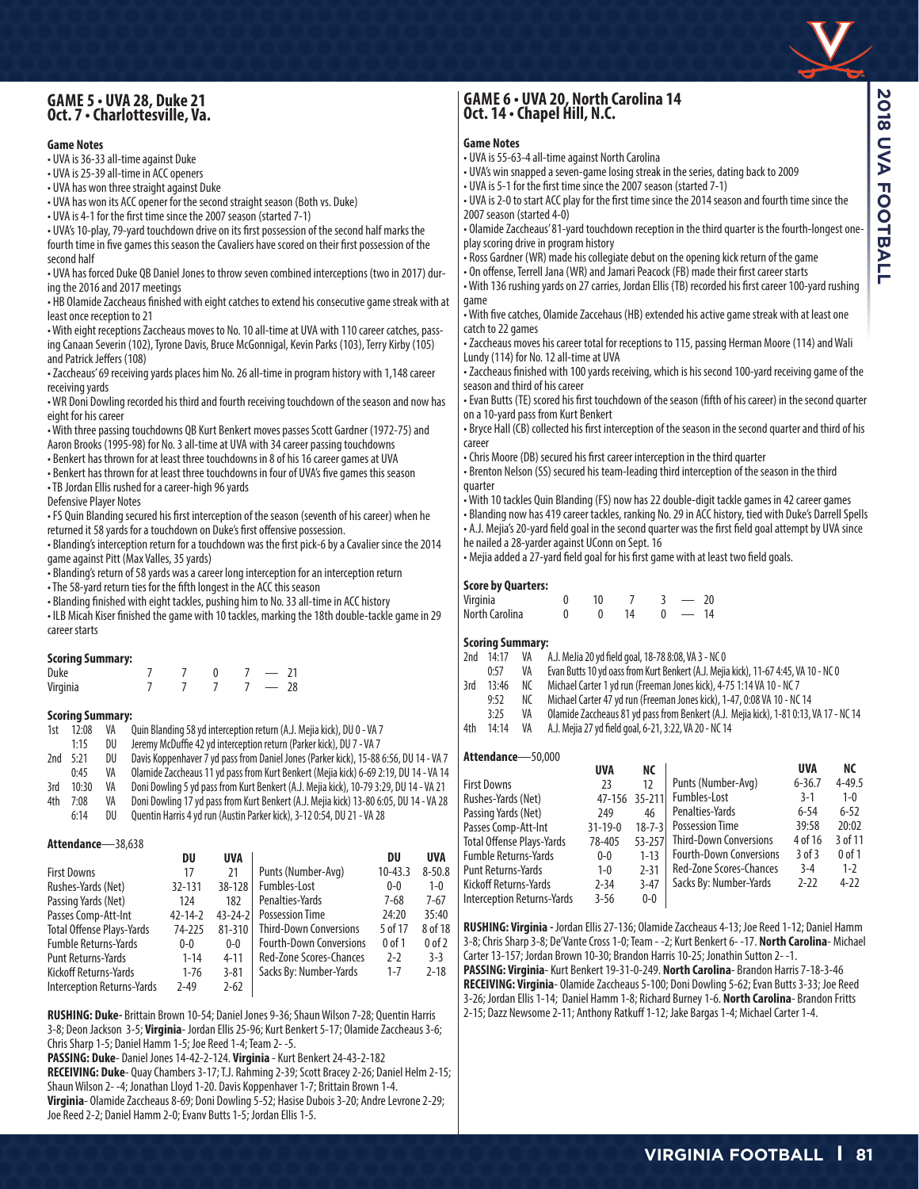# **GAME 5 • UVA 28, Duke 21 Oct. 7 • Charlottesville, Va.**

#### **Game Notes**

• UVA is 36-33 all-time against Duke

• UVA is 25-39 all-time in ACC openers

• UVA has won three straight against Duke

• UVA has won its ACC opener for the second straight season (Both vs. Duke)

• UVA is 4-1 for the first time since the 2007 season (started 7-1)

• UVA's 10-play, 79-yard touchdown drive on its first possession of the second half marks the fourth time in five games this season the Cavaliers have scored on their first possession of the second half

• UVA has forced Duke QB Daniel Jones to throw seven combined interceptions (two in 2017) during the 2016 and 2017 meetings

• HB Olamide Zaccheaus finished with eight catches to extend his consecutive game streak with at least once reception to 21

• With eight receptions Zaccheaus moves to No. 10 all-time at UVA with 110 career catches, passing Canaan Severin (102), Tyrone Davis, Bruce McGonnigal, Kevin Parks (103), Terry Kirby (105) and Patrick Jeffers (108)

• Zaccheaus' 69 receiving yards places him No. 26 all-time in program history with 1,148 career receiving yards

• WR Doni Dowling recorded his third and fourth receiving touchdown of the season and now has eight for his career

• With three passing touchdowns QB Kurt Benkert moves passes Scott Gardner (1972-75) and Aaron Brooks (1995-98) for No. 3 all-time at UVA with 34 career passing touchdowns

• Benkert has thrown for at least three touchdowns in 8 of his 16 career games at UVA

• Benkert has thrown for at least three touchdowns in four of UVA's five games this season

• TB Jordan Ellis rushed for a career-high 96 yards

Defensive Player Notes

• FS Quin Blanding secured his first interception of the season (seventh of his career) when he returned it 58 yards for a touchdown on Duke's first offensive possession.

• Blanding's interception return for a touchdown was the first pick-6 by a Cavalier since the 2014 game against Pitt (Max Valles, 35 yards)

• Blanding's return of 58 yards was a career long interception for an interception return

• The 58-yard return ties for the fifth longest in the ACC this season

• Blanding finished with eight tackles, pushing him to No. 33 all-time in ACC history

• ILB Micah Kiser finished the game with 10 tackles, marking the 18th double-tackle game in 29 career starts

#### **Scoring Summary:**

| Duke     |  |  |  |
|----------|--|--|--|
| Virginia |  |  |  |

### **Scoring Summary:**<br>1st 12:08 VA (

**Attendance**—38,638

0uin Blanding 58 vd interception return (A.J. Meija kick), DU 0 - VA 7

- 1:15 DU Jeremy McDuffie 42 yd interception return (Parker kick), DU 7 VA 7 2nd 5:21 DU Davis Koppenhaver 7 yd pass from Daniel Jones (Parker kick), 15-88 6:56, DU 14 - VA 7
- 0:45 VA Olamide Zaccheaus 11 yd pass from Kurt Benkert (Mejia kick) 6-69 2:19, DU 14 VA 14
- 3rd 10:30 VA Doni Dowling 5 yd pass from Kurt Benkert (A.J. Mejia kick), 10-79 3:29, DU 14 VA 21
- 4th 7:08 VA Doni Dowling 17 yd pass from Kurt Benkert (A.J. Mejia kick) 13-80 6:05, DU 14 VA 28
- 6:14 DU Quentin Harris 4 yd run (Austin Parker kick), 3-12 0:54, DU 21 VA 28

| Allenuance—30,030                |               |               |                                |             |            |
|----------------------------------|---------------|---------------|--------------------------------|-------------|------------|
|                                  | DU            | <b>UVA</b>    |                                | DU          | <b>UVA</b> |
| <b>First Downs</b>               | 17            | 21            | Punts (Number-Avg)             | $10 - 43.3$ | $8 - 50.8$ |
| Rushes-Yards (Net)               | 32-131        | 38-128        | Fumbles-Lost                   | $0 - 0$     | $1 - 0$    |
| Passing Yards (Net)              | 174           | 182           | Penalties-Yards                | $7 - 68$    | $7 - 67$   |
| Passes Comp-Att-Int              | $42 - 14 - 2$ | $43 - 24 - 2$ | <b>Possession Time</b>         | 24:20       | 35:40      |
| <b>Total Offense Plays-Yards</b> | 74-225        | $81 - 310$    | <b>Third-Down Conversions</b>  | 5 of 17     | 8 of 18    |
| <b>Fumble Returns-Yards</b>      | $0-0$         | $0-0$         | <b>Fourth-Down Conversions</b> | $0$ of $1$  | $0$ of $2$ |
| <b>Punt Returns-Yards</b>        | $1 - 14$      | $4 - 11$      | Red-Zone Scores-Chances        | $2-2$       | $3-3$      |
| Kickoff Returns-Yards            | $1 - 76$      | $3 - 81$      | Sacks By: Number-Yards         | $1 - 7$     | $2 - 18$   |
| Interception Returns-Yards       | $2 - 49$      | $2 - 62$      |                                |             |            |
|                                  |               |               |                                |             |            |

**RUSHING: Duke-** Brittain Brown 10-54; Daniel Jones 9-36; Shaun Wilson 7-28; Quentin Harris 3-8; Deon Jackson 3-5; **Virginia**- Jordan Ellis 25-96; Kurt Benkert 5-17; Olamide Zaccheaus 3-6; Chris Sharp 1-5; Daniel Hamm 1-5; Joe Reed 1-4; Team 2- -5.

**PASSING: Duke**- Daniel Jones 14-42-2-124. **Virginia** - Kurt Benkert 24-43-2-182

**RECEIVING: Duke**- Quay Chambers 3-17; T.J. Rahming 2-39; Scott Bracey 2-26; Daniel Helm 2-15; Shaun Wilson 2- -4; Jonathan Lloyd 1-20. Davis Koppenhaver 1-7; Brittain Brown 1-4.

**Virginia**- Olamide Zaccheaus 8-69; Doni Dowling 5-52; Hasise Dubois 3-20; Andre Levrone 2-29; Joe Reed 2-2; Daniel Hamm 2-0; Evanv Butts 1-5; Jordan Ellis 1-5.

## **GAME 6 • UVA 20, North Carolina 14 Oct. 14 • Chapel Hill, N.C.**

#### **Game Notes**

- UVA is 55-63-4 all-time against North Carolina
- UVA's win snapped a seven-game losing streak in the series, dating back to 2009
- UVA is 5-1 for the first time since the 2007 season (started 7-1)
- UVA is 2-0 to start ACC play for the first time since the 2014 season and fourth time since the 2007 season (started 4-0)
- Olamide Zaccheaus' 81-yard touchdown reception in the third quarter is the fourth-longest oneplay scoring drive in program history
- Ross Gardner (WR) made his collegiate debut on the opening kick return of the game
- On offense, Terrell Jana (WR) and Jamari Peacock (FB) made their first career starts • With 136 rushing yards on 27 carries, Jordan Ellis (TB) recorded his first career 100-yard rushing game

• With five catches, Olamide Zaccehaus (HB) extended his active game streak with at least one catch to 22 games

- Zaccheaus moves his career total for receptions to 115, passing Herman Moore (114) and Wali Lundy (114) for No. 12 all-time at UVA
- Zaccheaus finished with 100 yards receiving, which is his second 100-yard receiving game of the season and third of his career
- Evan Butts (TE) scored his first touchdown of the season (fifth of his career) in the second quarter on a 10-yard pass from Kurt Benkert
- Bryce Hall (CB) collected his first interception of the season in the second quarter and third of his career
- Chris Moore (DB) secured his first career interception in the third quarter
- Brenton Nelson (SS) secured his team-leading third interception of the season in the third quarter
- With 10 tackles Quin Blanding (FS) now has 22 double-digit tackle games in 42 career games
- Blanding now has 419 career tackles, ranking No. 29 in ACC history, tied with Duke's Darrell Spells • A.J. Mejia's 20-yard field goal in the second quarter was the first field goal attempt by UVA since
- he nailed a 28-yarder against UConn on Sept. 16
- Mejia added a 27-yard field goal for his first game with at least two field goals.

#### **Score by Quarters:**

| .<br>Virginia  |  |  | 20 |
|----------------|--|--|----|
| North Carolina |  |  | 14 |

#### **Scoring Summary:**

- 2nd 14:17 VA A.J. MeJia 20 yd field goal, 18-78 8:08, VA 3 NC 0
	- 0:57 VA Evan Butts 10 yd oass from Kurt Benkert (A.J. Mejia kick), 11-67 4:45, VA 10 NC 0<br>13:46 NC Michael Carter 1 yd run (Freeman Jones kick), 4-75 1:14 VA 10 NC 7
- 3rd 13:46 NC Michael Carter 1 yd run (Freeman Jones kick), 4-75 1:14 VA 10 NC 7
	-
- 9:52 NC Michael Carter 47 yd run (Freeman Jones kick), 1-47, 0:08 VA 10 NC 14<br>3:25 VA Olamide Zaccheaus 81 vd pass from Benkert (A.J. Meija kick). 1-81 0:13. 3:25 VA Olamide Zaccheaus 81 yd pass from Benkert (A.J. Mejia kick), 1-81 0:13, VA 17 - NC 14
- 4th 14:14 VA A.J. Mejia 27 yd field goal, 6-21, 3:22, VA 20 NC 14

#### **Attendance**—50,000

| <b>AUCHAIRE</b><br>JU,UUU         |               |              |                                |            |            |
|-----------------------------------|---------------|--------------|--------------------------------|------------|------------|
|                                   | <b>UVA</b>    | NС           |                                | <b>UVA</b> | NС         |
| <b>First Downs</b>                | 23            | 12           | Punts (Number-Avg)             | $6 - 36.7$ | $4 - 49.5$ |
| Rushes-Yards (Net)                | 47-156        | $35 - 211$   | Fumbles-Lost                   | $3-1$      | $1 - 0$    |
| Passing Yards (Net)               | 249           | 46           | Penalties-Yards                | $6 - 54$   | $6 - 52$   |
| Passes Comp-Att-Int               | $31 - 19 - 0$ | $18 - 7 - 3$ | <b>Possession Time</b>         | 39:58      | 20:02      |
| <b>Total Offense Plays-Yards</b>  | 78-405        | $53 - 257$   | <b>Third-Down Conversions</b>  | 4 of 16    | 3 of 11    |
| <b>Fumble Returns-Yards</b>       | $0 - 0$       | $1 - 13$     | <b>Fourth-Down Conversions</b> | $3$ of $3$ | $0$ of $1$ |
| <b>Punt Returns-Yards</b>         | $1 - 0$       | $2 - 31$     | <b>Red-Zone Scores-Chances</b> | $3 - 4$    | $1 - 2$    |
| Kickoff Returns-Yards             | $2 - 34$      | $3 - 47$     | Sacks By: Number-Yards         | $2 - 22$   | $4 - 22$   |
| <b>Interception Returns-Yards</b> | $3 - 56$      | $0-0$        |                                |            |            |
|                                   |               |              |                                |            |            |

**RUSHING: Virginia -** Jordan Ellis 27-136; Olamide Zaccheaus 4-13; Joe Reed 1-12; Daniel Hamm 3-8; Chris Sharp 3-8; De'Vante Cross 1-0; Team - -2; Kurt Benkert 6- -17. **North Carolina**- Michael Carter 13-157; Jordan Brown 10-30; Brandon Harris 10-25; Jonathin Sutton 2- -1.

**PASSING: Virginia**- Kurt Benkert 19-31-0-249. **North Carolina**- Brandon Harris 7-18-3-46 **RECEIVING: Virginia**- Olamide Zaccheaus 5-100; Doni Dowling 5-62; Evan Butts 3-33; Joe Reed 3-26; Jordan Ellis 1-14; Daniel Hamm 1-8; Richard Burney 1-6. **North Carolina**- Brandon Fritts 2-15; Dazz Newsome 2-11; Anthony Ratkuff 1-12; Jake Bargas 1-4; Michael Carter 1-4.

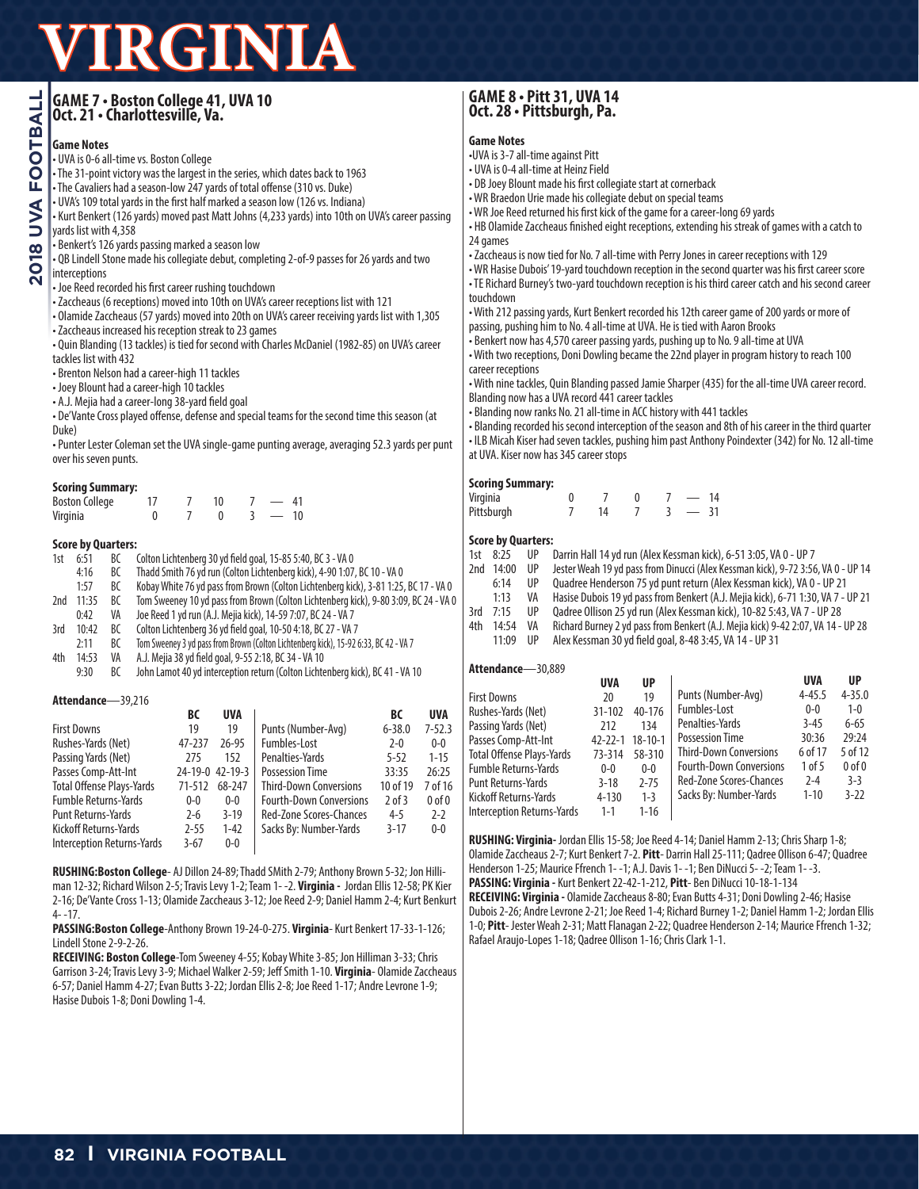| GAME 7 · Boston College 41, UVA 10<br> Oct. 21 · Charlottesville, Va. |
|-----------------------------------------------------------------------|
|                                                                       |
|                                                                       |

#### **Game Notes**

• UVA is 0-6 all-time vs. Boston College

• The 31-point victory was the largest in the series, which dates back to 1963

• The Cavaliers had a season-low 247 yards of total offense (310 vs. Duke)

• UVA's 109 total yards in the first half marked a season low (126 vs. Indiana)

• Kurt Benkert (126 yards) moved past Matt Johns (4,233 yards) into 10th on UVA's career passing yards list with 4,358

• Benkert's 126 yards passing marked a season low

• QB Lindell Stone made his collegiate debut, completing 2-of-9 passes for 26 yards and two interceptions

• Joe Reed recorded his first career rushing touchdown

• Zaccheaus (6 receptions) moved into 10th on UVA's career receptions list with 121

• Olamide Zaccheaus (57 yards) moved into 20th on UVA's career receiving yards list with 1,305 • Zaccheaus increased his reception streak to 23 games

• Quin Blanding (13 tackles) is tied for second with Charles McDaniel (1982-85) on UVA's career tackles list with 432

• Brenton Nelson had a career-high 11 tackles

• Joey Blount had a career-high 10 tackles

• A.J. Mejia had a career-long 38-yard field goal

• De'Vante Cross played offense, defense and special teams for the second time this season (at Duke)

• Punter Lester Coleman set the UVA single-game punting average, averaging 52.3 yards per punt over his seven punts.

#### **Scoring Summary:**

| <b>Boston College</b> |  |  |    |
|-----------------------|--|--|----|
| Virginia              |  |  | 10 |

#### **Score by Quarters:**

- 1st 6:51 BC Colton Lichtenberg 30 yd field goal, 15-85 5:40, BC 3 VA 0
- 4:16 BC Thadd Smith 76 yd run (Colton Lichtenberg kick), 4-90 1:07, BC 10 VA 0
- 1:57 BC Kobay White 76 yd pass from Brown (Colton Lichtenberg kick), 3-81 1:25, BC 17 VA 0
- 2nd 11:35 BC Tom Sweeney 10 yd pass from Brown (Colton Lichtenberg kick), 9-80 3:09, BC 24 VA 0
- 0:42 VA Joe Reed 1 yd run (A.J. Mejia kick), 14-59 7:07, BC 24 VA 7
- 3rd 10:42 BC Colton Lichtenberg 36 yd field goal, 10-50 4:18, BC 27 VA 7
- 2:11 BC Tom Sweeney 3 yd pass from Brown (Colton Lichtenberg kick), 15-92 6:33, BC 42 VA 7<br>14:53 VA A.J. Mejia 38 yd field goal, 9-55 2:18, BC 34 VA 10 4th 14:53 VA A.J. Mejia 38 yd field goal, 9-55 2:18, BC 34 - VA 10
- 9:30 BC John Lamot 40 yd interception return (Colton Lichtenberg kick), BC 41 VA 10

#### **Attendance**—39,216

|                              | ВC       | <b>UVA</b>      |                                | BC         | <b>UVA</b>     |
|------------------------------|----------|-----------------|--------------------------------|------------|----------------|
| <b>First Downs</b>           | 19       | 19              | Punts (Number-Avg)             | $6 - 38.0$ | $7 - 52.3$     |
| Rushes-Yards (Net)           | 47-237   | $26 - 95$       | Fumbles-Lost                   | $2 - 0$    | $0-0$          |
| Passing Yards (Net)          | 275      | 152             | Penalties-Yards                | $5 - 52$   | $1 - 15$       |
| Passes Comp-Att-Int          |          | 24-19-0 42-19-3 | <b>Possession Time</b>         | 33:35      | 26:25          |
| Total Offense Plays-Yards    | 71-512   | 68-247          | <b>Third-Down Conversions</b>  | 10 of 19   | 7 of 16        |
| <b>Fumble Returns-Yards</b>  | $0-0$    | $0-0$           | <b>Fourth-Down Conversions</b> | $2$ of $3$ | 0 <sub>0</sub> |
| <b>Punt Returns-Yards</b>    | $2 - 6$  | $3 - 19$        | <b>Red-Zone Scores-Chances</b> | 4-5        | $2 - 2$        |
| <b>Kickoff Returns-Yards</b> | $2 - 55$ | $1 - 42$        | Sacks By: Number-Yards         | $3 - 17$   | $0 - 0$        |
| Interception Returns-Yards   | $3 - 67$ | $0-0$           |                                |            |                |

**RUSHING:Boston College**- AJ Dillon 24-89; Thadd SMith 2-79; Anthony Brown 5-32; Jon Hilliman 12-32; Richard Wilson 2-5; Travis Levy 1-2; Team 1- -2. **Virginia -** Jordan Ellis 12-58; PK Kier 2-16; De'Vante Cross 1-13; Olamide Zaccheaus 3-12; Joe Reed 2-9; Daniel Hamm 2-4; Kurt Benkurt 4- -17.

**PASSING:Boston College**-Anthony Brown 19-24-0-275. **Virginia**- Kurt Benkert 17-33-1-126; Lindell Stone 2-9-2-26.

**RECEIVING: Boston College**-Tom Sweeney 4-55; Kobay White 3-85; Jon Hilliman 3-33; Chris Garrison 3-24; Travis Levy 3-9; Michael Walker 2-59; Jeff Smith 1-10. **Virginia**- Olamide Zaccheaus 6-57; Daniel Hamm 4-27; Evan Butts 3-22; Jordan Ellis 2-8; Joe Reed 1-17; Andre Levrone 1-9; Hasise Dubois 1-8; Doni Dowling 1-4.

# **GAME 8 • Pitt 31, UVA 14 Oct. 28 • Pittsburgh, Pa.**

#### **Game Notes**

- •UVA is 3-7 all-time against Pitt
- UVA is 0-4 all-time at Heinz Field
- DB Joey Blount made his first collegiate start at cornerback
- WR Braedon Urie made his collegiate debut on special teams
- WR Joe Reed returned his first kick of the game for a career-long 69 yards
- HB Olamide Zaccheaus finished eight receptions, extending his streak of games with a catch to 24 games
- Zaccheaus is now tied for No. 7 all-time with Perry Jones in career receptions with 129
- WR Hasise Dubois' 19-yard touchdown reception in the second quarter was his first career score • TE Richard Burney's two-yard touchdown reception is his third career catch and his second career touchdown

• With 212 passing yards, Kurt Benkert recorded his 12th career game of 200 yards or more of passing, pushing him to No. 4 all-time at UVA. He is tied with Aaron Brooks

- Benkert now has 4,570 career passing yards, pushing up to No. 9 all-time at UVA
	- With two receptions, Doni Dowling became the 22nd player in program history to reach 100 career receptions

• With nine tackles, Quin Blanding passed Jamie Sharper (435) for the all-time UVA career record. Blanding now has a UVA record 441 career tackles

- Blanding now ranks No. 21 all-time in ACC history with 441 tackles
- Blanding recorded his second interception of the season and 8th of his career in the third quarter • ILB Micah Kiser had seven tackles, pushing him past Anthony Poindexter (342) for No. 12 all-time at UVA. Kiser now has 345 career stops

#### **Scoring Summary:**

| Virginia   |    |  |    |
|------------|----|--|----|
| Pittsburgh | 14 |  | 31 |

#### **Score by Quarters:**

- 1st 8:25 UP Darrin Hall 14 yd run (Alex Kessman kick), 6-51 3:05, VA 0 UP 7
- Jester Weah 19 yd pass from Dinucci (Alex Kessman kick), 9-72 3:56, VA 0 UP 14
- 6:14 UP Quadree Henderson 75 yd punt return (Alex Kessman kick), VA 0 UP 21
- 1:13 VA Hasise Dubois 19 yd pass from Benkert (A.J. Mejia kick), 6-71 1:30, VA 7 UP 21
- 3rd 7:15 UP Qadree Ollison 25 yd run (Alex Kessman kick), 10-82 5:43, VA 7 UP 28
- 4th 14:54 VA Richard Burney 2 yd pass from Benkert (A.J. Mejia kick) 9-42 2:07, VA 14 UP 28 11:09 UP Alex Kessman 30 yd field goal, 8-48 3:45, VA 14 - UP 31

#### **Attendance**—30,889

|                             | <b>UVA</b>    | <b>UP</b>     |                                | UVA        | <b>UP</b>      |
|-----------------------------|---------------|---------------|--------------------------------|------------|----------------|
| First Downs                 | 20            | 19            | Punts (Number-Avg)             | $4 - 45.5$ | $4 - 35.0$     |
| Rushes-Yards (Net)          | 31-102        | 40-176        | Fumbles-Lost                   | $0 - 0$    | $1 - 0$        |
| Passing Yards (Net)         | 212           | 134           | Penalties-Yards                | $3 - 45$   | $6 - 65$       |
| Passes Comp-Att-Int         | $42 - 22 - 1$ | $18 - 10 - 1$ | <b>Possession Time</b>         | 30:36      | 29:24          |
| Total Offense Plays-Yards   | 73-314        | 58-310        | <b>Third-Down Conversions</b>  | 6 of 17    | 5 of 12        |
| <b>Fumble Returns-Yards</b> | $0-0$         | $0-0$         | <b>Fourth-Down Conversions</b> | 1 of 5     | 0 <sub>0</sub> |
| Punt Returns-Yards          | $3 - 18$      | $2 - 75$      | <b>Red-Zone Scores-Chances</b> | $2 - 4$    | $3-3$          |
| Kickoff Returns-Yards       | $4 - 130$     | $1 - 3$       | Sacks By: Number-Yards         | $1 - 10$   | $3 - 22$       |
| Interception Returns-Yards  | $1 - 1$       | $1 - 16$      |                                |            |                |
|                             |               |               |                                |            |                |

**RUSHING: Virginia-** Jordan Ellis 15-58; Joe Reed 4-14; Daniel Hamm 2-13; Chris Sharp 1-8; Olamide Zaccheaus 2-7; Kurt Benkert 7-2. **Pitt**- Darrin Hall 25-111; Qadree Ollison 6-47; Quadree Henderson 1-25; Maurice Ffrench 1- -1; A.J. Davis 1- -1; Ben DiNucci 5- -2; Team 1- -3. **PASSING: Virginia -** Kurt Benkert 22-42-1-212, **Pitt**- Ben DiNucci 10-18-1-134 **RECEIVING: Virginia -** Olamide Zaccheaus 8-80; Evan Butts 4-31; Doni Dowling 2-46; Hasise Dubois 2-26; Andre Levrone 2-21; Joe Reed 1-4; Richard Burney 1-2; Daniel Hamm 1-2; Jordan Ellis 1-0; **Pitt**- Jester Weah 2-31; Matt Flanagan 2-22; Quadree Henderson 2-14; Maurice Ffrench 1-32; Rafael Araujo-Lopes 1-18; Qadree Ollison 1-16; Chris Clark 1-1.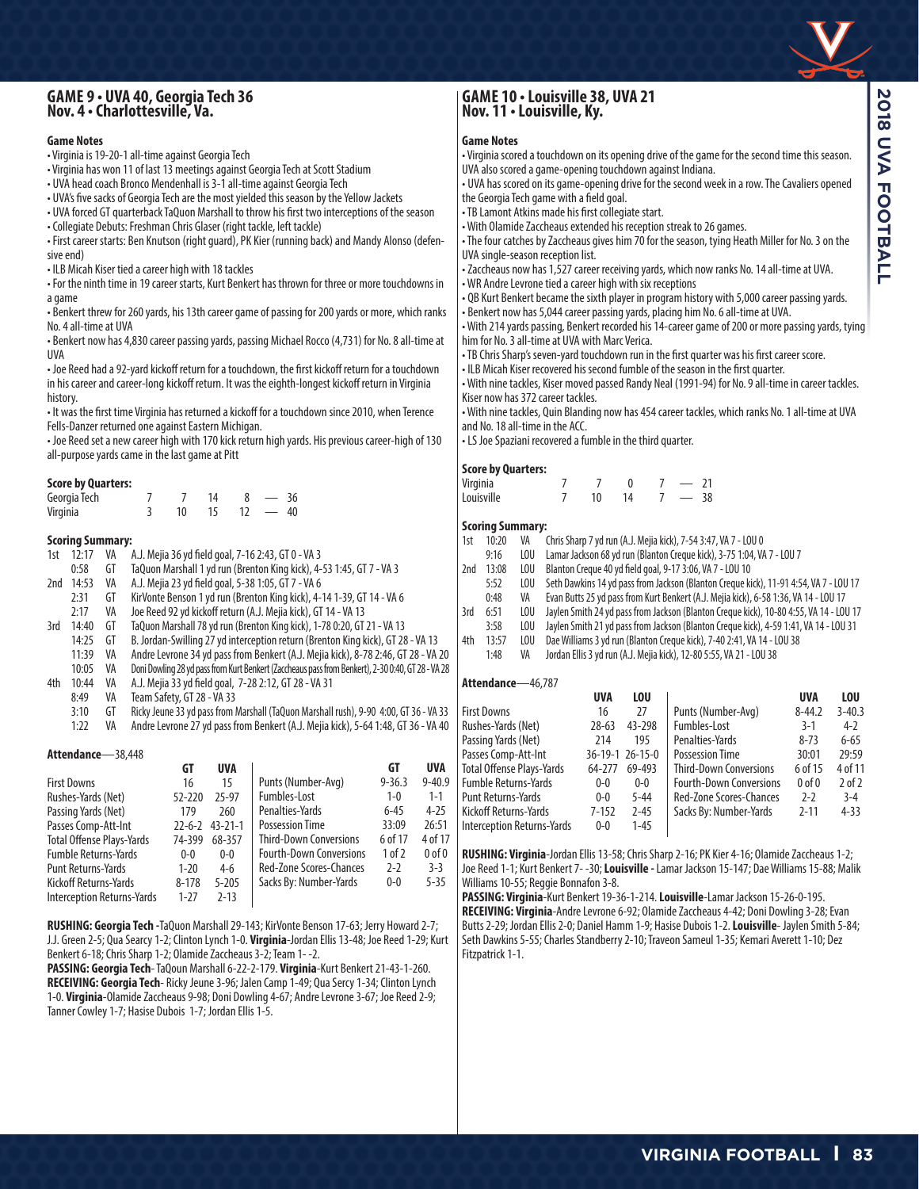## **GAME 9 • UVA 40, Georgia Tech 36 Nov. 4 • Charlottesville, Va.**

#### **Game Notes**

- Virginia is 19-20-1 all-time against Georgia Tech
- Virginia has won 11 of last 13 meetings against Georgia Tech at Scott Stadium
- UVA head coach Bronco Mendenhall is 3-1 all-time against Georgia Tech
- UVA's five sacks of Georgia Tech are the most yielded this season by the Yellow Jackets
- UVA forced GT quarterback TaQuon Marshall to throw his first two interceptions of the season
- Collegiate Debuts: Freshman Chris Glaser (right tackle, left tackle)
- First career starts: Ben Knutson (right guard), PK Kier (running back) and Mandy Alonso (defensive end)
- ILB Micah Kiser tied a career high with 18 tackles
- For the ninth time in 19 career starts, Kurt Benkert has thrown for three or more touchdowns in a game
- Benkert threw for 260 yards, his 13th career game of passing for 200 yards or more, which ranks No. 4 all-time at UVA

• Benkert now has 4,830 career passing yards, passing Michael Rocco (4,731) for No. 8 all-time at UVA

• Joe Reed had a 92-yard kickoff return for a touchdown, the first kickoff return for a touchdown in his career and career-long kickoff return. It was the eighth-longest kickoff return in Virginia history.

• It was the first time Virginia has returned a kickoff for a touchdown since 2010, when Terence Fells-Danzer returned one against Eastern Michigan.

• Joe Reed set a new career high with 170 kick return high yards. His previous career-high of 130 all-purpose yards came in the last game at Pitt

#### **Score by Quarters:**

| Georgia Tech |    |  | 36 |
|--------------|----|--|----|
| Virginia     | 10 |  | 40 |

## **Scoring Summary:**<br>1st 12:17 VA /

- 1st 12:17 VA A.J. Mejia 36 yd field goal, 7-16 2:43, GT 0 VA 3
- TaQuon Marshall 1 yd run (Brenton King kick), 4-53 1:45, GT 7 VA 3
- 2nd 14:53 VA A.J. Mejia 23 yd field goal, 5-38 1:05, GT 7 VA 6
- 2:31 GT KirVonte Benson 1 yd run (Brenton King kick), 4-14 1-39, GT 14 VA 6
- 2:17 VA Joe Reed 92 yd kickoff return (A.J. Mejia kick), GT 14 VA 13
- 3rd 14:40 GT TaQuon Marshall 78 yd run (Brenton King kick), 1-78 0:20, GT 21 VA 13
	- 14:25 GT B. Jordan-Swilling 27 yd interception return (Brenton King kick), GT 28 VA 13
	- Andre Levrone 34 yd pass from Benkert (A.J. Mejia kick), 8-78 2:46, GT 28 VA 20
	- 10:05 VA Doni Dowling 28 yd pass from Kurt Benkert (Zaccheaus pass from Benkert), 2-30 0:40, GT 28 VA 28
- 4th 10:44 VA A.J. Mejia 33 yd field goal, 7-28 2:12, GT 28 VA 31
	- Team Safety, GT 28 VA 33
	- 3:10 GT Ricky Jeune 33 yd pass from Marshall (TaQuon Marshall rush), 9-90 4:00, GT 36 VA 33
	- Andre Levrone 27 yd pass from Benkert (A.J. Mejia kick), 5-64 1:48, GT 36 VA 40

#### **Attendance**—38,448

|                                  | GT           | <b>UVA</b>    |                                | GТ         | <b>UVA</b> |
|----------------------------------|--------------|---------------|--------------------------------|------------|------------|
| <b>First Downs</b>               | 16           | 15            | Punts (Number-Avg)             | $9 - 36.3$ | $9 - 40.9$ |
| Rushes-Yards (Net)               | $52 - 220$   | 25-97         | Fumbles-Lost                   | $1 - 0$    | $1 - 1$    |
| Passing Yards (Net)              | 179          | 260           | Penalties-Yards                | $6 - 45$   | $4 - 25$   |
| Passes Comp-Att-Int              | $22 - 6 - 2$ | $43 - 21 - 1$ | <b>Possession Time</b>         | 33:09      | 26:51      |
| <b>Total Offense Plays-Yards</b> | 74-399       | 68-357        | <b>Third-Down Conversions</b>  | 6 of 17    | 4 of 17    |
| <b>Fumble Returns-Yards</b>      | $0 - 0$      | $0-0$         | <b>Fourth-Down Conversions</b> | 1 of 2     | $0$ of $0$ |
| <b>Punt Returns-Yards</b>        | $1 - 20$     | $4-6$         | Red-Zone Scores-Chances        | $2-2$      | $3-3$      |
| Kickoff Returns-Yards            | $8 - 178$    | $5 - 205$     | Sacks By: Number-Yards         | $0 - 0$    | $5 - 35$   |
| Interception Returns-Yards       | $1 - 27$     | $2 - 13$      |                                |            |            |

**RUSHING: Georgia Tech -**TaQuon Marshall 29-143; KirVonte Benson 17-63; Jerry Howard 2-7; J.J. Green 2-5; Qua Searcy 1-2; Clinton Lynch 1-0. **Virginia**-Jordan Ellis 13-48; Joe Reed 1-29; Kurt Benkert 6-18; Chris Sharp 1-2; Olamide Zaccheaus 3-2; Team 1- -2.

**PASSING: Georgia Tech**- TaQoun Marshall 6-22-2-179. **Virginia**-Kurt Benkert 21-43-1-260. **RECEIVING: Georgia Tech**- Ricky Jeune 3-96; Jalen Camp 1-49; Qua Sercy 1-34; Clinton Lynch 1-0. **Virginia**-Olamide Zaccheaus 9-98; Doni Dowling 4-67; Andre Levrone 3-67; Joe Reed 2-9; Tanner Cowley 1-7; Hasise Dubois 1-7; Jordan Ellis 1-5.

## **GAME 10 • Louisville 38, UVA 21 Nov. 11 • Louisville, Ky.**

#### **Game Notes**

- Virginia scored a touchdown on its opening drive of the game for the second time this season. UVA also scored a game-opening touchdown against Indiana.
- UVA has scored on its game-opening drive for the second week in a row. The Cavaliers opened the Georgia Tech game with a field goal.
- TB Lamont Atkins made his first collegiate start.
- With Olamide Zaccheaus extended his reception streak to 26 games.
- The four catches by Zaccheaus gives him 70 for the season, tying Heath Miller for No. 3 on the UVA single-season reception list.
- Zaccheaus now has 1,527 career receiving yards, which now ranks No. 14 all-time at UVA.
- WR Andre Levrone tied a career high with six receptions
- QB Kurt Benkert became the sixth player in program history with 5,000 career passing yards.
- Benkert now has 5,044 career passing yards, placing him No. 6 all-time at UVA.
- With 214 yards passing, Benkert recorded his 14-career game of 200 or more passing yards, tying him for No. 3 all-time at UVA with Marc Verica.
- TB Chris Sharp's seven-yard touchdown run in the first quarter was his first career score. • ILB Micah Kiser recovered his second fumble of the season in the first quarter.

• With nine tackles, Kiser moved passed Randy Neal (1991-94) for No. 9 all-time in career tackles. Kiser now has 372 career tackles.

• With nine tackles, Quin Blanding now has 454 career tackles, which ranks No. 1 all-time at UVA and No. 18 all-time in the ACC.

• LS Joe Spaziani recovered a fumble in the third quarter.

#### **Score by Quarters:**

| .<br>Virginia |                  |    |  |    |
|---------------|------------------|----|--|----|
| Louisville    | 10 <sup>10</sup> | 14 |  | 38 |

## **Scoring Summary:**<br>1st **10:20** VA

- 1st 10:20 VA Chris Sharp 7 yd run (A.J. Mejia kick), 7-54 3:47, VA 7 LOU 0
	- 9:16 LOU Lamar Jackson 68 yd run (Blanton Creque kick), 3-75 1:04, VA 7 LOU 7
- 2nd 13:08 LOU Blanton Creque 40 yd field goal, 9-17 3:06, VA 7 LOU 10
- 5:52 LOU Seth Dawkins 14 yd pass from Jackson (Blanton Creque kick), 11-91 4:54, VA 7 LOU 17
- 0:48 VA Evan Butts 25 yd pass from Kurt Benkert (A.J. Mejia kick), 6-58 1:36, VA 14 LOU 17
- 3rd 6:51 LOU Jaylen Smith 24 yd pass from Jackson (Blanton Creque kick), 10-80 4:55, VA 14 LOU 17
- 3:58 LOU Jaylen Smith 21 yd pass from Jackson (Blanton Creque kick), 4-59 1:41, VA 14 LOU 31
- 4th 13:57 LOU Dae Williams 3 yd run (Blanton Creque kick), 7-40 2:41, VA 14 LOU 38
- 1:48 VA Jordan Ellis 3 yd run (A.J. Mejia kick), 12-80 5:55, VA 21 LOU 38

#### **Attendance**—46,787

|                            | UVA       | <b>LOU</b>      |                                | <b>UVA</b>     | <b>LOU</b> |
|----------------------------|-----------|-----------------|--------------------------------|----------------|------------|
| <b>First Downs</b>         | 16        | 27              | Punts (Number-Avg)             | $8 - 44.2$     | $3 - 40.3$ |
| Rushes-Yards (Net)         | $28 - 63$ | 43-298          | Fumbles-Lost                   | $3-1$          | $4-2$      |
| Passing Yards (Net)        | 214       | 195             | Penalties-Yards                | $8 - 73$       | $6 - 65$   |
| Passes Comp-Att-Int        |           | 36-19-1 26-15-0 | <b>Possession Time</b>         | 30:01          | 29:59      |
| Total Offense Plays-Yards  | 64-277    | 69-493          | <b>Third-Down Conversions</b>  | 6 of 15        | 4 of 11    |
| Fumble Returns-Yards       | $0 - 0$   | $0-0$           | <b>Fourth-Down Conversions</b> | 0 <sub>0</sub> | $2$ of $2$ |
| Punt Returns-Yards         | $0 - 0$   | $5 - 44$        | <b>Red-Zone Scores-Chances</b> | $2-2$          | $3 - 4$    |
| Kickoff Returns-Yards      | $7 - 152$ | $2 - 45$        | Sacks By: Number-Yards         | $2 - 11$       | $4 - 33$   |
| Interception Returns-Yards | $0-0$     | $1 - 45$        |                                |                |            |
|                            |           |                 |                                |                |            |

**RUSHING: Virginia**-Jordan Ellis 13-58; Chris Sharp 2-16; PK Kier 4-16; Olamide Zaccheaus 1-2; Joe Reed 1-1; Kurt Benkert 7- -30; **Louisville -** Lamar Jackson 15-147; Dae Williams 15-88; Malik Williams 10-55; Reggie Bonnafon 3-8.

**PASSING: Virginia**-Kurt Benkert 19-36-1-214. **Louisville**-Lamar Jackson 15-26-0-195. **RECEIVING: Virginia**-Andre Levrone 6-92; Olamide Zaccheaus 4-42; Doni Dowling 3-28; Evan Butts 2-29; Jordan Ellis 2-0; Daniel Hamm 1-9; Hasise Dubois 1-2. **Louisville**- Jaylen Smith 5-84; Seth Dawkins 5-55; Charles Standberry 2-10; Traveon Sameul 1-35; Kemari Averett 1-10; Dez Fitzpatrick 1-1.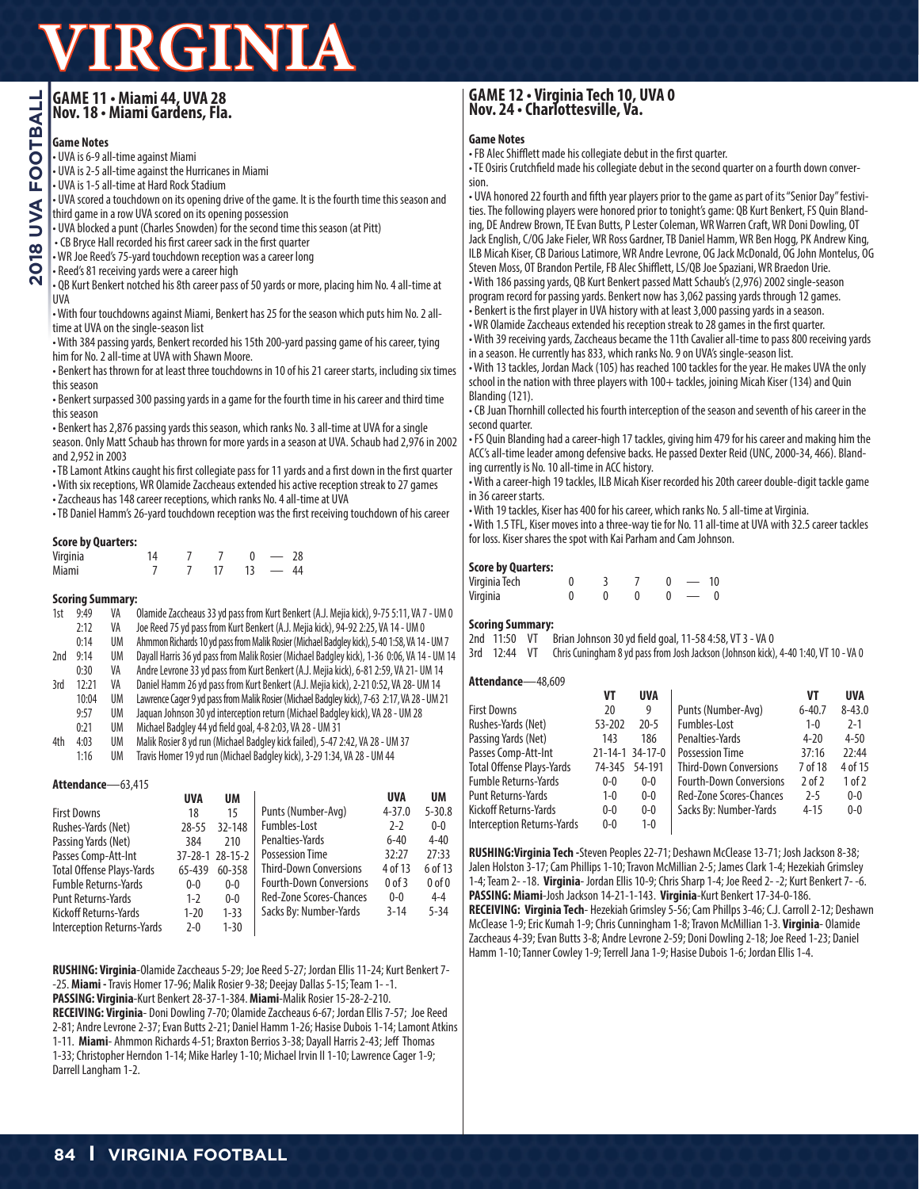## **GAME 11 • Miami 44, UVA 28 Nov. 18 • Miami Gardens, Fla.**

### **Game Notes**

• UVA is 6-9 all-time against Miami

- UVA is 2-5 all-time against the Hurricanes in Miami
- UVA is 1-5 all-time at Hard Rock Stadium
- UVA scored a touchdown on its opening drive of the game. It is the fourth time this season and third game in a row UVA scored on its opening possession
- UVA blocked a punt (Charles Snowden) for the second time this season (at Pitt)
- CB Bryce Hall recorded his first career sack in the first quarter
- WR Joe Reed's 75-yard touchdown reception was a career long
- Reed's 81 receiving yards were a career high
- QB Kurt Benkert notched his 8th career pass of 50 yards or more, placing him No. 4 all-time at UVA

• With four touchdowns against Miami, Benkert has 25 for the season which puts him No. 2 alltime at UVA on the single-season list

• With 384 passing yards, Benkert recorded his 15th 200-yard passing game of his career, tying him for No. 2 all-time at UVA with Shawn Moore.

• Benkert has thrown for at least three touchdowns in 10 of his 21 career starts, including six times this season

• Benkert surpassed 300 passing yards in a game for the fourth time in his career and third time this season

• Benkert has 2,876 passing yards this season, which ranks No. 3 all-time at UVA for a single season. Only Matt Schaub has thrown for more yards in a season at UVA. Schaub had 2,976 in 2002 and 2,952 in 2003

• TB Lamont Atkins caught his first collegiate pass for 11 yards and a first down in the first quarter

• With six receptions, WR Olamide Zaccheaus extended his active reception streak to 27 games

• Zaccheaus has 148 career receptions, which ranks No. 4 all-time at UVA

• TB Daniel Hamm's 26-yard touchdown reception was the first receiving touchdown of his career

#### **Score by Quarters:**

| Virginia | 14 |  |                          | 28 |
|----------|----|--|--------------------------|----|
| Miami    |    |  | $\overline{\phantom{0}}$ | 44 |

#### **Scoring Summary:**

| 1st               | 9:49  | VA        | Olamide Zaccheaus 33 yd pass from Kurt Benkert (A.J. Mejia kick), 9-75 5:11, VA 7 - UM 0     |  |  |  |
|-------------------|-------|-----------|----------------------------------------------------------------------------------------------|--|--|--|
|                   | 2:12  | VA        | Joe Reed 75 yd pass from Kurt Benkert (A.J. Mejia kick), 94-92 2:25, VA 14 - UM 0            |  |  |  |
|                   | 0:14  | UM        | Ahmmon Richards 10 yd pass from Malik Rosier (Michael Badgley kick), 5-40 1:58, VA 14 - UM 7 |  |  |  |
| 2nd               | 9:14  | <b>UM</b> | Dayall Harris 36 yd pass from Malik Rosier (Michael Badgley kick), 1-36 0:06, VA 14 - UM 14  |  |  |  |
|                   | 0:30  | VA        | Andre Levrone 33 yd pass from Kurt Benkert (A.J. Mejia kick), 6-81 2:59, VA 21- UM 14        |  |  |  |
| 3rd               | 12:21 | VA        | Daniel Hamm 26 yd pass from Kurt Benkert (A.J. Mejia kick), 2-21 0:52, VA 28- UM 14          |  |  |  |
|                   | 10:04 | <b>UM</b> | Lawrence Cager 9 yd pass from Malik Rosier (Michael Badgley kick), 7-63 2:17, VA 28 - UM 21  |  |  |  |
|                   | 9:57  | UM        | Jaguan Johnson 30 yd interception return (Michael Badgley kick), VA 28 - UM 28               |  |  |  |
|                   | 0:21  | UM        | Michael Badgley 44 yd field goal, 4-8 2:03, VA 28 - UM 31                                    |  |  |  |
| 4th               | 4:03  | <b>UM</b> | Malik Rosier 8 yd run (Michael Badgley kick failed), 5-47 2:42, VA 28 - UM 37                |  |  |  |
|                   | 1:16  | UM        | Travis Homer 19 yd run (Michael Badgley kick), 3-29 1:34, VA 28 - UM 44                      |  |  |  |
|                   |       |           |                                                                                              |  |  |  |
| Attendance-63,415 |       |           |                                                                                              |  |  |  |

|                                   | <b>UVA</b> | <b>UM</b>       |                                | <b>UVA</b> | UM         |
|-----------------------------------|------------|-----------------|--------------------------------|------------|------------|
| <b>First Downs</b>                | 18         | 15              | Punts (Number-Avg)             | $4 - 37.0$ | $5 - 30.8$ |
| Rushes-Yards (Net)                | $28 - 55$  | 32-148          | Fumbles-Lost                   | $2 - 2$    | $0-0$      |
| Passing Yards (Net)               | 384        | 210             | Penalties-Yards                | $6 - 40$   | $4 - 40$   |
| Passes Comp-Att-Int               |            | 37-28-1 28-15-2 | <b>Possession Time</b>         | 32:27      | 27:33      |
| <b>Total Offense Plays-Yards</b>  | 65-439     | 60-358          | <b>Third-Down Conversions</b>  | 4 of 13    | 6 of 13    |
| <b>Fumble Returns-Yards</b>       | $0 - 0$    | $0 - 0$         | <b>Fourth-Down Conversions</b> | $0$ of $3$ | $0$ of $0$ |
| <b>Punt Returns-Yards</b>         | $1 - 2$    | $0 - 0$         | <b>Red-Zone Scores-Chances</b> | $0 - 0$    | $4 - 4$    |
| <b>Kickoff Returns-Yards</b>      | $1 - 20$   | $1 - 33$        | Sacks By: Number-Yards         | $3 - 14$   | $5 - 34$   |
| <b>Interception Returns-Yards</b> | $2 - 0$    | $1 - 30$        |                                |            |            |

**RUSHING: Virginia**-Olamide Zaccheaus 5-29; Joe Reed 5-27; Jordan Ellis 11-24; Kurt Benkert 7- -25. **Miami -** Travis Homer 17-96; Malik Rosier 9-38; Deejay Dallas 5-15; Team 1- -1. **PASSING: Virginia**-Kurt Benkert 28-37-1-384. **Miami**-Malik Rosier 15-28-2-210. **RECEIVING: Virginia**- Doni Dowling 7-70; Olamide Zaccheaus 6-67; Jordan Ellis 7-57; Joe Reed 2-81; Andre Levrone 2-37; Evan Butts 2-21; Daniel Hamm 1-26; Hasise Dubois 1-14; Lamont Atkins 1-11. **Miami**- Ahmmon Richards 4-51; Braxton Berrios 3-38; Dayall Harris 2-43; Jeff Thomas 1-33; Christopher Herndon 1-14; Mike Harley 1-10; Michael Irvin II 1-10; Lawrence Cager 1-9; Darrell Langham 1-2.

## **GAME 12 • Virginia Tech 10, UVA 0 Nov. 24 • Charlottesville, Va.**

#### **Game Notes**

• FB Alec Shifflett made his collegiate debut in the first quarter.

• TE Osiris Crutchfield made his collegiate debut in the second quarter on a fourth down conversion.

• UVA honored 22 fourth and fifth year players prior to the game as part of its "Senior Day" festivities. The following players were honored prior to tonight's game: QB Kurt Benkert, FS Quin Blanding, DE Andrew Brown, TE Evan Butts, P Lester Coleman, WR Warren Craft, WR Doni Dowling, OT Jack English, C/OG Jake Fieler, WR Ross Gardner, TB Daniel Hamm, WR Ben Hogg, PK Andrew King, ILB Micah Kiser, CB Darious Latimore, WR Andre Levrone, OG Jack McDonald, OG John Montelus, OG Steven Moss, OT Brandon Pertile, FB Alec Shifflett, LS/QB Joe Spaziani, WR Braedon Urie. • With 186 passing yards, QB Kurt Benkert passed Matt Schaub's (2,976) 2002 single-season

program record for passing yards. Benkert now has 3,062 passing yards through 12 games. • Benkert is the first player in UVA history with at least 3,000 passing yards in a season. • WR Olamide Zaccheaus extended his reception streak to 28 games in the first quarter.

• With 39 receiving yards, Zaccheaus became the 11th Cavalier all-time to pass 800 receiving yards in a season. He currently has 833, which ranks No. 9 on UVA's single-season list.

• With 13 tackles, Jordan Mack (105) has reached 100 tackles for the year. He makes UVA the only school in the nation with three players with 100+ tackles, joining Micah Kiser (134) and Quin Blanding (121).

• CB Juan Thornhill collected his fourth interception of the season and seventh of his career in the second quarter.

• FS Quin Blanding had a career-high 17 tackles, giving him 479 for his career and making him the ACC's all-time leader among defensive backs. He passed Dexter Reid (UNC, 2000-34, 466). Blanding currently is No. 10 all-time in ACC history.

• With a career-high 19 tackles, ILB Micah Kiser recorded his 20th career double-digit tackle game in 36 career starts.

• With 19 tackles, Kiser has 400 for his career, which ranks No. 5 all-time at Virginia.

• With 1.5 TFL, Kiser moves into a three-way tie for No. 11 all-time at UVA with 32.5 career tackles for loss. Kiser shares the spot with Kai Parham and Cam Johnson.

#### **Score by Quarters:**

| ------<br>---------<br>Virginia Tech |  |  | 10 <sup>1</sup> |
|--------------------------------------|--|--|-----------------|
| Virginia                             |  |  |                 |

#### **Scoring Summary:**

2nd 11:50 VT Brian Johnson 30 yd field goal, 11-58 4:58, VT 3 - VA 0

3rd 12:44 VT Chris Cuningham 8 yd pass from Josh Jackson (Johnson kick), 4-40 1:40, VT 10 - VA 0

#### **Attendance**—48,609

|                                   | VT      | <b>UVA</b>      |                                | VT         | <b>UVA</b> |
|-----------------------------------|---------|-----------------|--------------------------------|------------|------------|
| First Downs                       | 20      | 9               | Punts (Number-Avg)             | $6 - 40.7$ | $8 - 43.0$ |
| Rushes-Yards (Net)                | 53-202  | $20 - 5$        | Fumbles-Lost                   | $1 - 0$    | $2 - 1$    |
| Passing Yards (Net)               | 143     | 186             | Penalties-Yards                | $4 - 20$   | $4 - 50$   |
| Passes Comp-Att-Int               |         | 21-14-1 34-17-0 | <b>Possession Time</b>         | 37:16      | 22:44      |
| Total Offense Plays-Yards         | 74-345  | 54-191          | <b>Third-Down Conversions</b>  | 7 of 18    | 4 of 15    |
| <b>Fumble Returns-Yards</b>       | $0 - 0$ | $0-0$           | <b>Fourth-Down Conversions</b> | $2$ of $2$ | 1 of 2     |
| Punt Returns-Yards                | $1 - 0$ | $0-0$           | Red-Zone Scores-Chances        | $2 - 5$    | $0 - 0$    |
| Kickoff Returns-Yards             | $0 - 0$ | $0-0$           | Sacks By: Number-Yards         | $4 - 15$   | $0 - 0$    |
| <b>Interception Returns-Yards</b> | $0 - 0$ | $1 - 0$         |                                |            |            |

**RUSHING:Virginia Tech -**Steven Peoples 22-71; Deshawn McClease 13-71; Josh Jackson 8-38; Jalen Holston 3-17; Cam Phillips 1-10; Travon McMillian 2-5; James Clark 1-4; Hezekiah Grimsley 1-4; Team 2- -18. **Virginia**- Jordan Ellis 10-9; Chris Sharp 1-4; Joe Reed 2- -2; Kurt Benkert 7- -6. **PASSING: Miami**-Josh Jackson 14-21-1-143. **Virginia**-Kurt Benkert 17-34-0-186.

**RECEIVING: Virginia Tech**- Hezekiah Grimsley 5-56; Cam Phillps 3-46; C.J. Carroll 2-12; Deshawn McClease 1-9; Eric Kumah 1-9; Chris Cunningham 1-8; Travon McMillian 1-3. **Virginia**- Olamide Zaccheaus 4-39; Evan Butts 3-8; Andre Levrone 2-59; Doni Dowling 2-18; Joe Reed 1-23; Daniel Hamm 1-10; Tanner Cowley 1-9; Terrell Jana 1-9; Hasise Dubois 1-6; Jordan Ellis 1-4.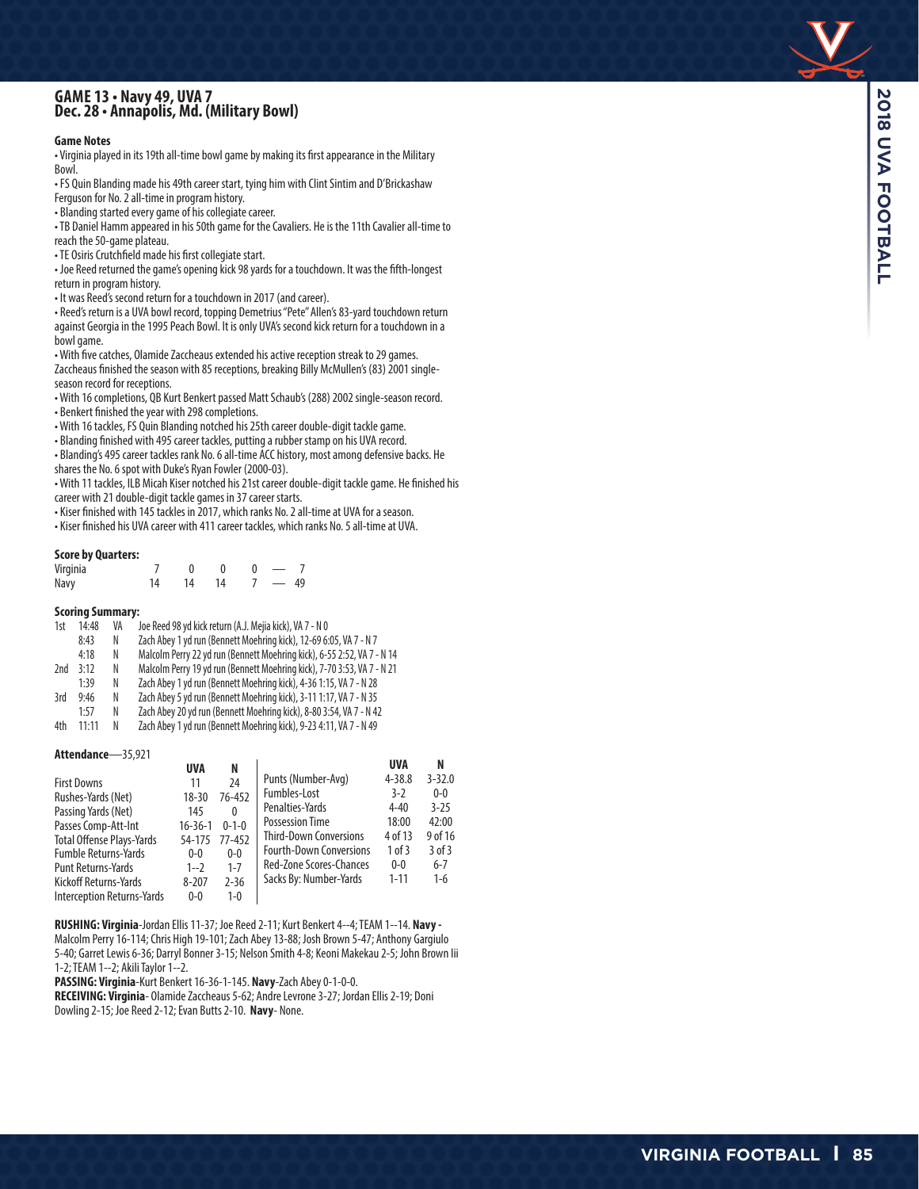## **GAME 13 • Navy 49, UVA 7 Dec. 28 • Annapolis, Md. (Military Bowl)**

#### **Game Notes**

• Virginia played in its 19th all-time bowl game by making its first appearance in the Military Bowl.

• FS Quin Blanding made his 49th career start, tying him with Clint Sintim and D'Brickashaw Ferguson for No. 2 all-time in program history.

• Blanding started every game of his collegiate career.

• TB Daniel Hamm appeared in his 50th game for the Cavaliers. He is the 11th Cavalier all-time to reach the 50-game plateau.

• TE Osiris Crutchfield made his first collegiate start.

• Joe Reed returned the game's opening kick 98 yards for a touchdown. It was the fifth-longest return in program history.

• It was Reed's second return for a touchdown in 2017 (and career).

• Reed's return is a UVA bowl record, topping Demetrius "Pete" Allen's 83-yard touchdown return against Georgia in the 1995 Peach Bowl. It is only UVA's second kick return for a touchdown in a bowl game.

• With five catches, Olamide Zaccheaus extended his active reception streak to 29 games. Zaccheaus finished the season with 85 receptions, breaking Billy McMullen's (83) 2001 singleseason record for receptions.

• With 16 completions, QB Kurt Benkert passed Matt Schaub's (288) 2002 single-season record.

• Benkert finished the year with 298 completions.

• With 16 tackles, FS Quin Blanding notched his 25th career double-digit tackle game.

• Blanding finished with 495 career tackles, putting a rubber stamp on his UVA record.

• Blanding's 495 career tackles rank No. 6 all-time ACC history, most among defensive backs. He shares the No. 6 spot with Duke's Ryan Fowler (2000-03).

• With 11 tackles, ILB Micah Kiser notched his 21st career double-digit tackle game. He finished his career with 21 double-digit tackle games in 37 career starts.

• Kiser finished with 145 tackles in 2017, which ranks No. 2 all-time at UVA for a season.

• Kiser finished his UVA career with 411 career tackles, which ranks No. 5 all-time at UVA.

#### **Score by Quarters:**

| Virginia |    |    |    | $\hspace{0.05cm}$ |  |
|----------|----|----|----|-------------------|--|
| Navy     | 14 | 14 | 14 | $7 - 49$          |  |

#### **Scoring Summary:**

| 1st | 14:48     | VA | Joe Reed 98 yd kick return (A.J. Mejia kick), VA 7 - N 0                |
|-----|-----------|----|-------------------------------------------------------------------------|
|     | 8:43      | N  | Zach Abey 1 yd run (Bennett Moehring kick), 12-69 6:05, VA 7 - N 7      |
|     | 4:18      | N  | Malcolm Perry 22 yd run (Bennett Moehring kick), 6-55 2:52, VA 7 - N 14 |
| 2nd | 3:12      | N  | Malcolm Perry 19 yd run (Bennett Moehring kick), 7-70 3:53, VA 7 - N 21 |
|     | 1:39      | N  | Zach Abey 1 yd run (Bennett Moehring kick), 4-36 1:15, VA 7 - N 28      |
| 3rd | 9:46      | N  | Zach Abey 5 yd run (Bennett Moehring kick), 3-11 1:17, VA 7 - N 35      |
|     | 1:57      | N  | Zach Abey 20 yd run (Bennett Moehring kick), 8-80 3:54, VA 7 - N 42     |
| 4th | $11 - 11$ | N. | Zach Abey 1 yd run (Bennett Moehring kick), 9-23 4:11, VA 7 - N 49      |
|     |           |    |                                                                         |

#### **Attendance**—35,921

|                                  | <b>UVA</b>    | N           |                                | <b>UVA</b> | N          |
|----------------------------------|---------------|-------------|--------------------------------|------------|------------|
| <b>First Downs</b>               | 11            | 24          | Punts (Number-Avg)             | $4 - 38.8$ | $3 - 32.0$ |
| Rushes-Yards (Net)               | $18 - 30$     | 76-452      | Fumbles-Lost                   | $3-2$      | $0 - 0$    |
| Passing Yards (Net)              | 145           | 0           | Penalties-Yards                | $4 - 40$   | $3 - 25$   |
| Passes Comp-Att-Int              | $16 - 36 - 1$ | $0 - 1 - 0$ | Possession Time                | 18:00      | 42:00      |
| <b>Total Offense Plays-Yards</b> | 54-175        | $77 - 452$  | <b>Third-Down Conversions</b>  | 4 of 13    | 9 of 16    |
| <b>Fumble Returns-Yards</b>      | $0 - 0$       | $0 - 0$     | <b>Fourth-Down Conversions</b> | 1 of 3     | $3$ of $3$ |
| <b>Punt Returns-Yards</b>        | $1 - 2$       | $1 - 7$     | Red-Zone Scores-Chances        | $0 - 0$    | $6 - 7$    |
| <b>Kickoff Returns-Yards</b>     | $8 - 207$     | $2 - 36$    | Sacks By: Number-Yards         | $1 - 11$   | $1-6$      |
| Interception Returns-Yards       | $0 - 0$       | $1 - 0$     |                                |            |            |

**RUSHING: Virginia**-Jordan Ellis 11-37; Joe Reed 2-11; Kurt Benkert 4--4; TEAM 1--14. **Navy -** Malcolm Perry 16-114; Chris High 19-101; Zach Abey 13-88; Josh Brown 5-47; Anthony Gargiulo 5-40; Garret Lewis 6-36; Darryl Bonner 3-15; Nelson Smith 4-8; Keoni Makekau 2-5; John Brown Iii 1-2; TEAM 1--2; Akili Taylor 1--2.

**PASSING: Virginia**-Kurt Benkert 16-36-1-145. **Navy**-Zach Abey 0-1-0-0.

**RECEIVING: Virginia**- Olamide Zaccheaus 5-62; Andre Levrone 3-27; Jordan Ellis 2-19; Doni Dowling 2-15; Joe Reed 2-12; Evan Butts 2-10. **Navy**- None.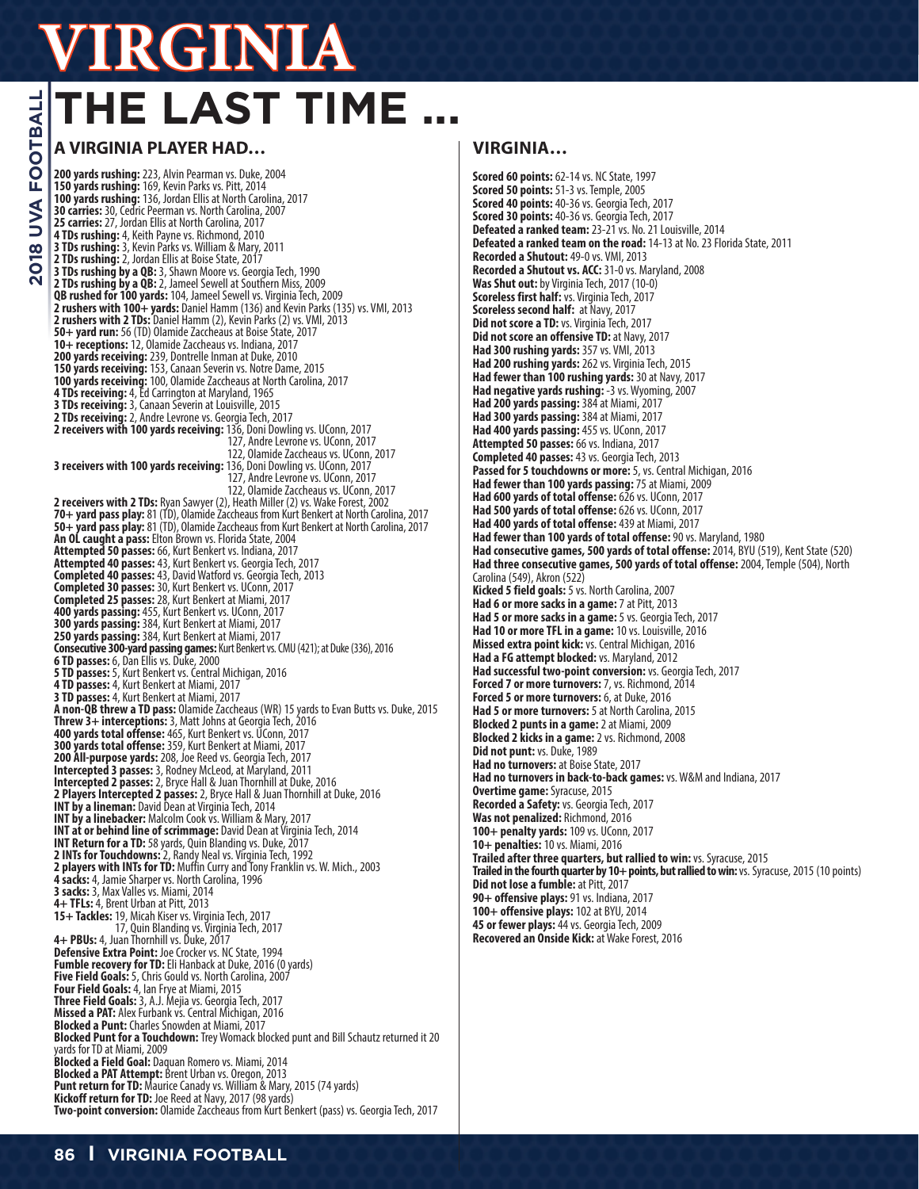# **THE LAST TIME ...**

### **A VIRGINIA PLAYER HAD…**

**200 yards rushing:** 223, Alvin Pearman vs. Duke, 2004 **150 yards rushing:** 169, Kevin Parks vs. Pitt, 2014 **100 yards rushing:** 136, Jordan Ellis at North Carolina, 2017 **30 carries:** 30, Cedric Peerman vs. North Carolina, 2007 **25 carries:** 27, Jordan Ellis at North Carolina, 2017 **4 TDs rushing:** 4, Keith Payne vs. Richmond, 2010<br>**3 TDs rushing:** 3, Kevin Parks vs. William & Mary, 2011<br>**2 TDs rushing:** 2, Jordan Ellis at Boise State, 2017 **3 TDs rushing by a QB:** 3, Shawn Moore vs. Georgia Tech, 1990 **2 TDs rushing by a QB:** 2, Jameel Sewell at Southern Miss, 2009 **QB rushed for 100 yards:** 104, Jameel Sewell vs. Virginia Tech, 2009 **2 rushers with 100+ yards:** Daniel Hamm (136) and Kevin Parks (135) vs. VMI, 2013 **2 rushers with 2 TDs:** Daniel Hamm (2), Kevin Parks (2) vs. VMI, 2013 **50+ yard run:** 56 (TD) Olamide Zaccheaus at Boise State, 2017 **10+ receptions:** 12, Olamide Zaccheaus vs. Indiana, 2017 **200 yards receiving:** 239, Dontrelle Inman at Duke, 2010 **150 yards receiving:** 153, Canaan Severin vs. Notre Dame, 2015 **100 yards receiving:** 100, Olamide Zaccheaus at North Carolina, 2017<br>**100 yards receiving:** 100, Olamide Zaccheaus at North Carolina, 2017<br>**4 TDs receiving:** 4, Ed Carrington at Maryland, 1965 **4 TDs receiving:** 4, Ed Carrington at Maryland, 1965<br>**3 TDs receiving:** 3, Canaan Severin at Louisville, 2015 **2 TDs receiving:** 2, Andre Levrone vs. Georgia Tech, 2017 **2 receivers with 100 yards receiving:** 136, Doni Dowling vs. UConn, 2017 127, Andre Levrone vs. UConn, 2017 127, Andre Levrone vs. UConn, 2017<br>122, Olamide Zaccheaus vs. UConn, 2017 **3 receivers with 100 yards receiving:** 136, Doni Dowling vs. UConn, 2017 127, Andre Levrone vs. UConn, 2017 122, Olamide Zaccheaus vs. UConn, 2017<br>**2 receivers with 2 TDs:** Ryan Sawyer (2), Heath Miller (2) vs. Wake Forest, 2002 **70+ yard pass play:** 81 (TD), Olamide Zaccheaus from Kurt Benkert at North Carolina, 2017 **50+ yard pass play:** 81 (TD), Olamide Zaccheaus from Kurt Benkert at North Carolina, 2017 **An OL caught a pass:** Elton Brown vs. Florida State, 2004 **Attempted 50 passes:** 66, Kurt Benkert vs. Indiana, 2017 **Attempted 40 passes:** 43, Kurt Benkert vs. Georgia Tech, 2017 **Completed 40 passes:** 43, David Watford vs. Georgia Tech, 2013 **Completed 30 passes:** 30, Kurt Benkert vs. UConn, 2017 **Completed 25 passes:** 28, Kurt Benkert at Miami, 2017 **400 yards passing:** 455, Kurt Benkert vs. UConn, 2017 **300 yards passing:** 384, Kurt Benkert at Miami, 2017 **250 yards passing:** 384, Kurt Benkert at Miami, 2017 **Consecutive 300-yard passing games:** Kurt Benkert vs. CMU (421); at Duke (336), 2016 **6 TD passes:** 6, Dan Ellis vs. Duke, 2000 **5 TD passes:** 5, Kurt Benkert vs. Central Michigan, 2016 **4 TD passes:** 4, Kurt Benkert at Miami, 2017 **3 TD passes:** 4, Kurt Benkert at Miami, 2017 **A non-QB threw a TD pass:** Olamide Zaccheaus (WR) 15 yards to Evan Butts vs. Duke, 2015<br>**Threw 3+ interceptions:** 3, Matt Johns at Georgia Tech, 2016 **400 yards total offense:** 465, Kurt Benkert vs. UConn, 2017 **300 yards total offense:** 359, Kurt Benkert at Miami, 2017 **200 All-purpose yards:** 208, Joe Reed vs. Georgia Tech, 2017 **Intercepted 3 passes:** 3, Rodney McLeod, at Maryland, 2011<br>**Intercepted 2 passes:** 2, Bryce Hall & Juan Thornhill at Duke, 2016<br>**2 Players Intercepted 2 passes:** 2, Bryce Hall & Juan Thornhill at Duke, 2016<br>**INT by a line INT by a linebacker:** Malcolm Cook vs. William & Mary, 2017 **INT at or behind line of scrimmage:** David Dean at Virginia Tech, 2014 **INT Return for a TD:** 58 yards, Quin Blanding vs. Duke, 2017<br> **2 INTs for Touchdowns:** 2, Randy Neal vs. Virginia Tech, 1992<br> **2 players with INTs for TD:** Muffin Curry and Tony Franklin vs. W. Mich., 2003<br> **4 sacks:** 4, **3 sacks:** 3, Max Valles vs. Miami, 2014 **4+ TFLs:** 4, Brent Urban at Pitt, 2013 **15+ Tackles:** 19, Micah Kiser vs. Virginia Tech, 2017 17, Quin Blanding vs. Virginia Tech, 2017 **4+ PBUs:** 4, Juan Thornhill vs. Duke, 2017 Defensive Extra Point: Joe Crocker vs. NC State, 1994 **Fumble recovery for TD:** Eli Hanback at Duke, 2016 (0 yards)<br>**Five Field Goals:** 5, Chris Gould vs. North Carolina, 2007 **Four Field Goals:** 4, Ian Frye at Miami, 2015 **Three Field Goals:** 3, A.J. Mejia vs. Georgia Tech, 2017 **Missed a PAT:** Alex Furbank vs. Central Michigan, 2016 **Blocked a Punt:** Charles Snowden at Miami, 2017 **Blocked Punt for a Touchdown:** Trey Womack blocked punt and Bill Schautz returned it 20 yards for TD at Miami, 2009 **Blocked a Field Goal:** Daquan Romero vs. Miami, 2014 **Blocked a PAT Attempt:** Brent Urban vs. Oregon, 2013 **Punt return for TD:** Maurice Canady vs. William & Mary, 2015 (74 yards)<br>**Kickoff return for TD:** Joe Reed at Navy, 2017 (98 yards)<br>**Two-point conversion:** Olamide Zaccheaus from Kurt Benkert (pass) vs. Georgia Tech, 2017

### **VIRGINIA…**

**Scored 60 points:** 62-14 vs. NC State, 1997 **Scored 50 points:** 51-3 vs. Temple, 2005 **Scored 40 points:** 40-36 vs. Georgia Tech, 2017 **Scored 30 points:** 40-36 vs. Georgia Tech, 2017 **Defeated a ranked team:** 23-21 vs. No. 21 Louisville, 2014 **Defeated a ranked team on the road:** 14-13 at No. 23 Florida State, 2011 **Recorded a Shutout:** 49-0 vs. VMI, 2013 **Recorded a Shutout vs. ACC:** 31-0 vs. Maryland, 2008 **Was Shut out:** by Virginia Tech, 2017 (10-0) **Scoreless first half:** vs. Virginia Tech, 2017 **Scoreless second half:** at Navy, 2017 **Did not score a TD:** vs. Virginia Tech, 2017 **Did not score an offensive TD:** at Navy, 2017 **Had 300 rushing yards:** 357 vs. VMI, 2013 **Had 200 rushing yards:** 262 vs. Virginia Tech, 2015 **Had fewer than 100 rushing yards:** 30 at Navy, 2017 **Had negative yards rushing:** -3 vs. Wyoming, 2007 **Had 200 yards passing:** 384 at Miami, 2017 **Had 300 yards passing:** 384 at Miami, 2017 **Had 400 yards passing:** 455 vs. UConn, 2017 **Attempted 50 passes:** 66 vs. Indiana, 2017 **Completed 40 passes:** 43 vs. Georgia Tech, 2013 **Passed for 5 touchdowns or more:** 5, vs. Central Michigan, 2016 **Had fewer than 100 yards passing:** 75 at Miami, 2009 **Had 600 yards of total offense:** 626 vs. UConn, 2017 **Had 500 yards of total offense:** 626 vs. UConn, 2017 **Had 400 yards of total offense:** 439 at Miami, 2017 **Had fewer than 100 yards of total offense:** 90 vs. Maryland, 1980 **Had consecutive games, 500 yards of total offense:** 2014, BYU (519), Kent State (520) **Had three consecutive games, 500 yards of total offense:** 2004, Temple (504), North Carolina (549), Akron (522) **Kicked 5 field goals:** 5 vs. North Carolina, 2007 **Had 6 or more sacks in a game:** 7 at Pitt, 2013 **Had 5 or more sacks in a game:** 5 vs. Georgia Tech, 2017 **Had 10 or more TFL in a game:** 10 vs. Louisville, 2016 **Missed extra point kick:** vs. Central Michigan, 2016 **Had a FG attempt blocked:** vs. Maryland, 2012 **Had successful two-point conversion:** vs. Georgia Tech, 2017 **Forced 7 or more turnovers:** 7, vs. Richmond, 2014 **Forced 5 or more turnovers:** 6, at Duke, 2016 **Had 5 or more turnovers:** 5 at North Carolina, 2015 **Blocked 2 punts in a game:** 2 at Miami, 2009 **Blocked 2 kicks in a game:** 2 vs. Richmond, 2008 **Did not punt:** vs. Duke, 1989 **Had no turnovers:** at Boise State, 2017 **Had no turnovers in back-to-back games:** vs. W&M and Indiana, 2017 **Overtime game:** Syracuse, 2015 **Recorded a Safety:** vs. Georgia Tech, 2017 **Was not penalized:** Richmond, 2016 **100+ penalty yards:** 109 vs. UConn, 2017 **10+ penalties:** 10 vs. Miami, 2016 **Trailed after three quarters, but rallied to win:** vs. Syracuse, 2015 **Trailed in the fourth quarter by 10+ points, but rallied to win:** vs. Syracuse, 2015 (10 points) **Did not lose a fumble:** at Pitt, 2017 **90+ offensive plays:** 91 vs. Indiana, 2017 **100+ offensive plays:** 102 at BYU, 2014 **45 or fewer plays:** 44 vs. Georgia Tech, 2009 **Recovered an Onside Kick:** at Wake Forest, 2016